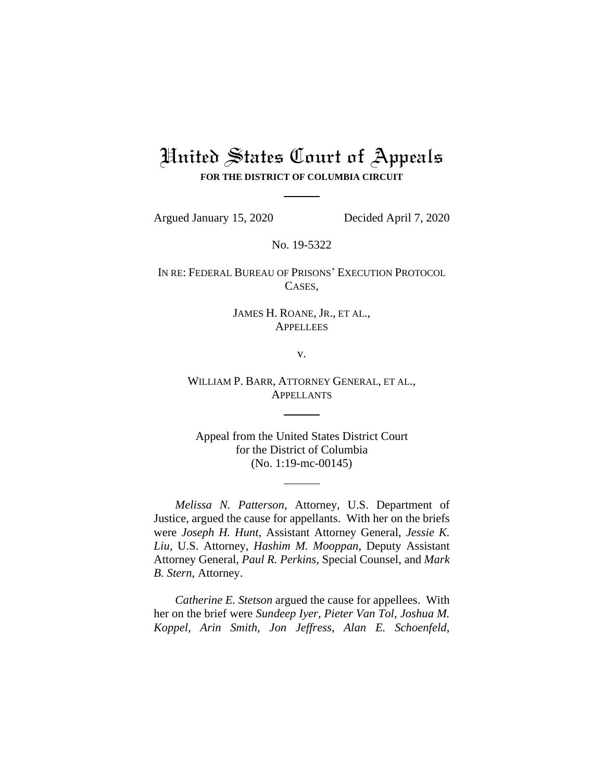# United States Court of Appeals **FOR THE DISTRICT OF COLUMBIA CIRCUIT**

Argued January 15, 2020 Decided April 7, 2020

No. 19-5322

IN RE: FEDERAL BUREAU OF PRISONS' EXECUTION PROTOCOL CASES,

#### JAMES H. ROANE, JR., ET AL., **APPELLEES**

v.

WILLIAM P. BARR, ATTORNEY GENERAL, ET AL., **APPELLANTS** 

Appeal from the United States District Court for the District of Columbia (No. 1:19-mc-00145)

*Melissa N. Patterson*, Attorney, U.S. Department of Justice, argued the cause for appellants. With her on the briefs were *Joseph H. Hunt*, Assistant Attorney General, *Jessie K. Liu*, U.S. Attorney, *Hashim M. Mooppan*, Deputy Assistant Attorney General, *Paul R. Perkins*, Special Counsel, and *Mark B. Stern*, Attorney.

*Catherine E. Stetson* argued the cause for appellees. With her on the brief were *Sundeep Iyer*, *Pieter Van Tol*, *Joshua M. Koppel*, *Arin Smith*, *Jon Jeffress*, *Alan E. Schoenfeld*,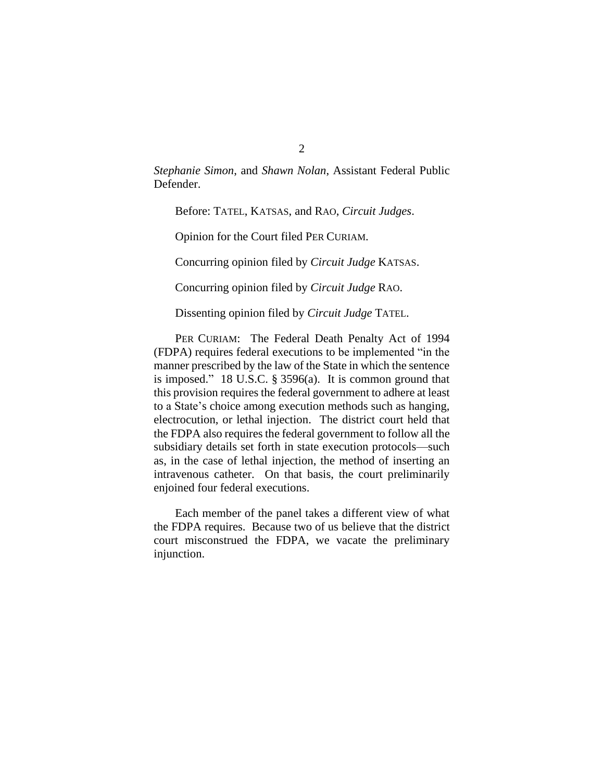*Stephanie Simon*, and *Shawn Nolan*, Assistant Federal Public Defender.

Before: TATEL, KATSAS, and RAO, *Circuit Judges*.

Opinion for the Court filed PER CURIAM.

Concurring opinion filed by *Circuit Judge* KATSAS.

Concurring opinion filed by *Circuit Judge* RAO.

Dissenting opinion filed by *Circuit Judge* TATEL.

PER CURIAM: The Federal Death Penalty Act of 1994 (FDPA) requires federal executions to be implemented "in the manner prescribed by the law of the State in which the sentence is imposed." 18 U.S.C. § 3596(a). It is common ground that this provision requires the federal government to adhere at least to a State's choice among execution methods such as hanging, electrocution, or lethal injection. The district court held that the FDPA also requires the federal government to follow all the subsidiary details set forth in state execution protocols—such as, in the case of lethal injection, the method of inserting an intravenous catheter. On that basis, the court preliminarily enjoined four federal executions.

Each member of the panel takes a different view of what the FDPA requires. Because two of us believe that the district court misconstrued the FDPA, we vacate the preliminary injunction.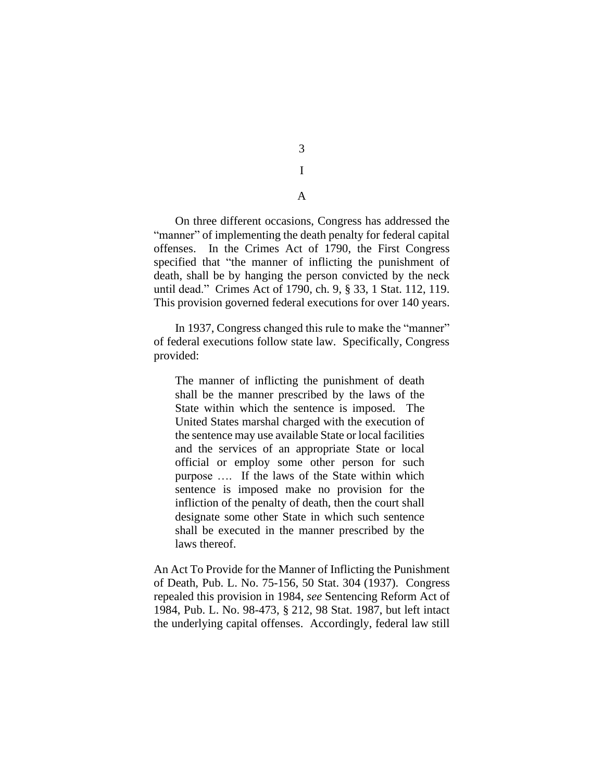3 I

A

On three different occasions, Congress has addressed the "manner" of implementing the death penalty for federal capital offenses. In the Crimes Act of 1790, the First Congress specified that "the manner of inflicting the punishment of death, shall be by hanging the person convicted by the neck until dead." Crimes Act of 1790, ch. 9, § 33, 1 Stat. 112, 119. This provision governed federal executions for over 140 years.

In 1937, Congress changed this rule to make the "manner" of federal executions follow state law. Specifically, Congress provided:

The manner of inflicting the punishment of death shall be the manner prescribed by the laws of the State within which the sentence is imposed. The United States marshal charged with the execution of the sentence may use available State or local facilities and the services of an appropriate State or local official or employ some other person for such purpose …. If the laws of the State within which sentence is imposed make no provision for the infliction of the penalty of death, then the court shall designate some other State in which such sentence shall be executed in the manner prescribed by the laws thereof.

An Act To Provide for the Manner of Inflicting the Punishment of Death, Pub. L. No. 75-156, 50 Stat. 304 (1937). Congress repealed this provision in 1984, *see* Sentencing Reform Act of 1984, Pub. L. No. 98-473, § 212, 98 Stat. 1987, but left intact the underlying capital offenses. Accordingly, federal law still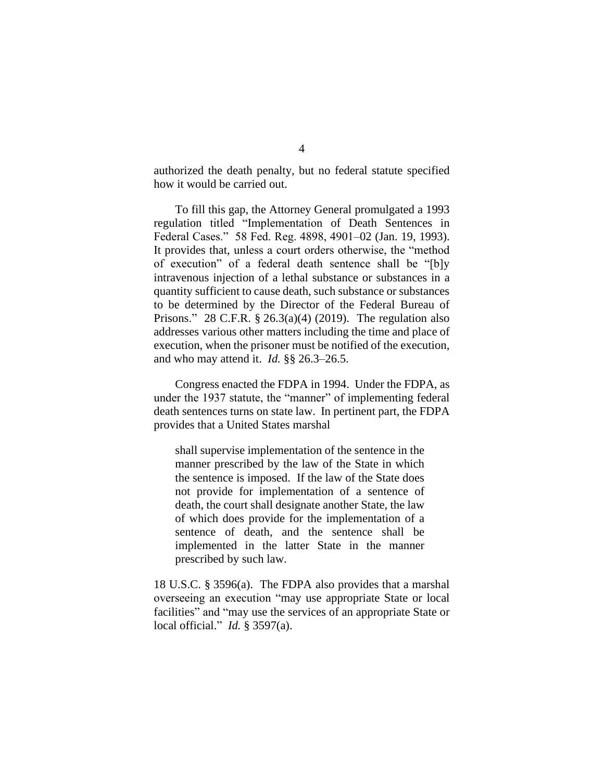authorized the death penalty, but no federal statute specified how it would be carried out.

To fill this gap, the Attorney General promulgated a 1993 regulation titled "Implementation of Death Sentences in Federal Cases." 58 Fed. Reg. 4898, 4901–02 (Jan. 19, 1993). It provides that, unless a court orders otherwise, the "method of execution" of a federal death sentence shall be "[b]y intravenous injection of a lethal substance or substances in a quantity sufficient to cause death, such substance or substances to be determined by the Director of the Federal Bureau of Prisons." 28 C.F.R.  $\S$  26.3(a)(4) (2019). The regulation also addresses various other matters including the time and place of execution, when the prisoner must be notified of the execution, and who may attend it. *Id.* §§ 26.3–26.5.

Congress enacted the FDPA in 1994. Under the FDPA, as under the 1937 statute, the "manner" of implementing federal death sentences turns on state law. In pertinent part, the FDPA provides that a United States marshal

shall supervise implementation of the sentence in the manner prescribed by the law of the State in which the sentence is imposed. If the law of the State does not provide for implementation of a sentence of death, the court shall designate another State, the law of which does provide for the implementation of a sentence of death, and the sentence shall be implemented in the latter State in the manner prescribed by such law.

18 U.S.C. § 3596(a). The FDPA also provides that a marshal overseeing an execution "may use appropriate State or local facilities" and "may use the services of an appropriate State or local official." *Id.* § 3597(a).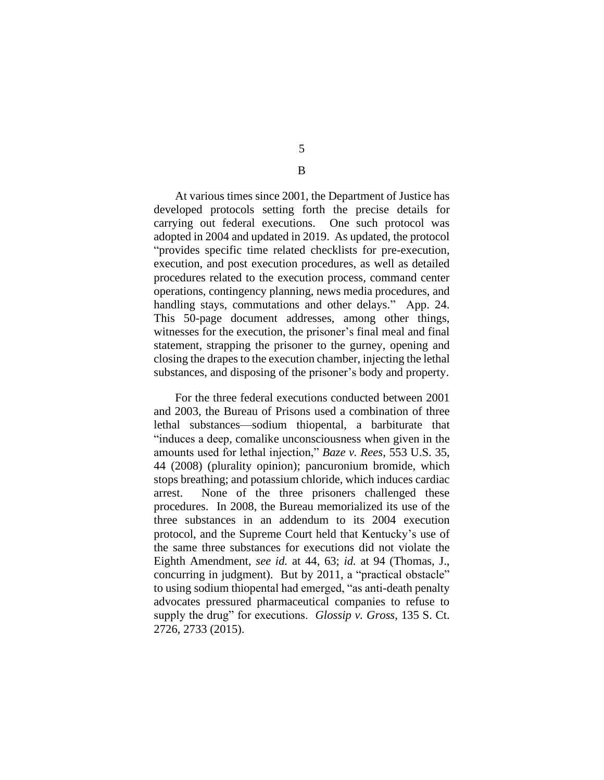At various times since 2001, the Department of Justice has developed protocols setting forth the precise details for carrying out federal executions. One such protocol was adopted in 2004 and updated in 2019. As updated, the protocol "provides specific time related checklists for pre-execution, execution, and post execution procedures, as well as detailed procedures related to the execution process, command center operations, contingency planning, news media procedures, and handling stays, commutations and other delays." App. 24. This 50-page document addresses, among other things, witnesses for the execution, the prisoner's final meal and final statement, strapping the prisoner to the gurney, opening and closing the drapes to the execution chamber, injecting the lethal substances, and disposing of the prisoner's body and property.

For the three federal executions conducted between 2001 and 2003, the Bureau of Prisons used a combination of three lethal substances—sodium thiopental, a barbiturate that "induces a deep, comalike unconsciousness when given in the amounts used for lethal injection," *Baze v. Rees*, 553 U.S. 35, 44 (2008) (plurality opinion); pancuronium bromide, which stops breathing; and potassium chloride, which induces cardiac arrest. None of the three prisoners challenged these procedures. In 2008, the Bureau memorialized its use of the three substances in an addendum to its 2004 execution protocol, and the Supreme Court held that Kentucky's use of the same three substances for executions did not violate the Eighth Amendment, *see id.* at 44, 63; *id.* at 94 (Thomas, J., concurring in judgment). But by 2011, a "practical obstacle" to using sodium thiopental had emerged, "as anti-death penalty advocates pressured pharmaceutical companies to refuse to supply the drug" for executions. *Glossip v. Gross*, 135 S. Ct. 2726, 2733 (2015).

5

B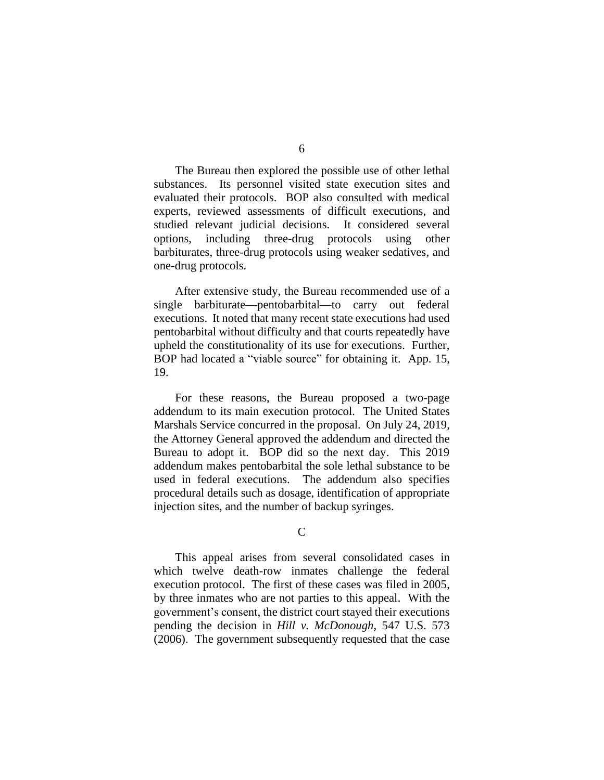The Bureau then explored the possible use of other lethal substances. Its personnel visited state execution sites and evaluated their protocols. BOP also consulted with medical experts, reviewed assessments of difficult executions, and studied relevant judicial decisions. It considered several options, including three-drug protocols using other barbiturates, three-drug protocols using weaker sedatives, and one-drug protocols.

After extensive study, the Bureau recommended use of a single barbiturate—pentobarbital—to carry out federal executions. It noted that many recent state executions had used pentobarbital without difficulty and that courts repeatedly have upheld the constitutionality of its use for executions. Further, BOP had located a "viable source" for obtaining it. App. 15, 19.

For these reasons, the Bureau proposed a two-page addendum to its main execution protocol. The United States Marshals Service concurred in the proposal. On July 24, 2019, the Attorney General approved the addendum and directed the Bureau to adopt it. BOP did so the next day. This 2019 addendum makes pentobarbital the sole lethal substance to be used in federal executions. The addendum also specifies procedural details such as dosage, identification of appropriate injection sites, and the number of backup syringes.

 $\mathcal{C}$ 

This appeal arises from several consolidated cases in which twelve death-row inmates challenge the federal execution protocol. The first of these cases was filed in 2005, by three inmates who are not parties to this appeal. With the government's consent, the district court stayed their executions pending the decision in *Hill v. McDonough*, 547 U.S. 573 (2006). The government subsequently requested that the case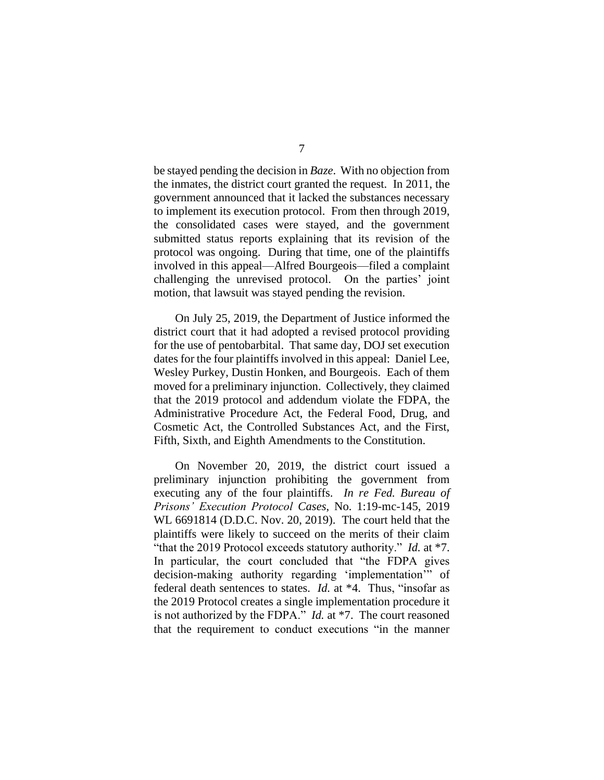be stayed pending the decision in *Baze*. With no objection from the inmates, the district court granted the request. In 2011, the government announced that it lacked the substances necessary to implement its execution protocol. From then through 2019, the consolidated cases were stayed, and the government submitted status reports explaining that its revision of the protocol was ongoing. During that time, one of the plaintiffs involved in this appeal—Alfred Bourgeois—filed a complaint challenging the unrevised protocol. On the parties' joint motion, that lawsuit was stayed pending the revision.

On July 25, 2019, the Department of Justice informed the district court that it had adopted a revised protocol providing for the use of pentobarbital. That same day, DOJ set execution dates for the four plaintiffs involved in this appeal: Daniel Lee, Wesley Purkey, Dustin Honken, and Bourgeois. Each of them moved for a preliminary injunction. Collectively, they claimed that the 2019 protocol and addendum violate the FDPA, the Administrative Procedure Act, the Federal Food, Drug, and Cosmetic Act, the Controlled Substances Act, and the First, Fifth, Sixth, and Eighth Amendments to the Constitution.

On November 20, 2019, the district court issued a preliminary injunction prohibiting the government from executing any of the four plaintiffs. *In re Fed. Bureau of Prisons' Execution Protocol Cases*, No. 1:19-mc-145, 2019 WL 6691814 (D.D.C. Nov. 20, 2019). The court held that the plaintiffs were likely to succeed on the merits of their claim "that the 2019 Protocol exceeds statutory authority." *Id.* at \*7. In particular, the court concluded that "the FDPA gives decision-making authority regarding 'implementation'" of federal death sentences to states. *Id.* at \*4. Thus, "insofar as the 2019 Protocol creates a single implementation procedure it is not authorized by the FDPA." *Id.* at \*7. The court reasoned that the requirement to conduct executions "in the manner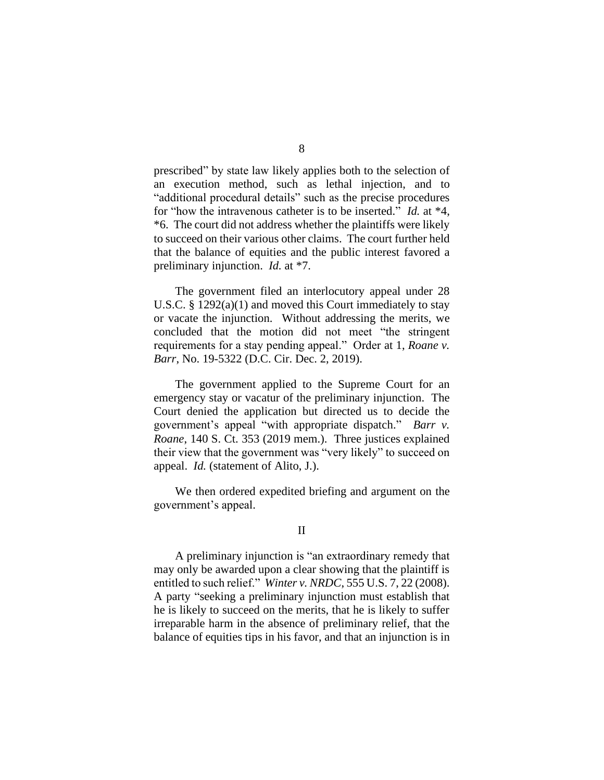prescribed" by state law likely applies both to the selection of an execution method, such as lethal injection, and to "additional procedural details" such as the precise procedures for "how the intravenous catheter is to be inserted." *Id.* at \*4, \*6. The court did not address whether the plaintiffs were likely to succeed on their various other claims. The court further held that the balance of equities and the public interest favored a preliminary injunction. *Id.* at \*7.

The government filed an interlocutory appeal under 28 U.S.C. § 1292(a)(1) and moved this Court immediately to stay or vacate the injunction. Without addressing the merits, we concluded that the motion did not meet "the stringent requirements for a stay pending appeal." Order at 1, *Roane v. Barr*, No. 19-5322 (D.C. Cir. Dec. 2, 2019).

The government applied to the Supreme Court for an emergency stay or vacatur of the preliminary injunction. The Court denied the application but directed us to decide the government's appeal "with appropriate dispatch." *Barr v. Roane*, 140 S. Ct. 353 (2019 mem.). Three justices explained their view that the government was "very likely" to succeed on appeal. *Id.* (statement of Alito, J.).

We then ordered expedited briefing and argument on the government's appeal.

### II

A preliminary injunction is "an extraordinary remedy that may only be awarded upon a clear showing that the plaintiff is entitled to such relief." *Winter v. NRDC*, 555 U.S. 7, 22 (2008). A party "seeking a preliminary injunction must establish that he is likely to succeed on the merits, that he is likely to suffer irreparable harm in the absence of preliminary relief, that the balance of equities tips in his favor, and that an injunction is in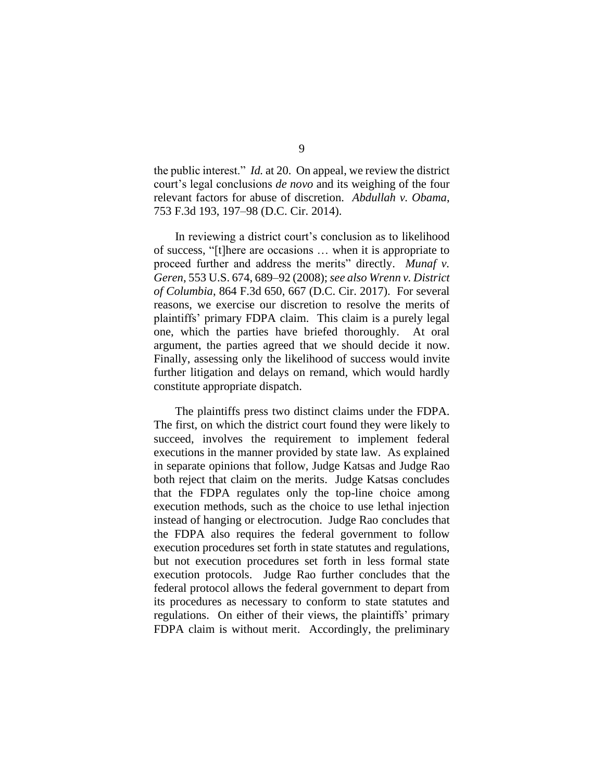the public interest." *Id.* at 20. On appeal, we review the district court's legal conclusions *de novo* and its weighing of the four relevant factors for abuse of discretion. *Abdullah v. Obama*, 753 F.3d 193, 197–98 (D.C. Cir. 2014).

In reviewing a district court's conclusion as to likelihood of success, "[t]here are occasions … when it is appropriate to proceed further and address the merits" directly. *Munaf v. Geren*, 553 U.S. 674, 689–92 (2008);*see also Wrenn v. District of Columbia*, 864 F.3d 650, 667 (D.C. Cir. 2017). For several reasons, we exercise our discretion to resolve the merits of plaintiffs' primary FDPA claim. This claim is a purely legal one, which the parties have briefed thoroughly. At oral argument, the parties agreed that we should decide it now. Finally, assessing only the likelihood of success would invite further litigation and delays on remand, which would hardly constitute appropriate dispatch.

The plaintiffs press two distinct claims under the FDPA. The first, on which the district court found they were likely to succeed, involves the requirement to implement federal executions in the manner provided by state law. As explained in separate opinions that follow, Judge Katsas and Judge Rao both reject that claim on the merits. Judge Katsas concludes that the FDPA regulates only the top-line choice among execution methods, such as the choice to use lethal injection instead of hanging or electrocution. Judge Rao concludes that the FDPA also requires the federal government to follow execution procedures set forth in state statutes and regulations, but not execution procedures set forth in less formal state execution protocols. Judge Rao further concludes that the federal protocol allows the federal government to depart from its procedures as necessary to conform to state statutes and regulations. On either of their views, the plaintiffs' primary FDPA claim is without merit. Accordingly, the preliminary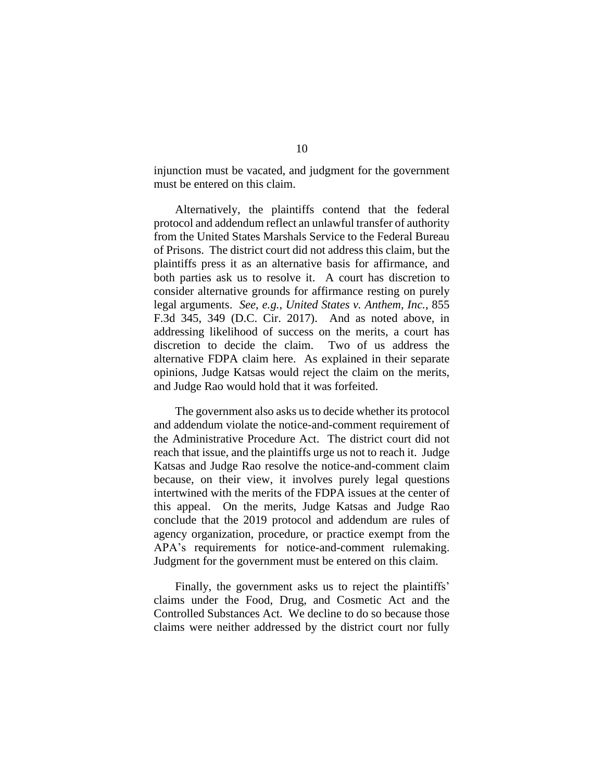injunction must be vacated, and judgment for the government must be entered on this claim.

Alternatively, the plaintiffs contend that the federal protocol and addendum reflect an unlawful transfer of authority from the United States Marshals Service to the Federal Bureau of Prisons. The district court did not address this claim, but the plaintiffs press it as an alternative basis for affirmance, and both parties ask us to resolve it. A court has discretion to consider alternative grounds for affirmance resting on purely legal arguments. *See*, *e.g.*, *United States v. Anthem, Inc.*, 855 F.3d 345, 349 (D.C. Cir. 2017). And as noted above, in addressing likelihood of success on the merits, a court has discretion to decide the claim. Two of us address the alternative FDPA claim here. As explained in their separate opinions, Judge Katsas would reject the claim on the merits, and Judge Rao would hold that it was forfeited.

The government also asks us to decide whether its protocol and addendum violate the notice-and-comment requirement of the Administrative Procedure Act. The district court did not reach that issue, and the plaintiffs urge us not to reach it. Judge Katsas and Judge Rao resolve the notice-and-comment claim because, on their view, it involves purely legal questions intertwined with the merits of the FDPA issues at the center of this appeal. On the merits, Judge Katsas and Judge Rao conclude that the 2019 protocol and addendum are rules of agency organization, procedure, or practice exempt from the APA's requirements for notice-and-comment rulemaking. Judgment for the government must be entered on this claim.

Finally, the government asks us to reject the plaintiffs' claims under the Food, Drug, and Cosmetic Act and the Controlled Substances Act. We decline to do so because those claims were neither addressed by the district court nor fully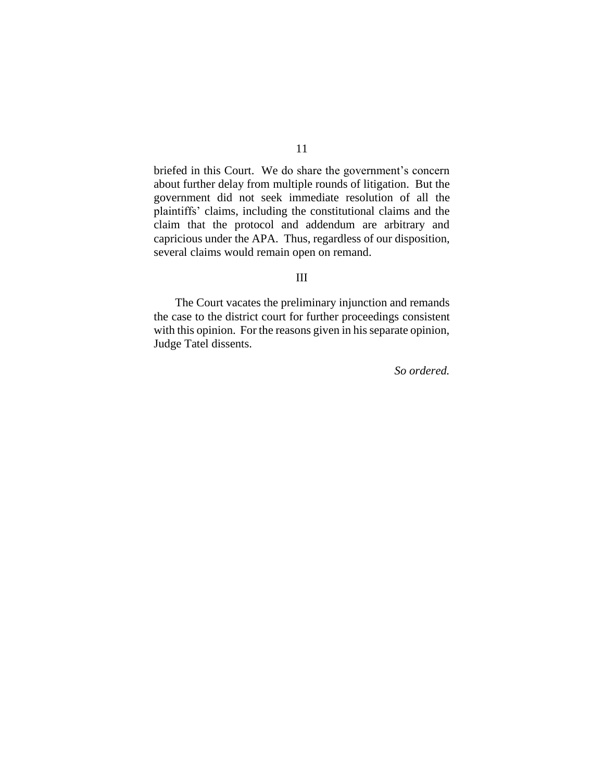briefed in this Court. We do share the government's concern about further delay from multiple rounds of litigation. But the government did not seek immediate resolution of all the plaintiffs' claims, including the constitutional claims and the claim that the protocol and addendum are arbitrary and capricious under the APA. Thus, regardless of our disposition, several claims would remain open on remand.

#### III

The Court vacates the preliminary injunction and remands the case to the district court for further proceedings consistent with this opinion. For the reasons given in his separate opinion, Judge Tatel dissents.

*So ordered.*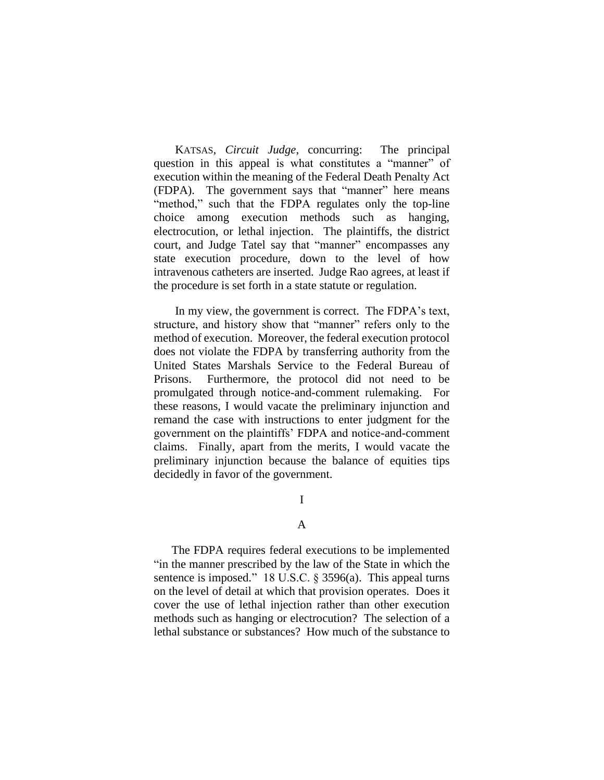KATSAS, *Circuit Judge*, concurring: The principal question in this appeal is what constitutes a "manner" of execution within the meaning of the Federal Death Penalty Act (FDPA). The government says that "manner" here means "method," such that the FDPA regulates only the top-line choice among execution methods such as hanging, electrocution, or lethal injection. The plaintiffs, the district court, and Judge Tatel say that "manner" encompasses any state execution procedure, down to the level of how intravenous catheters are inserted. Judge Rao agrees, at least if the procedure is set forth in a state statute or regulation.

In my view, the government is correct. The FDPA's text, structure, and history show that "manner" refers only to the method of execution. Moreover, the federal execution protocol does not violate the FDPA by transferring authority from the United States Marshals Service to the Federal Bureau of Prisons. Furthermore, the protocol did not need to be promulgated through notice-and-comment rulemaking. For these reasons, I would vacate the preliminary injunction and remand the case with instructions to enter judgment for the government on the plaintiffs' FDPA and notice-and-comment claims. Finally, apart from the merits, I would vacate the preliminary injunction because the balance of equities tips decidedly in favor of the government.

I

#### A

The FDPA requires federal executions to be implemented "in the manner prescribed by the law of the State in which the sentence is imposed." 18 U.S.C. § 3596(a). This appeal turns on the level of detail at which that provision operates. Does it cover the use of lethal injection rather than other execution methods such as hanging or electrocution? The selection of a lethal substance or substances? How much of the substance to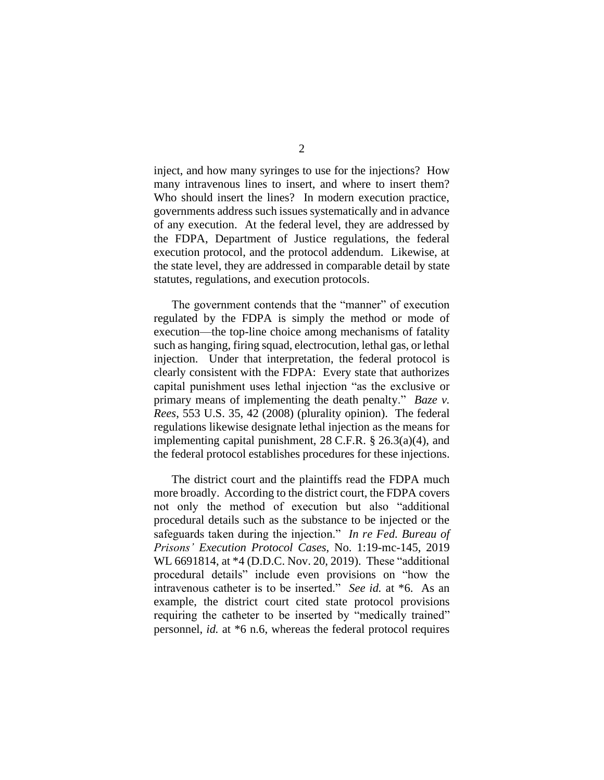inject, and how many syringes to use for the injections? How many intravenous lines to insert, and where to insert them? Who should insert the lines? In modern execution practice, governments address such issues systematically and in advance of any execution. At the federal level, they are addressed by the FDPA, Department of Justice regulations, the federal execution protocol, and the protocol addendum. Likewise, at the state level, they are addressed in comparable detail by state statutes, regulations, and execution protocols.

The government contends that the "manner" of execution regulated by the FDPA is simply the method or mode of execution—the top-line choice among mechanisms of fatality such as hanging, firing squad, electrocution, lethal gas, or lethal injection. Under that interpretation, the federal protocol is clearly consistent with the FDPA: Every state that authorizes capital punishment uses lethal injection "as the exclusive or primary means of implementing the death penalty." *Baze v. Rees*, 553 U.S. 35, 42 (2008) (plurality opinion). The federal regulations likewise designate lethal injection as the means for implementing capital punishment, 28 C.F.R. § 26.3(a)(4), and the federal protocol establishes procedures for these injections.

The district court and the plaintiffs read the FDPA much more broadly. According to the district court, the FDPA covers not only the method of execution but also "additional procedural details such as the substance to be injected or the safeguards taken during the injection." *In re Fed. Bureau of Prisons' Execution Protocol Cases*, No. 1:19-mc-145, 2019 WL 6691814, at \*4 (D.D.C. Nov. 20, 2019). These "additional procedural details" include even provisions on "how the intravenous catheter is to be inserted." *See id.* at \*6. As an example, the district court cited state protocol provisions requiring the catheter to be inserted by "medically trained" personnel, *id.* at \*6 n.6, whereas the federal protocol requires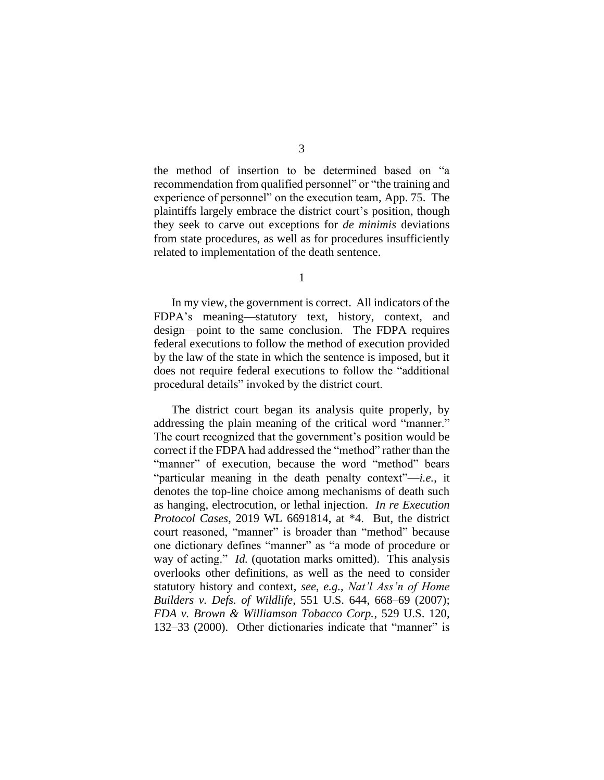the method of insertion to be determined based on "a recommendation from qualified personnel" or "the training and experience of personnel" on the execution team, App. 75. The plaintiffs largely embrace the district court's position, though they seek to carve out exceptions for *de minimis* deviations from state procedures, as well as for procedures insufficiently related to implementation of the death sentence.

1

In my view, the government is correct. All indicators of the FDPA's meaning—statutory text, history, context, and design—point to the same conclusion. The FDPA requires federal executions to follow the method of execution provided by the law of the state in which the sentence is imposed, but it does not require federal executions to follow the "additional procedural details" invoked by the district court.

The district court began its analysis quite properly, by addressing the plain meaning of the critical word "manner." The court recognized that the government's position would be correct if the FDPA had addressed the "method" rather than the "manner" of execution, because the word "method" bears "particular meaning in the death penalty context"—*i.e.*, it denotes the top-line choice among mechanisms of death such as hanging, electrocution, or lethal injection. *In re Execution Protocol Cases*, 2019 WL 6691814, at \*4. But, the district court reasoned, "manner" is broader than "method" because one dictionary defines "manner" as "a mode of procedure or way of acting." *Id.* (quotation marks omitted). This analysis overlooks other definitions, as well as the need to consider statutory history and context, *see*, *e.g.*, *Nat'l Ass'n of Home Builders v. Defs. of Wildlife*, 551 U.S. 644, 668–69 (2007); *FDA v. Brown & Williamson Tobacco Corp.*, 529 U.S. 120, 132–33 (2000). Other dictionaries indicate that "manner" is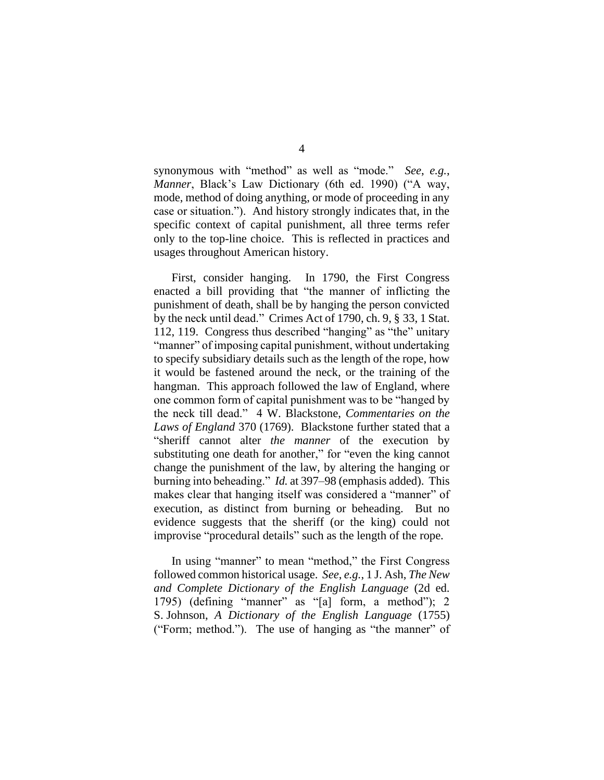synonymous with "method" as well as "mode." *See*, *e.g.*, *Manner*, Black's Law Dictionary (6th ed. 1990) ("A way, mode, method of doing anything, or mode of proceeding in any case or situation."). And history strongly indicates that, in the specific context of capital punishment, all three terms refer only to the top-line choice. This is reflected in practices and usages throughout American history.

First, consider hanging. In 1790, the First Congress enacted a bill providing that "the manner of inflicting the punishment of death, shall be by hanging the person convicted by the neck until dead." Crimes Act of 1790, ch. 9, § 33, 1 Stat. 112, 119. Congress thus described "hanging" as "the" unitary "manner" of imposing capital punishment, without undertaking to specify subsidiary details such as the length of the rope, how it would be fastened around the neck, or the training of the hangman. This approach followed the law of England, where one common form of capital punishment was to be "hanged by the neck till dead." 4 W. Blackstone, *Commentaries on the Laws of England* 370 (1769). Blackstone further stated that a "sheriff cannot alter *the manner* of the execution by substituting one death for another," for "even the king cannot change the punishment of the law, by altering the hanging or burning into beheading." *Id.* at 397–98 (emphasis added). This makes clear that hanging itself was considered a "manner" of execution, as distinct from burning or beheading. But no evidence suggests that the sheriff (or the king) could not improvise "procedural details" such as the length of the rope.

In using "manner" to mean "method," the First Congress followed common historical usage. *See*, *e.g.*, 1 J. Ash, *The New and Complete Dictionary of the English Language* (2d ed. 1795) (defining "manner" as "[a] form, a method"); 2 S. Johnson, *A Dictionary of the English Language* (1755) ("Form; method."). The use of hanging as "the manner" of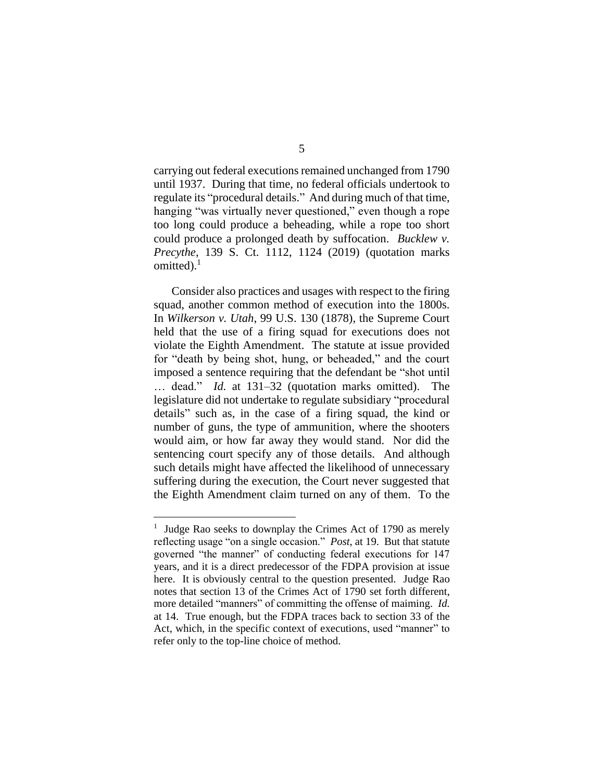carrying out federal executions remained unchanged from 1790 until 1937. During that time, no federal officials undertook to regulate its "procedural details." And during much of that time, hanging "was virtually never questioned," even though a rope too long could produce a beheading, while a rope too short could produce a prolonged death by suffocation. *Bucklew v. Precythe*, 139 S. Ct. 1112, 1124 (2019) (quotation marks omitted). $<sup>1</sup>$ </sup>

Consider also practices and usages with respect to the firing squad, another common method of execution into the 1800s. In *Wilkerson v. Utah*, 99 U.S. 130 (1878), the Supreme Court held that the use of a firing squad for executions does not violate the Eighth Amendment. The statute at issue provided for "death by being shot, hung, or beheaded," and the court imposed a sentence requiring that the defendant be "shot until … dead." *Id.* at 131–32 (quotation marks omitted). The legislature did not undertake to regulate subsidiary "procedural details" such as, in the case of a firing squad, the kind or number of guns, the type of ammunition, where the shooters would aim, or how far away they would stand. Nor did the sentencing court specify any of those details. And although such details might have affected the likelihood of unnecessary suffering during the execution, the Court never suggested that the Eighth Amendment claim turned on any of them. To the

## 5

<sup>&</sup>lt;sup>1</sup> Judge Rao seeks to downplay the Crimes Act of 1790 as merely reflecting usage "on a single occasion." *Post*, at 19. But that statute governed "the manner" of conducting federal executions for 147 years, and it is a direct predecessor of the FDPA provision at issue here. It is obviously central to the question presented. Judge Rao notes that section 13 of the Crimes Act of 1790 set forth different, more detailed "manners" of committing the offense of maiming. *Id.* at 14. True enough, but the FDPA traces back to section 33 of the Act, which, in the specific context of executions, used "manner" to refer only to the top-line choice of method.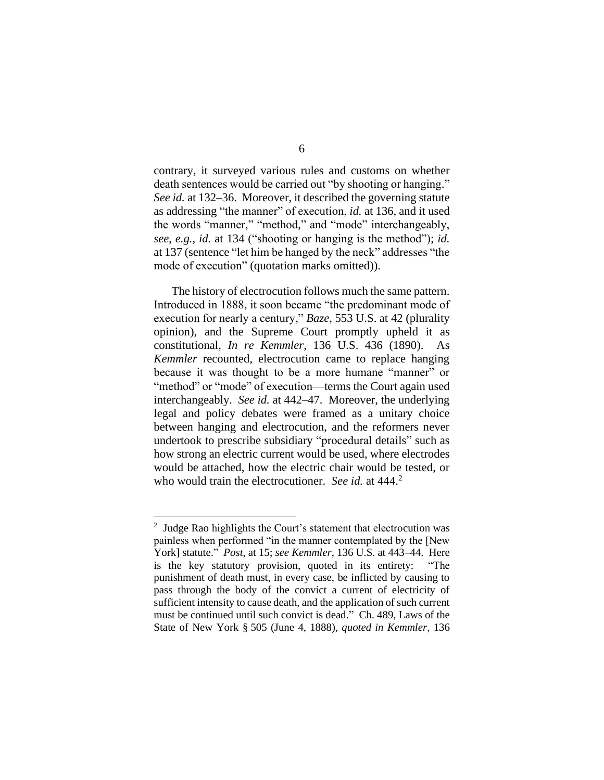contrary, it surveyed various rules and customs on whether death sentences would be carried out "by shooting or hanging." *See id.* at 132–36. Moreover, it described the governing statute as addressing "the manner" of execution, *id.* at 136, and it used the words "manner," "method," and "mode" interchangeably, *see*, *e.g.*, *id.* at 134 ("shooting or hanging is the method"); *id.* at 137 (sentence "let him be hanged by the neck" addresses "the mode of execution" (quotation marks omitted)).

The history of electrocution follows much the same pattern. Introduced in 1888, it soon became "the predominant mode of execution for nearly a century," *Baze*, 553 U.S. at 42 (plurality opinion), and the Supreme Court promptly upheld it as constitutional, *In re Kemmler*, 136 U.S. 436 (1890). As *Kemmler* recounted, electrocution came to replace hanging because it was thought to be a more humane "manner" or "method" or "mode" of execution—terms the Court again used interchangeably. *See id.* at 442–47. Moreover, the underlying legal and policy debates were framed as a unitary choice between hanging and electrocution, and the reformers never undertook to prescribe subsidiary "procedural details" such as how strong an electric current would be used, where electrodes would be attached, how the electric chair would be tested, or who would train the electrocutioner. *See id.* at 444.<sup>2</sup>

# 6

 $2$  Judge Rao highlights the Court's statement that electrocution was painless when performed "in the manner contemplated by the [New York] statute." *Post*, at 15; *see Kemmler*, 136 U.S. at 443–44. Here is the key statutory provision, quoted in its entirety: "The punishment of death must, in every case, be inflicted by causing to pass through the body of the convict a current of electricity of sufficient intensity to cause death, and the application of such current must be continued until such convict is dead." Ch. 489, Laws of the State of New York § 505 (June 4, 1888), *quoted in Kemmler*, 136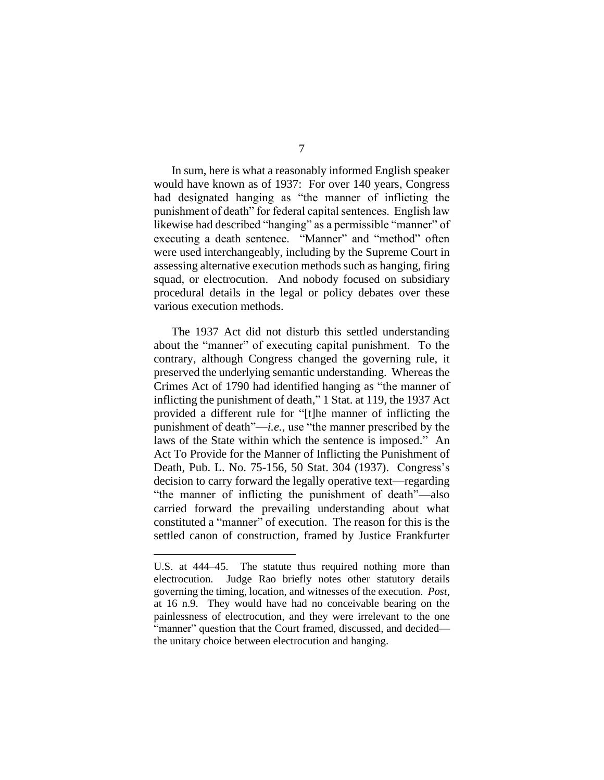7

In sum, here is what a reasonably informed English speaker would have known as of 1937: For over 140 years, Congress had designated hanging as "the manner of inflicting the punishment of death" for federal capital sentences. English law likewise had described "hanging" as a permissible "manner" of executing a death sentence. "Manner" and "method" often were used interchangeably, including by the Supreme Court in assessing alternative execution methods such as hanging, firing squad, or electrocution. And nobody focused on subsidiary procedural details in the legal or policy debates over these various execution methods.

The 1937 Act did not disturb this settled understanding about the "manner" of executing capital punishment. To the contrary, although Congress changed the governing rule, it preserved the underlying semantic understanding. Whereas the Crimes Act of 1790 had identified hanging as "the manner of inflicting the punishment of death," 1 Stat. at 119, the 1937 Act provided a different rule for "[t]he manner of inflicting the punishment of death"—*i.e.*, use "the manner prescribed by the laws of the State within which the sentence is imposed." An Act To Provide for the Manner of Inflicting the Punishment of Death, Pub. L. No. 75-156, 50 Stat. 304 (1937). Congress's decision to carry forward the legally operative text—regarding "the manner of inflicting the punishment of death"—also carried forward the prevailing understanding about what constituted a "manner" of execution. The reason for this is the settled canon of construction, framed by Justice Frankfurter

U.S. at 444–45. The statute thus required nothing more than electrocution. Judge Rao briefly notes other statutory details governing the timing, location, and witnesses of the execution. *Post*, at 16 n.9. They would have had no conceivable bearing on the painlessness of electrocution, and they were irrelevant to the one "manner" question that the Court framed, discussed, and decided the unitary choice between electrocution and hanging.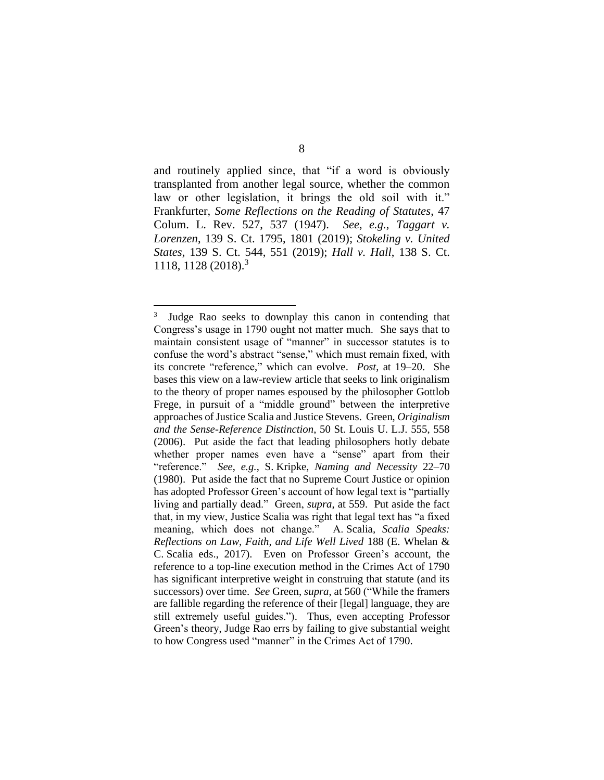and routinely applied since, that "if a word is obviously transplanted from another legal source, whether the common law or other legislation, it brings the old soil with it." Frankfurter, *Some Reflections on the Reading of Statutes*, 47 Colum. L. Rev. 527, 537 (1947). *See*, *e.g.*, *Taggart v. Lorenzen*, 139 S. Ct. 1795, 1801 (2019); *Stokeling v. United States*, 139 S. Ct. 544, 551 (2019); *Hall v. Hall*, 138 S. Ct. 1118, 1128 (2018). 3

<sup>3</sup> Judge Rao seeks to downplay this canon in contending that Congress's usage in 1790 ought not matter much. She says that to maintain consistent usage of "manner" in successor statutes is to confuse the word's abstract "sense," which must remain fixed, with its concrete "reference," which can evolve. *Post*, at 19–20. She bases this view on a law-review article that seeks to link originalism to the theory of proper names espoused by the philosopher Gottlob Frege, in pursuit of a "middle ground" between the interpretive approaches of Justice Scalia and Justice Stevens. Green, *Originalism and the Sense-Reference Distinction*, 50 St. Louis U. L.J. 555, 558 (2006). Put aside the fact that leading philosophers hotly debate whether proper names even have a "sense" apart from their "reference." *See*, *e.g.*, S. Kripke, *Naming and Necessity* 22–70 (1980). Put aside the fact that no Supreme Court Justice or opinion has adopted Professor Green's account of how legal text is "partially living and partially dead." Green, *supra*, at 559. Put aside the fact that, in my view, Justice Scalia was right that legal text has "a fixed meaning, which does not change." A. Scalia*, Scalia Speaks: Reflections on Law, Faith, and Life Well Lived* 188 (E. Whelan & C. Scalia eds., 2017). Even on Professor Green's account, the reference to a top-line execution method in the Crimes Act of 1790 has significant interpretive weight in construing that statute (and its successors) over time. *See* Green, *supra*, at 560 ("While the framers are fallible regarding the reference of their [legal] language, they are still extremely useful guides."). Thus, even accepting Professor Green's theory, Judge Rao errs by failing to give substantial weight to how Congress used "manner" in the Crimes Act of 1790.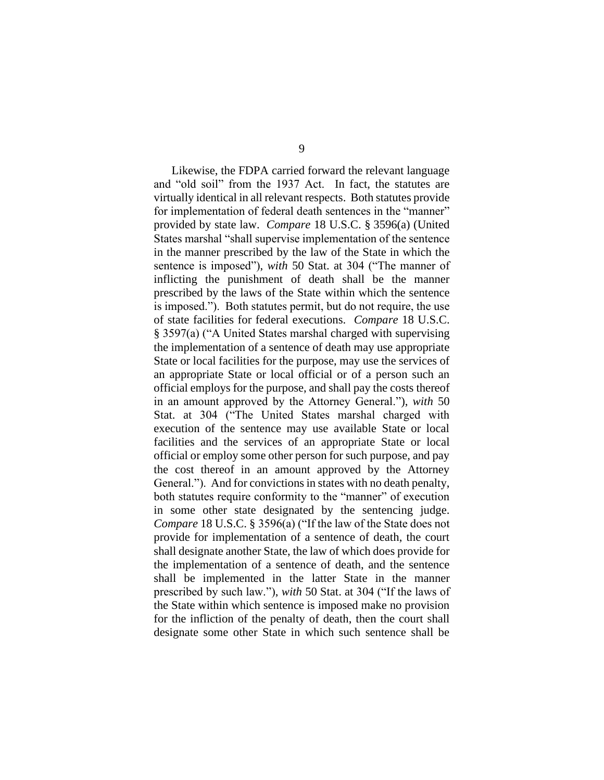Likewise, the FDPA carried forward the relevant language and "old soil" from the 1937 Act. In fact, the statutes are virtually identical in all relevant respects. Both statutes provide for implementation of federal death sentences in the "manner" provided by state law. *Compare* 18 U.S.C. § 3596(a) (United States marshal "shall supervise implementation of the sentence in the manner prescribed by the law of the State in which the sentence is imposed"), *with* 50 Stat. at 304 ("The manner of inflicting the punishment of death shall be the manner prescribed by the laws of the State within which the sentence is imposed."). Both statutes permit, but do not require, the use of state facilities for federal executions. *Compare* 18 U.S.C. § 3597(a) ("A United States marshal charged with supervising the implementation of a sentence of death may use appropriate State or local facilities for the purpose, may use the services of an appropriate State or local official or of a person such an official employs for the purpose, and shall pay the costs thereof in an amount approved by the Attorney General."), *with* 50 Stat. at 304 ("The United States marshal charged with execution of the sentence may use available State or local facilities and the services of an appropriate State or local official or employ some other person for such purpose, and pay the cost thereof in an amount approved by the Attorney General."). And for convictions in states with no death penalty, both statutes require conformity to the "manner" of execution in some other state designated by the sentencing judge. *Compare* 18 U.S.C. § 3596(a) ("If the law of the State does not provide for implementation of a sentence of death, the court shall designate another State, the law of which does provide for the implementation of a sentence of death, and the sentence shall be implemented in the latter State in the manner prescribed by such law."), *with* 50 Stat. at 304 ("If the laws of the State within which sentence is imposed make no provision for the infliction of the penalty of death, then the court shall designate some other State in which such sentence shall be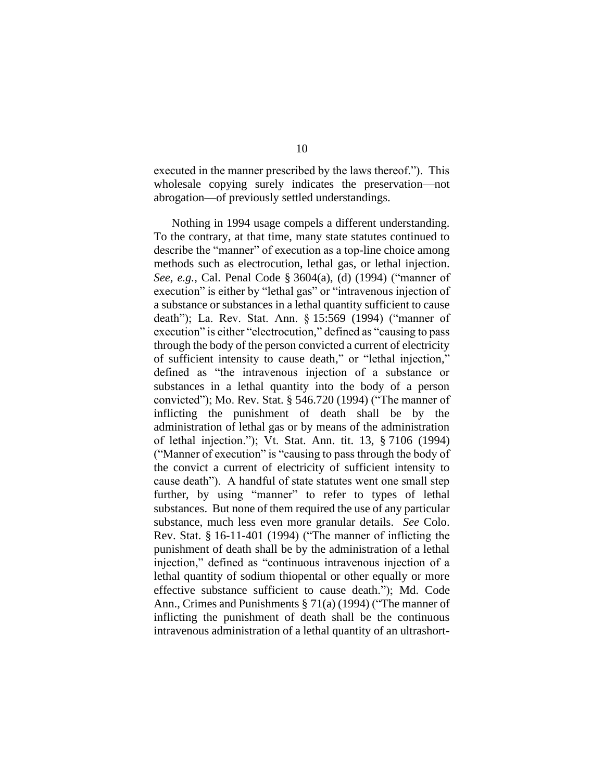executed in the manner prescribed by the laws thereof."). This wholesale copying surely indicates the preservation—not abrogation—of previously settled understandings.

Nothing in 1994 usage compels a different understanding. To the contrary, at that time, many state statutes continued to describe the "manner" of execution as a top-line choice among methods such as electrocution, lethal gas, or lethal injection. *See*, *e.g.*, Cal. Penal Code § 3604(a), (d) (1994) ("manner of execution" is either by "lethal gas" or "intravenous injection of a substance or substances in a lethal quantity sufficient to cause death"); La. Rev. Stat. Ann. § 15:569 (1994) ("manner of execution" is either "electrocution," defined as "causing to pass through the body of the person convicted a current of electricity of sufficient intensity to cause death," or "lethal injection," defined as "the intravenous injection of a substance or substances in a lethal quantity into the body of a person convicted"); Mo. Rev. Stat. § 546.720 (1994) ("The manner of inflicting the punishment of death shall be by the administration of lethal gas or by means of the administration of lethal injection."); Vt. Stat. Ann. tit. 13, § 7106 (1994) ("Manner of execution" is "causing to pass through the body of the convict a current of electricity of sufficient intensity to cause death"). A handful of state statutes went one small step further, by using "manner" to refer to types of lethal substances. But none of them required the use of any particular substance, much less even more granular details. *See* Colo. Rev. Stat. § 16-11-401 (1994) ("The manner of inflicting the punishment of death shall be by the administration of a lethal injection," defined as "continuous intravenous injection of a lethal quantity of sodium thiopental or other equally or more effective substance sufficient to cause death."); Md. Code Ann., Crimes and Punishments § 71(a) (1994) ("The manner of inflicting the punishment of death shall be the continuous intravenous administration of a lethal quantity of an ultrashort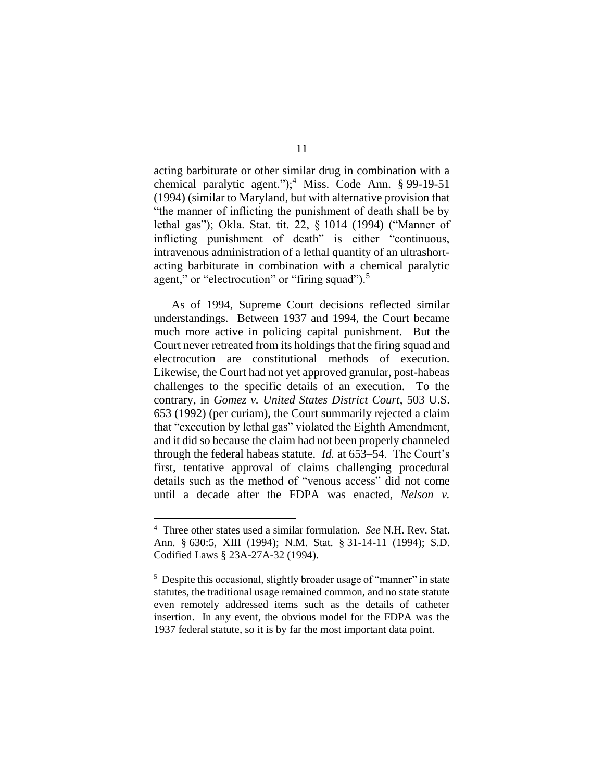acting barbiturate or other similar drug in combination with a chemical paralytic agent.");<sup>4</sup> Miss. Code Ann.  $\S$  99-19-51 (1994) (similar to Maryland, but with alternative provision that "the manner of inflicting the punishment of death shall be by lethal gas"); Okla. Stat. tit. 22, § 1014 (1994) ("Manner of inflicting punishment of death" is either "continuous, intravenous administration of a lethal quantity of an ultrashortacting barbiturate in combination with a chemical paralytic agent," or "electrocution" or "firing squad").<sup>5</sup>

As of 1994, Supreme Court decisions reflected similar understandings. Between 1937 and 1994, the Court became much more active in policing capital punishment. But the Court never retreated from its holdings that the firing squad and electrocution are constitutional methods of execution. Likewise, the Court had not yet approved granular, post-habeas challenges to the specific details of an execution. To the contrary, in *Gomez v. United States District Court*, 503 U.S. 653 (1992) (per curiam), the Court summarily rejected a claim that "execution by lethal gas" violated the Eighth Amendment, and it did so because the claim had not been properly channeled through the federal habeas statute. *Id.* at 653–54. The Court's first, tentative approval of claims challenging procedural details such as the method of "venous access" did not come until a decade after the FDPA was enacted, *Nelson v.* 

<sup>4</sup> Three other states used a similar formulation. *See* N.H. Rev. Stat. Ann. § 630:5, XIII (1994); N.M. Stat. § 31-14-11 (1994); S.D. Codified Laws § 23A-27A-32 (1994).

<sup>&</sup>lt;sup>5</sup> Despite this occasional, slightly broader usage of "manner" in state statutes, the traditional usage remained common, and no state statute even remotely addressed items such as the details of catheter insertion. In any event, the obvious model for the FDPA was the 1937 federal statute, so it is by far the most important data point.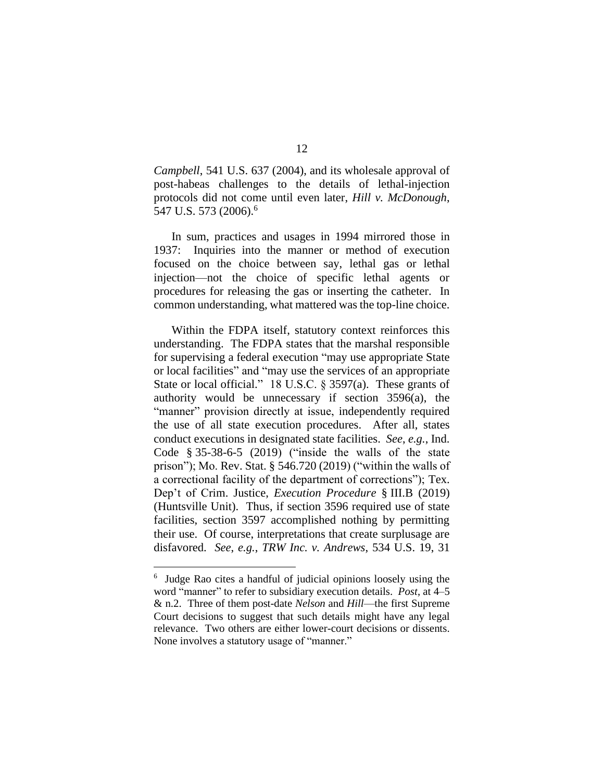*Campbell*, 541 U.S. 637 (2004), and its wholesale approval of post-habeas challenges to the details of lethal-injection protocols did not come until even later, *Hill v. McDonough*, 547 U.S. 573 (2006).<sup>6</sup>

In sum, practices and usages in 1994 mirrored those in 1937: Inquiries into the manner or method of execution focused on the choice between say, lethal gas or lethal injection—not the choice of specific lethal agents or procedures for releasing the gas or inserting the catheter. In common understanding, what mattered was the top-line choice.

Within the FDPA itself, statutory context reinforces this understanding. The FDPA states that the marshal responsible for supervising a federal execution "may use appropriate State or local facilities" and "may use the services of an appropriate State or local official." 18 U.S.C. § 3597(a). These grants of authority would be unnecessary if section 3596(a), the "manner" provision directly at issue, independently required the use of all state execution procedures. After all, states conduct executions in designated state facilities. *See*, *e.g.*, Ind. Code § 35-38-6-5 (2019) ("inside the walls of the state prison"); Mo. Rev. Stat. § 546.720 (2019) ("within the walls of a correctional facility of the department of corrections"); Tex. Dep't of Crim. Justice, *Execution Procedure* § III.B (2019) (Huntsville Unit). Thus, if section 3596 required use of state facilities, section 3597 accomplished nothing by permitting their use. Of course, interpretations that create surplusage are disfavored. *See*, *e.g.*, *TRW Inc. v. Andrews*, 534 U.S. 19, 31

<sup>6</sup> Judge Rao cites a handful of judicial opinions loosely using the word "manner" to refer to subsidiary execution details. *Post*, at 4–5 & n.2. Three of them post-date *Nelson* and *Hill*—the first Supreme Court decisions to suggest that such details might have any legal relevance. Two others are either lower-court decisions or dissents. None involves a statutory usage of "manner."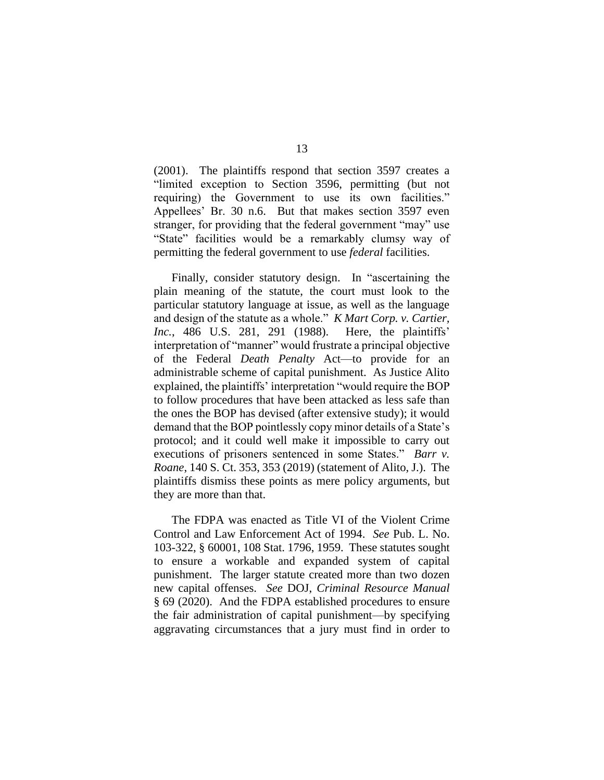(2001). The plaintiffs respond that section 3597 creates a "limited exception to Section 3596, permitting (but not requiring) the Government to use its own facilities." Appellees' Br. 30 n.6. But that makes section 3597 even stranger, for providing that the federal government "may" use "State" facilities would be a remarkably clumsy way of permitting the federal government to use *federal* facilities.

Finally, consider statutory design. In "ascertaining the plain meaning of the statute, the court must look to the particular statutory language at issue, as well as the language and design of the statute as a whole." *K Mart Corp. v. Cartier, Inc.*, 486 U.S. 281, 291 (1988). Here, the plaintiffs' interpretation of "manner" would frustrate a principal objective of the Federal *Death Penalty* Act—to provide for an administrable scheme of capital punishment. As Justice Alito explained, the plaintiffs' interpretation "would require the BOP to follow procedures that have been attacked as less safe than the ones the BOP has devised (after extensive study); it would demand that the BOP pointlessly copy minor details of a State's protocol; and it could well make it impossible to carry out executions of prisoners sentenced in some States." *Barr v. Roane*, 140 S. Ct. 353, 353 (2019) (statement of Alito, J.). The plaintiffs dismiss these points as mere policy arguments, but they are more than that.

The FDPA was enacted as Title VI of the Violent Crime Control and Law Enforcement Act of 1994. *See* Pub. L. No. 103-322, § 60001, 108 Stat. 1796, 1959. These statutes sought to ensure a workable and expanded system of capital punishment. The larger statute created more than two dozen new capital offenses. *See* DOJ, *Criminal Resource Manual* § 69 (2020). And the FDPA established procedures to ensure the fair administration of capital punishment—by specifying aggravating circumstances that a jury must find in order to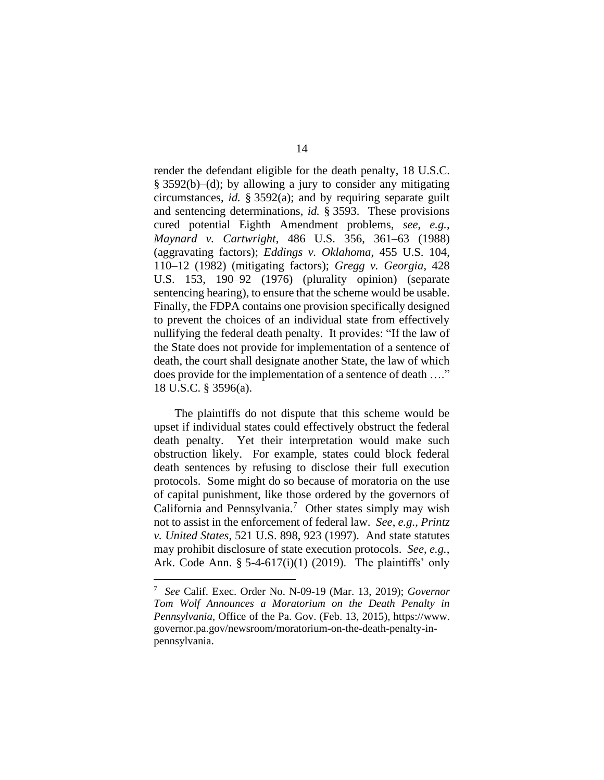render the defendant eligible for the death penalty, 18 U.S.C. § 3592(b)–(d); by allowing a jury to consider any mitigating circumstances, *id.* § 3592(a); and by requiring separate guilt and sentencing determinations, *id.* § 3593. These provisions cured potential Eighth Amendment problems, *see*, *e.g.*, *Maynard v. Cartwright*, 486 U.S. 356, 361–63 (1988) (aggravating factors); *Eddings v. Oklahoma*, 455 U.S. 104, 110–12 (1982) (mitigating factors); *Gregg v. Georgia*, 428 U.S. 153, 190–92 (1976) (plurality opinion) (separate sentencing hearing), to ensure that the scheme would be usable. Finally, the FDPA contains one provision specifically designed to prevent the choices of an individual state from effectively nullifying the federal death penalty. It provides: "If the law of the State does not provide for implementation of a sentence of death, the court shall designate another State, the law of which does provide for the implementation of a sentence of death …." 18 U.S.C. § 3596(a).

The plaintiffs do not dispute that this scheme would be upset if individual states could effectively obstruct the federal death penalty. Yet their interpretation would make such obstruction likely. For example, states could block federal death sentences by refusing to disclose their full execution protocols. Some might do so because of moratoria on the use of capital punishment, like those ordered by the governors of California and Pennsylvania.<sup>7</sup> Other states simply may wish not to assist in the enforcement of federal law. *See*, *e.g.*, *Printz v. United States*, 521 U.S. 898, 923 (1997). And state statutes may prohibit disclosure of state execution protocols. *See*, *e.g.*, Ark. Code Ann. § 5-4-617(i)(1) (2019). The plaintiffs' only

<sup>7</sup> *See* Calif. Exec. Order No. N-09-19 (Mar. 13, 2019); *Governor Tom Wolf Announces a Moratorium on the Death Penalty in Pennsylvania*, Office of the Pa. Gov. (Feb. 13, 2015), https://www. governor.pa.gov/newsroom/moratorium-on-the-death-penalty-inpennsylvania.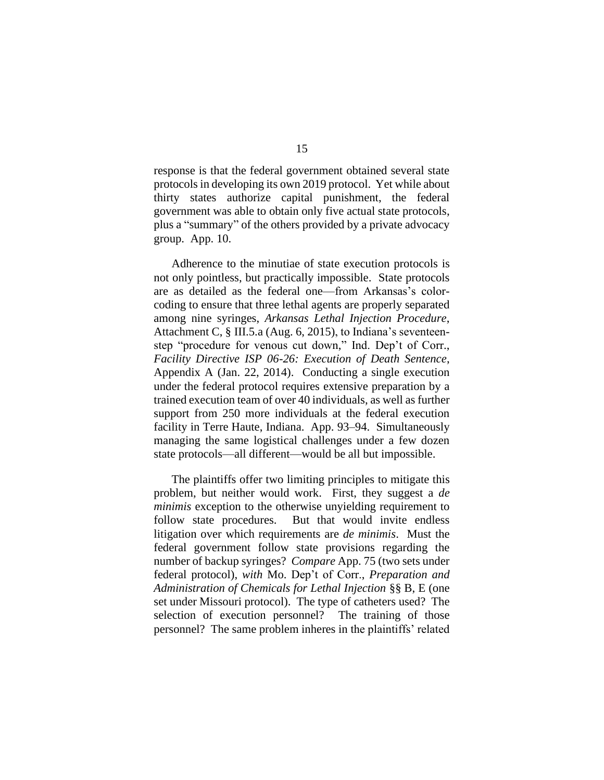response is that the federal government obtained several state protocols in developing its own 2019 protocol. Yet while about thirty states authorize capital punishment, the federal government was able to obtain only five actual state protocols, plus a "summary" of the others provided by a private advocacy group. App. 10.

Adherence to the minutiae of state execution protocols is not only pointless, but practically impossible. State protocols are as detailed as the federal one—from Arkansas's colorcoding to ensure that three lethal agents are properly separated among nine syringes, *Arkansas Lethal Injection Procedure*, Attachment C, § III.5.a (Aug. 6, 2015), to Indiana's seventeenstep "procedure for venous cut down," Ind. Dep't of Corr., *Facility Directive ISP 06-26: Execution of Death Sentence*, Appendix A (Jan. 22, 2014). Conducting a single execution under the federal protocol requires extensive preparation by a trained execution team of over 40 individuals, as well as further support from 250 more individuals at the federal execution facility in Terre Haute, Indiana. App. 93–94. Simultaneously managing the same logistical challenges under a few dozen state protocols—all different—would be all but impossible.

The plaintiffs offer two limiting principles to mitigate this problem, but neither would work. First, they suggest a *de minimis* exception to the otherwise unyielding requirement to follow state procedures. But that would invite endless litigation over which requirements are *de minimis*. Must the federal government follow state provisions regarding the number of backup syringes? *Compare* App. 75 (two sets under federal protocol), *with* Mo. Dep't of Corr., *Preparation and Administration of Chemicals for Lethal Injection* §§ B, E (one set under Missouri protocol). The type of catheters used? The selection of execution personnel? The training of those personnel? The same problem inheres in the plaintiffs' related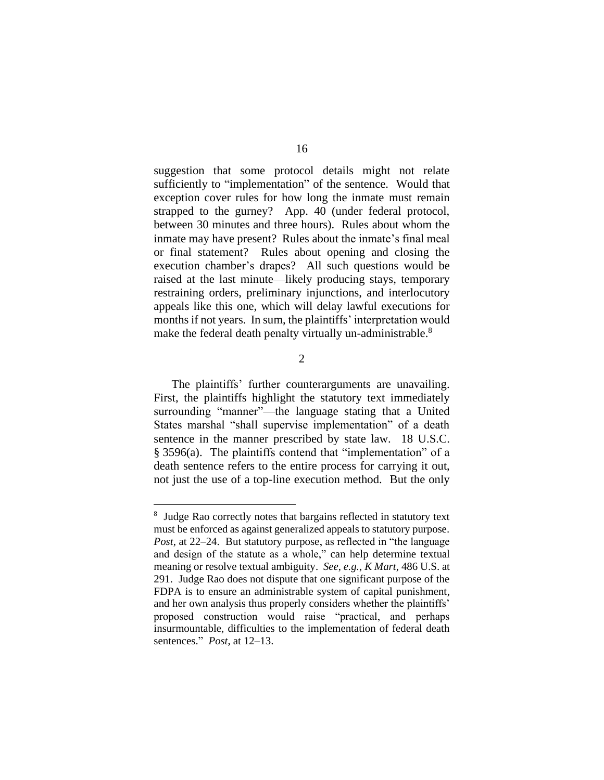suggestion that some protocol details might not relate sufficiently to "implementation" of the sentence. Would that exception cover rules for how long the inmate must remain strapped to the gurney? App. 40 (under federal protocol, between 30 minutes and three hours). Rules about whom the inmate may have present? Rules about the inmate's final meal or final statement? Rules about opening and closing the execution chamber's drapes? All such questions would be raised at the last minute—likely producing stays, temporary restraining orders, preliminary injunctions, and interlocutory appeals like this one, which will delay lawful executions for months if not years. In sum, the plaintiffs' interpretation would make the federal death penalty virtually un-administrable.<sup>8</sup>

2

The plaintiffs' further counterarguments are unavailing. First, the plaintiffs highlight the statutory text immediately surrounding "manner"—the language stating that a United States marshal "shall supervise implementation" of a death sentence in the manner prescribed by state law. 18 U.S.C. § 3596(a). The plaintiffs contend that "implementation" of a death sentence refers to the entire process for carrying it out, not just the use of a top-line execution method. But the only

<sup>&</sup>lt;sup>8</sup> Judge Rao correctly notes that bargains reflected in statutory text must be enforced as against generalized appeals to statutory purpose. *Post*, at 22–24. But statutory purpose, as reflected in "the language and design of the statute as a whole," can help determine textual meaning or resolve textual ambiguity. *See*, *e.g.*, *K Mart*, 486 U.S. at 291. Judge Rao does not dispute that one significant purpose of the FDPA is to ensure an administrable system of capital punishment, and her own analysis thus properly considers whether the plaintiffs' proposed construction would raise "practical, and perhaps insurmountable, difficulties to the implementation of federal death sentences." *Post*, at 12–13.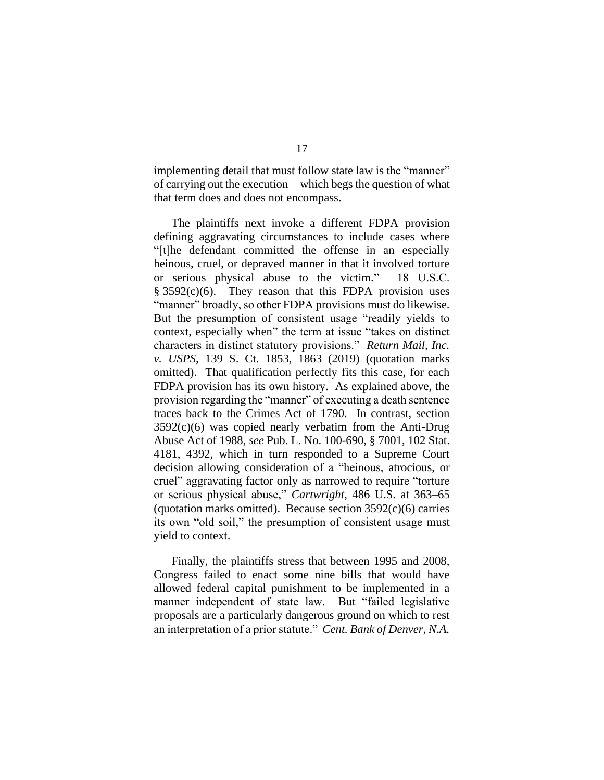implementing detail that must follow state law is the "manner" of carrying out the execution—which begs the question of what that term does and does not encompass.

The plaintiffs next invoke a different FDPA provision defining aggravating circumstances to include cases where "[t]he defendant committed the offense in an especially heinous, cruel, or depraved manner in that it involved torture or serious physical abuse to the victim." 18 U.S.C.  $§ 3592(c)(6)$ . They reason that this FDPA provision uses "manner" broadly, so other FDPA provisions must do likewise. But the presumption of consistent usage "readily yields to context, especially when" the term at issue "takes on distinct characters in distinct statutory provisions." *Return Mail, Inc. v. USPS*, 139 S. Ct. 1853, 1863 (2019) (quotation marks omitted). That qualification perfectly fits this case, for each FDPA provision has its own history. As explained above, the provision regarding the "manner" of executing a death sentence traces back to the Crimes Act of 1790. In contrast, section  $3592(c)(6)$  was copied nearly verbatim from the Anti-Drug Abuse Act of 1988, *see* Pub. L. No. 100-690, § 7001, 102 Stat. 4181, 4392, which in turn responded to a Supreme Court decision allowing consideration of a "heinous, atrocious, or cruel" aggravating factor only as narrowed to require "torture or serious physical abuse," *Cartwright*, 486 U.S. at 363–65 (quotation marks omitted). Because section  $3592(c)(6)$  carries its own "old soil," the presumption of consistent usage must yield to context.

Finally, the plaintiffs stress that between 1995 and 2008, Congress failed to enact some nine bills that would have allowed federal capital punishment to be implemented in a manner independent of state law. But "failed legislative proposals are a particularly dangerous ground on which to rest an interpretation of a prior statute." *Cent. Bank of Denver, N.A.*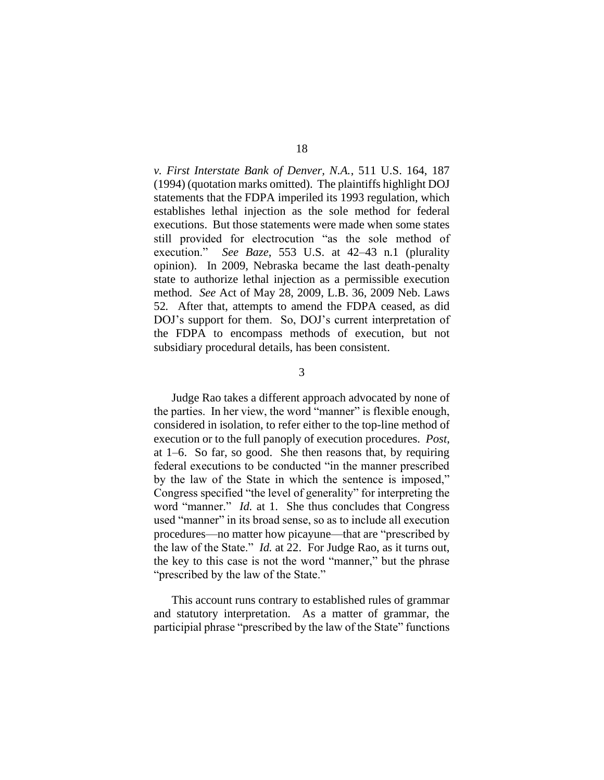*v. First Interstate Bank of Denver, N.A.*, 511 U.S. 164, 187 (1994) (quotation marks omitted). The plaintiffs highlight DOJ statements that the FDPA imperiled its 1993 regulation, which establishes lethal injection as the sole method for federal executions. But those statements were made when some states still provided for electrocution "as the sole method of execution." *See Baze*, 553 U.S. at 42–43 n.1 (plurality opinion). In 2009, Nebraska became the last death-penalty state to authorize lethal injection as a permissible execution method. *See* Act of May 28, 2009, L.B. 36, 2009 Neb. Laws 52*.* After that, attempts to amend the FDPA ceased, as did DOJ's support for them. So, DOJ's current interpretation of the FDPA to encompass methods of execution, but not subsidiary procedural details, has been consistent.

3

Judge Rao takes a different approach advocated by none of the parties. In her view, the word "manner" is flexible enough, considered in isolation, to refer either to the top-line method of execution or to the full panoply of execution procedures. *Post*, at 1–6. So far, so good. She then reasons that, by requiring federal executions to be conducted "in the manner prescribed by the law of the State in which the sentence is imposed," Congress specified "the level of generality" for interpreting the word "manner." *Id.* at 1. She thus concludes that Congress used "manner" in its broad sense, so as to include all execution procedures—no matter how picayune—that are "prescribed by the law of the State." *Id.* at 22. For Judge Rao, as it turns out, the key to this case is not the word "manner," but the phrase "prescribed by the law of the State."

This account runs contrary to established rules of grammar and statutory interpretation. As a matter of grammar, the participial phrase "prescribed by the law of the State" functions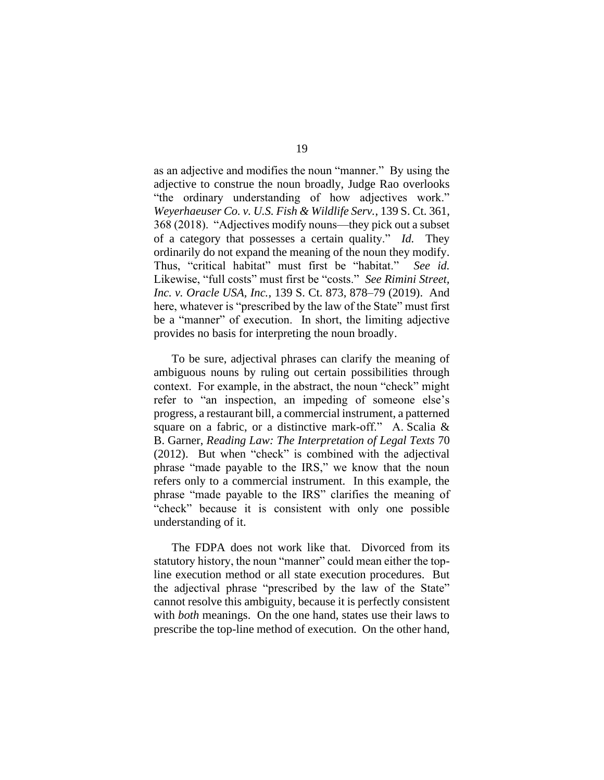as an adjective and modifies the noun "manner." By using the adjective to construe the noun broadly, Judge Rao overlooks "the ordinary understanding of how adjectives work." *Weyerhaeuser Co. v. U.S. Fish & Wildlife Serv.*, 139 S. Ct. 361, 368 (2018). "Adjectives modify nouns—they pick out a subset of a category that possesses a certain quality." *Id.* They ordinarily do not expand the meaning of the noun they modify. Thus, "critical habitat" must first be "habitat." *See id.* Likewise, "full costs" must first be "costs." *See Rimini Street, Inc. v. Oracle USA, Inc.*, 139 S. Ct. 873, 878–79 (2019). And here, whatever is "prescribed by the law of the State" must first be a "manner" of execution. In short, the limiting adjective provides no basis for interpreting the noun broadly.

To be sure, adjectival phrases can clarify the meaning of ambiguous nouns by ruling out certain possibilities through context. For example, in the abstract, the noun "check" might refer to "an inspection, an impeding of someone else's progress, a restaurant bill, a commercial instrument, a patterned square on a fabric, or a distinctive mark-off." A. Scalia & B. Garner, *Reading Law: The Interpretation of Legal Texts* 70 (2012). But when "check" is combined with the adjectival phrase "made payable to the IRS," we know that the noun refers only to a commercial instrument. In this example, the phrase "made payable to the IRS" clarifies the meaning of "check" because it is consistent with only one possible understanding of it.

The FDPA does not work like that. Divorced from its statutory history, the noun "manner" could mean either the topline execution method or all state execution procedures. But the adjectival phrase "prescribed by the law of the State" cannot resolve this ambiguity, because it is perfectly consistent with *both* meanings. On the one hand, states use their laws to prescribe the top-line method of execution. On the other hand,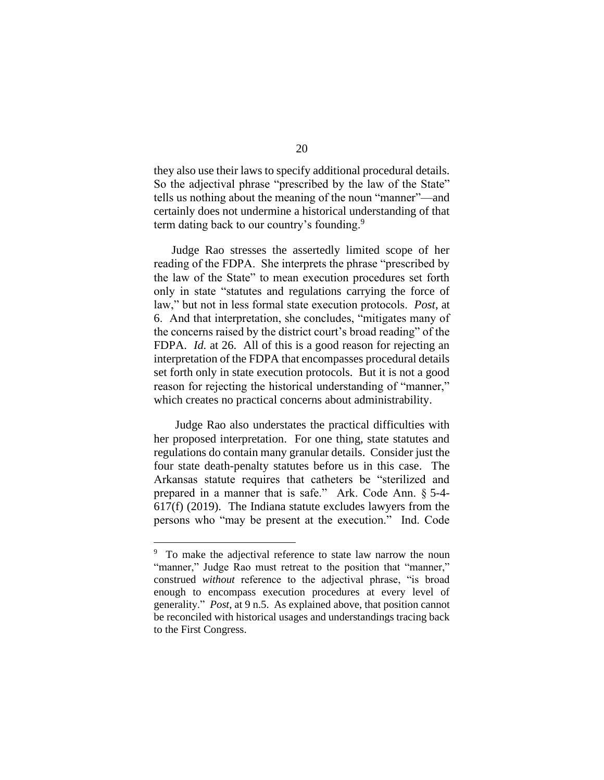they also use their laws to specify additional procedural details. So the adjectival phrase "prescribed by the law of the State" tells us nothing about the meaning of the noun "manner"—and certainly does not undermine a historical understanding of that term dating back to our country's founding.<sup>9</sup>

Judge Rao stresses the assertedly limited scope of her reading of the FDPA. She interprets the phrase "prescribed by the law of the State" to mean execution procedures set forth only in state "statutes and regulations carrying the force of law," but not in less formal state execution protocols. *Post*, at 6. And that interpretation, she concludes, "mitigates many of the concerns raised by the district court's broad reading" of the FDPA. *Id.* at 26. All of this is a good reason for rejecting an interpretation of the FDPA that encompasses procedural details set forth only in state execution protocols. But it is not a good reason for rejecting the historical understanding of "manner," which creates no practical concerns about administrability.

Judge Rao also understates the practical difficulties with her proposed interpretation. For one thing, state statutes and regulations do contain many granular details. Consider just the four state death-penalty statutes before us in this case. The Arkansas statute requires that catheters be "sterilized and prepared in a manner that is safe." Ark. Code Ann. § 5-4- 617(f) (2019). The Indiana statute excludes lawyers from the persons who "may be present at the execution." Ind. Code

<sup>&</sup>lt;sup>9</sup> To make the adjectival reference to state law narrow the noun "manner," Judge Rao must retreat to the position that "manner," construed *without* reference to the adjectival phrase, "is broad enough to encompass execution procedures at every level of generality." *Post*, at 9 n.5. As explained above, that position cannot be reconciled with historical usages and understandings tracing back to the First Congress.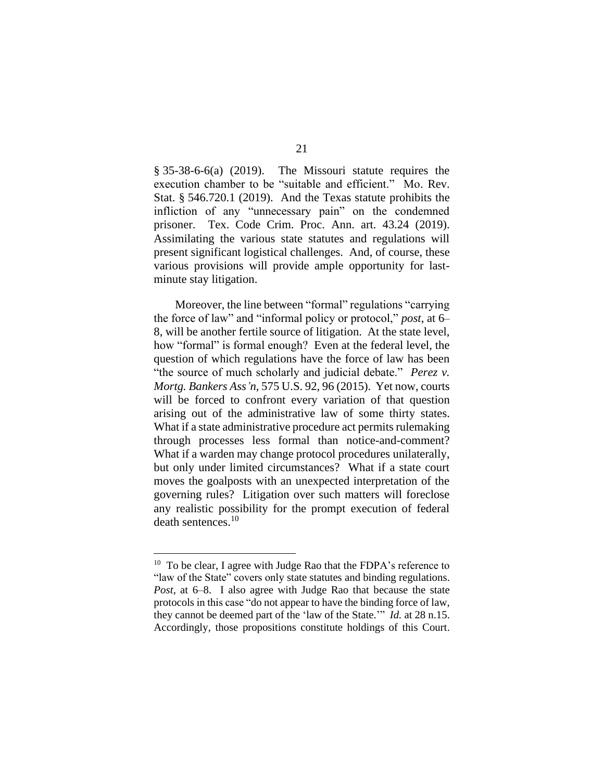$§$  35-38-6-6(a) (2019). The Missouri statute requires the execution chamber to be "suitable and efficient." Mo. Rev. Stat. § 546.720.1 (2019). And the Texas statute prohibits the infliction of any "unnecessary pain" on the condemned prisoner. Tex. Code Crim. Proc. Ann. art. 43.24 (2019). Assimilating the various state statutes and regulations will present significant logistical challenges. And, of course, these various provisions will provide ample opportunity for lastminute stay litigation.

Moreover, the line between "formal" regulations "carrying the force of law" and "informal policy or protocol," *post*, at 6– 8, will be another fertile source of litigation. At the state level, how "formal" is formal enough? Even at the federal level, the question of which regulations have the force of law has been "the source of much scholarly and judicial debate." *Perez v. Mortg. Bankers Ass'n*, 575 U.S. 92, 96 (2015).Yet now, courts will be forced to confront every variation of that question arising out of the administrative law of some thirty states. What if a state administrative procedure act permits rulemaking through processes less formal than notice-and-comment? What if a warden may change protocol procedures unilaterally, but only under limited circumstances? What if a state court moves the goalposts with an unexpected interpretation of the governing rules? Litigation over such matters will foreclose any realistic possibility for the prompt execution of federal death sentences.<sup>10</sup>

<sup>&</sup>lt;sup>10</sup> To be clear, I agree with Judge Rao that the FDPA's reference to "law of the State" covers only state statutes and binding regulations. *Post*, at 6–8. I also agree with Judge Rao that because the state protocols in this case "do not appear to have the binding force of law, they cannot be deemed part of the 'law of the State.'" *Id.* at 28 n.15. Accordingly, those propositions constitute holdings of this Court.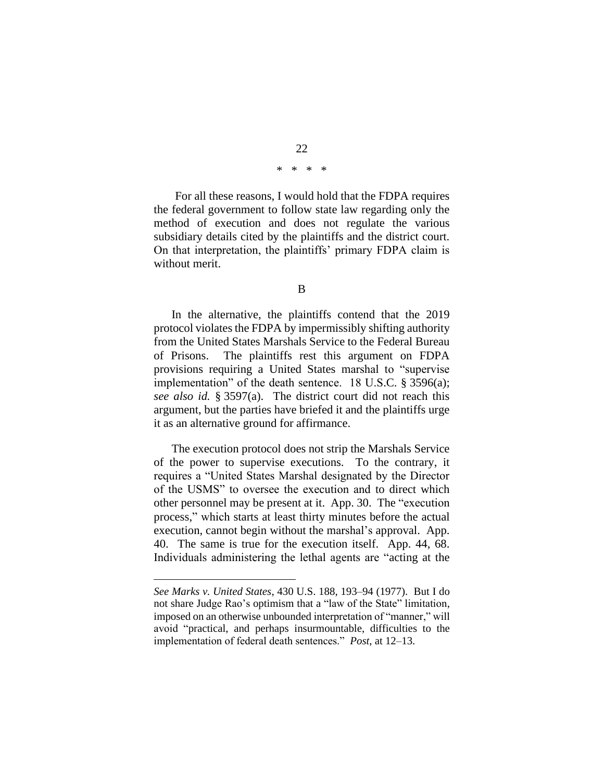# 22 \* \* \* \*

For all these reasons, I would hold that the FDPA requires the federal government to follow state law regarding only the method of execution and does not regulate the various subsidiary details cited by the plaintiffs and the district court. On that interpretation, the plaintiffs' primary FDPA claim is without merit.

B

In the alternative, the plaintiffs contend that the 2019 protocol violates the FDPA by impermissibly shifting authority from the United States Marshals Service to the Federal Bureau of Prisons. The plaintiffs rest this argument on FDPA provisions requiring a United States marshal to "supervise implementation" of the death sentence. 18 U.S.C. § 3596(a); *see also id.* § 3597(a). The district court did not reach this argument, but the parties have briefed it and the plaintiffs urge it as an alternative ground for affirmance.

The execution protocol does not strip the Marshals Service of the power to supervise executions. To the contrary, it requires a "United States Marshal designated by the Director of the USMS" to oversee the execution and to direct which other personnel may be present at it. App. 30. The "execution process," which starts at least thirty minutes before the actual execution, cannot begin without the marshal's approval. App. 40. The same is true for the execution itself. App. 44, 68. Individuals administering the lethal agents are "acting at the

*See Marks v. United States*, 430 U.S. 188, 193–94 (1977). But I do not share Judge Rao's optimism that a "law of the State" limitation, imposed on an otherwise unbounded interpretation of "manner," will avoid "practical, and perhaps insurmountable, difficulties to the implementation of federal death sentences." *Post*, at 12–13.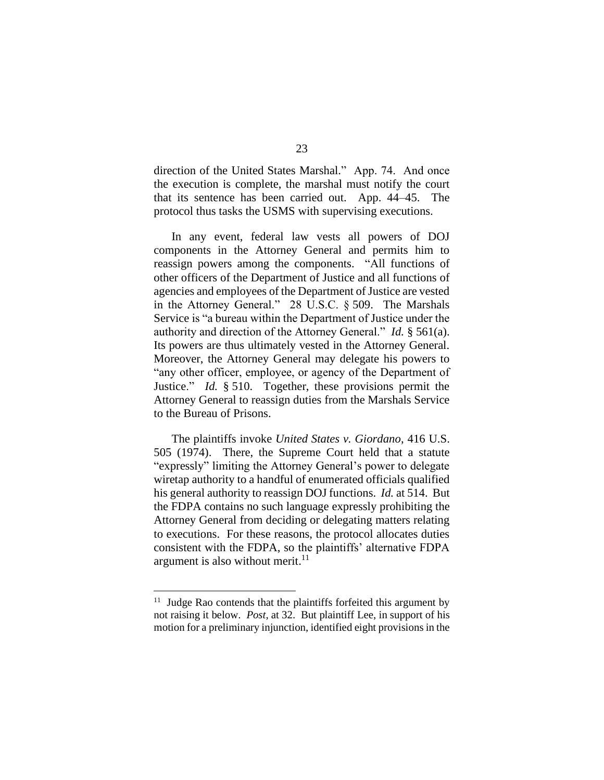direction of the United States Marshal." App. 74. And once the execution is complete, the marshal must notify the court that its sentence has been carried out. App. 44–45. The protocol thus tasks the USMS with supervising executions.

In any event, federal law vests all powers of DOJ components in the Attorney General and permits him to reassign powers among the components. "All functions of other officers of the Department of Justice and all functions of agencies and employees of the Department of Justice are vested in the Attorney General." 28 U.S.C. § 509. The Marshals Service is "a bureau within the Department of Justice under the authority and direction of the Attorney General." *Id.* § 561(a). Its powers are thus ultimately vested in the Attorney General. Moreover, the Attorney General may delegate his powers to "any other officer, employee, or agency of the Department of Justice." *Id.* § 510. Together, these provisions permit the Attorney General to reassign duties from the Marshals Service to the Bureau of Prisons.

The plaintiffs invoke *United States v. Giordano*, 416 U.S. 505 (1974). There, the Supreme Court held that a statute "expressly" limiting the Attorney General's power to delegate wiretap authority to a handful of enumerated officials qualified his general authority to reassign DOJ functions. *Id.* at 514. But the FDPA contains no such language expressly prohibiting the Attorney General from deciding or delegating matters relating to executions. For these reasons, the protocol allocates duties consistent with the FDPA, so the plaintiffs' alternative FDPA argument is also without merit.<sup>11</sup>

<sup>&</sup>lt;sup>11</sup> Judge Rao contends that the plaintiffs forfeited this argument by not raising it below. *Post*, at 32. But plaintiff Lee, in support of his motion for a preliminary injunction, identified eight provisions in the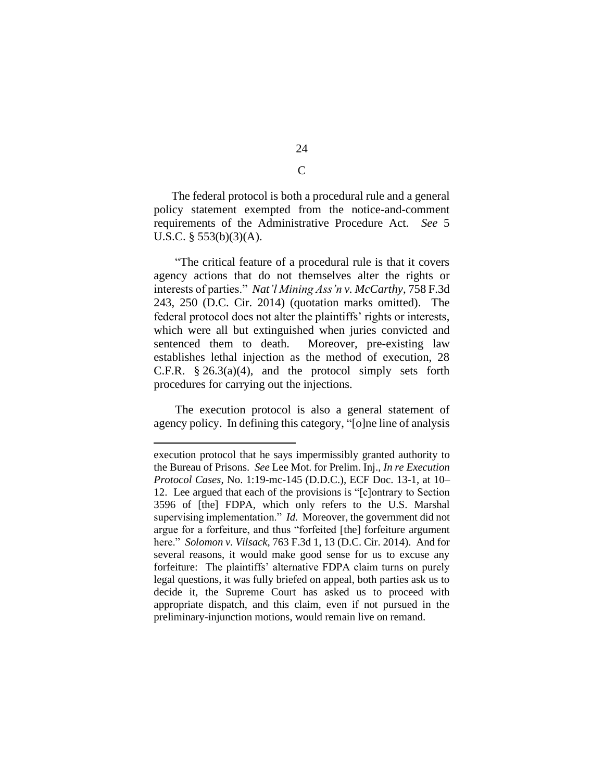The federal protocol is both a procedural rule and a general policy statement exempted from the notice-and-comment requirements of the Administrative Procedure Act. *See* 5 U.S.C.  $\S$  553(b)(3)(A).

"The critical feature of a procedural rule is that it covers agency actions that do not themselves alter the rights or interests of parties." *Nat'l Mining Ass'n v. McCarthy*, 758 F.3d 243, 250 (D.C. Cir. 2014) (quotation marks omitted). The federal protocol does not alter the plaintiffs' rights or interests, which were all but extinguished when juries convicted and sentenced them to death. Moreover, pre-existing law establishes lethal injection as the method of execution, 28 C.F.R.  $\S 26.3(a)(4)$ , and the protocol simply sets forth procedures for carrying out the injections.

The execution protocol is also a general statement of agency policy. In defining this category, "[o]ne line of analysis

execution protocol that he says impermissibly granted authority to the Bureau of Prisons. *See* Lee Mot. for Prelim. Inj., *In re Execution Protocol Cases*, No. 1:19-mc-145 (D.D.C.), ECF Doc. 13-1, at 10– 12. Lee argued that each of the provisions is "[c]ontrary to Section 3596 of [the] FDPA, which only refers to the U.S. Marshal supervising implementation." *Id.* Moreover, the government did not argue for a forfeiture, and thus "forfeited [the] forfeiture argument here." *Solomon v. Vilsack*, 763 F.3d 1, 13 (D.C. Cir. 2014). And for several reasons, it would make good sense for us to excuse any forfeiture: The plaintiffs' alternative FDPA claim turns on purely legal questions, it was fully briefed on appeal, both parties ask us to decide it, the Supreme Court has asked us to proceed with appropriate dispatch, and this claim, even if not pursued in the preliminary-injunction motions, would remain live on remand.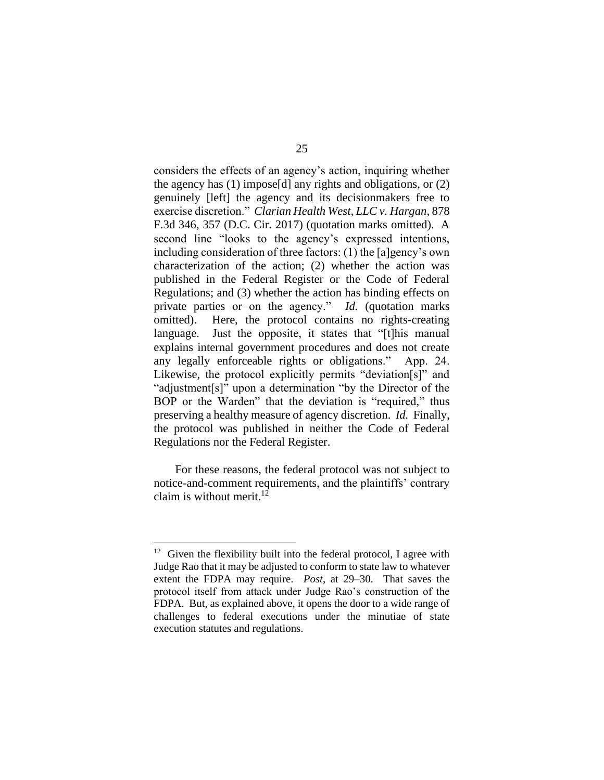considers the effects of an agency's action, inquiring whether the agency has (1) impose[d] any rights and obligations, or (2) genuinely [left] the agency and its decisionmakers free to exercise discretion." *Clarian Health West, LLC v. Hargan*, 878 F.3d 346, 357 (D.C. Cir. 2017) (quotation marks omitted). A second line "looks to the agency's expressed intentions, including consideration of three factors: (1) the [a]gency's own characterization of the action; (2) whether the action was published in the Federal Register or the Code of Federal Regulations; and (3) whether the action has binding effects on private parties or on the agency." *Id.* (quotation marks omitted). Here, the protocol contains no rights-creating language. Just the opposite, it states that "[t]his manual explains internal government procedures and does not create any legally enforceable rights or obligations." App. 24. Likewise, the protocol explicitly permits "deviation[s]" and "adjustment[s]" upon a determination "by the Director of the BOP or the Warden" that the deviation is "required," thus preserving a healthy measure of agency discretion. *Id.* Finally, the protocol was published in neither the Code of Federal Regulations nor the Federal Register.

For these reasons, the federal protocol was not subject to notice-and-comment requirements, and the plaintiffs' contrary claim is without merit. 12

 $12$  Given the flexibility built into the federal protocol, I agree with Judge Rao that it may be adjusted to conform to state law to whatever extent the FDPA may require. *Post*, at 29–30. That saves the protocol itself from attack under Judge Rao's construction of the FDPA. But, as explained above, it opens the door to a wide range of challenges to federal executions under the minutiae of state execution statutes and regulations.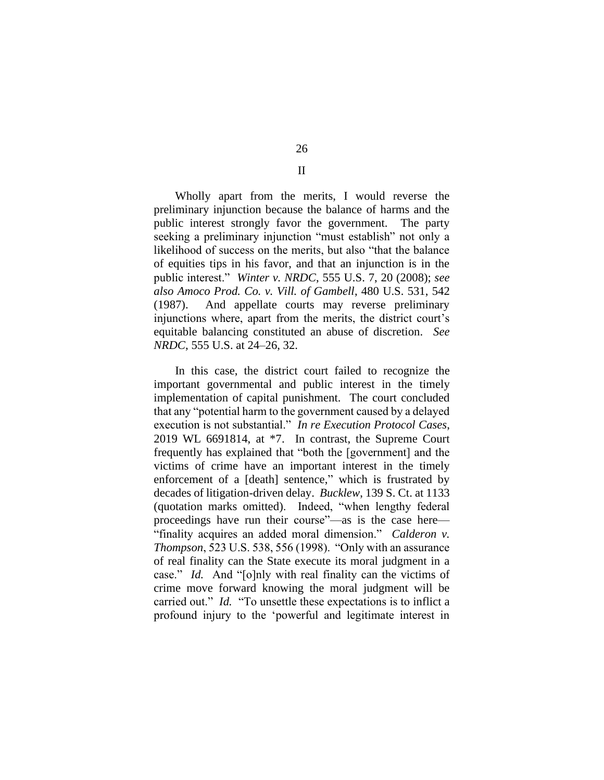Wholly apart from the merits, I would reverse the preliminary injunction because the balance of harms and the public interest strongly favor the government. The party seeking a preliminary injunction "must establish" not only a likelihood of success on the merits, but also "that the balance of equities tips in his favor, and that an injunction is in the public interest." *Winter v. NRDC*, 555 U.S. 7, 20 (2008); *see also Amoco Prod. Co. v. Vill. of Gambell*, 480 U.S. 531, 542 (1987). And appellate courts may reverse preliminary injunctions where, apart from the merits, the district court's equitable balancing constituted an abuse of discretion. *See NRDC*, 555 U.S. at 24–26, 32.

In this case, the district court failed to recognize the important governmental and public interest in the timely implementation of capital punishment. The court concluded that any "potential harm to the government caused by a delayed execution is not substantial." *In re Execution Protocol Cases*, 2019 WL 6691814, at \*7. In contrast, the Supreme Court frequently has explained that "both the [government] and the victims of crime have an important interest in the timely enforcement of a [death] sentence," which is frustrated by decades of litigation-driven delay. *Bucklew*, 139 S. Ct. at 1133 (quotation marks omitted). Indeed, "when lengthy federal proceedings have run their course"—as is the case here— "finality acquires an added moral dimension." *Calderon v. Thompson*, 523 U.S. 538, 556 (1998). "Only with an assurance of real finality can the State execute its moral judgment in a case." *Id.* And "[o]nly with real finality can the victims of crime move forward knowing the moral judgment will be carried out." *Id.* "To unsettle these expectations is to inflict a profound injury to the 'powerful and legitimate interest in

26 II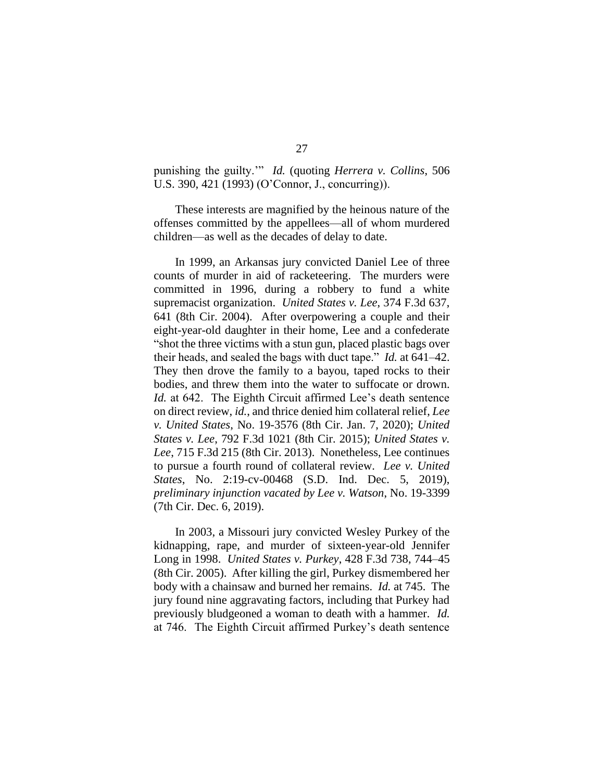punishing the guilty.'" *Id.* (quoting *Herrera v. Collins*, 506 U.S. 390, 421 (1993) (O'Connor, J., concurring)).

These interests are magnified by the heinous nature of the offenses committed by the appellees—all of whom murdered children—as well as the decades of delay to date.

In 1999, an Arkansas jury convicted Daniel Lee of three counts of murder in aid of racketeering. The murders were committed in 1996, during a robbery to fund a white supremacist organization. *United States v. Lee*, 374 F.3d 637, 641 (8th Cir. 2004). After overpowering a couple and their eight-year-old daughter in their home, Lee and a confederate "shot the three victims with a stun gun, placed plastic bags over their heads, and sealed the bags with duct tape." *Id.* at 641–42. They then drove the family to a bayou, taped rocks to their bodies, and threw them into the water to suffocate or drown. *Id.* at 642. The Eighth Circuit affirmed Lee's death sentence on direct review, *id.*, and thrice denied him collateral relief, *Lee v. United States*, No. 19-3576 (8th Cir. Jan. 7, 2020); *United States v. Lee*, 792 F.3d 1021 (8th Cir. 2015); *United States v. Lee*, 715 F.3d 215 (8th Cir. 2013). Nonetheless, Lee continues to pursue a fourth round of collateral review. *Lee v. United States*, No. 2:19-cv-00468 (S.D. Ind. Dec. 5, 2019), *preliminary injunction vacated by Lee v. Watson*, No. 19-3399 (7th Cir. Dec. 6, 2019).

In 2003, a Missouri jury convicted Wesley Purkey of the kidnapping, rape, and murder of sixteen-year-old Jennifer Long in 1998. *United States v. Purkey*, 428 F.3d 738, 744–45 (8th Cir. 2005). After killing the girl, Purkey dismembered her body with a chainsaw and burned her remains. *Id.* at 745. The jury found nine aggravating factors, including that Purkey had previously bludgeoned a woman to death with a hammer. *Id.*  at 746. The Eighth Circuit affirmed Purkey's death sentence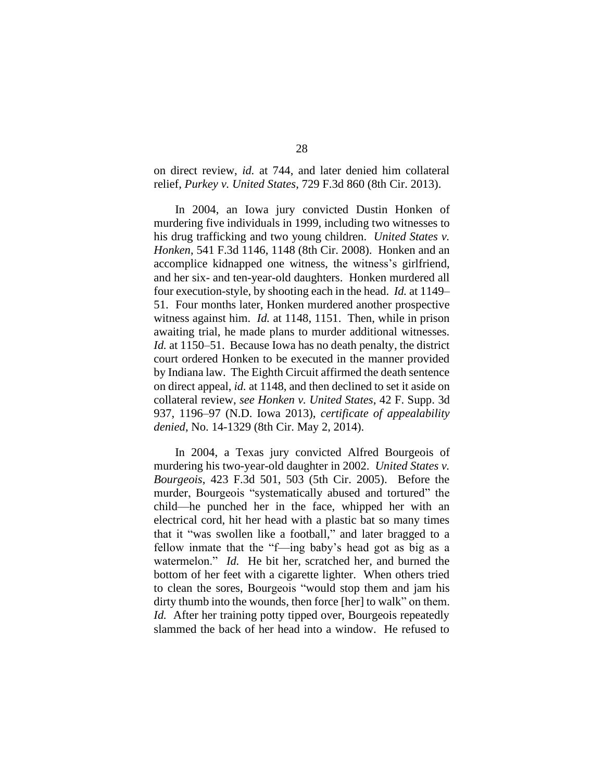on direct review, *id.* at 744, and later denied him collateral relief, *Purkey v. United States*, 729 F.3d 860 (8th Cir. 2013).

In 2004, an Iowa jury convicted Dustin Honken of murdering five individuals in 1999, including two witnesses to his drug trafficking and two young children. *United States v. Honken*, 541 F.3d 1146, 1148 (8th Cir. 2008). Honken and an accomplice kidnapped one witness, the witness's girlfriend, and her six- and ten-year-old daughters. Honken murdered all four execution-style, by shooting each in the head. *Id.* at 1149– 51. Four months later, Honken murdered another prospective witness against him. *Id.* at 1148, 1151. Then, while in prison awaiting trial, he made plans to murder additional witnesses. *Id.* at 1150–51. Because Iowa has no death penalty, the district court ordered Honken to be executed in the manner provided by Indiana law. The Eighth Circuit affirmed the death sentence on direct appeal, *id.* at 1148, and then declined to set it aside on collateral review, *see Honken v. United States*, 42 F. Supp. 3d 937, 1196–97 (N.D. Iowa 2013), *certificate of appealability denied*, No. 14-1329 (8th Cir. May 2, 2014).

In 2004, a Texas jury convicted Alfred Bourgeois of murdering his two-year-old daughter in 2002. *United States v. Bourgeois*, 423 F.3d 501, 503 (5th Cir. 2005). Before the murder, Bourgeois "systematically abused and tortured" the child—he punched her in the face, whipped her with an electrical cord, hit her head with a plastic bat so many times that it "was swollen like a football," and later bragged to a fellow inmate that the "f—ing baby's head got as big as a watermelon." *Id.* He bit her, scratched her, and burned the bottom of her feet with a cigarette lighter. When others tried to clean the sores, Bourgeois "would stop them and jam his dirty thumb into the wounds, then force [her] to walk" on them. *Id.* After her training potty tipped over, Bourgeois repeatedly slammed the back of her head into a window. He refused to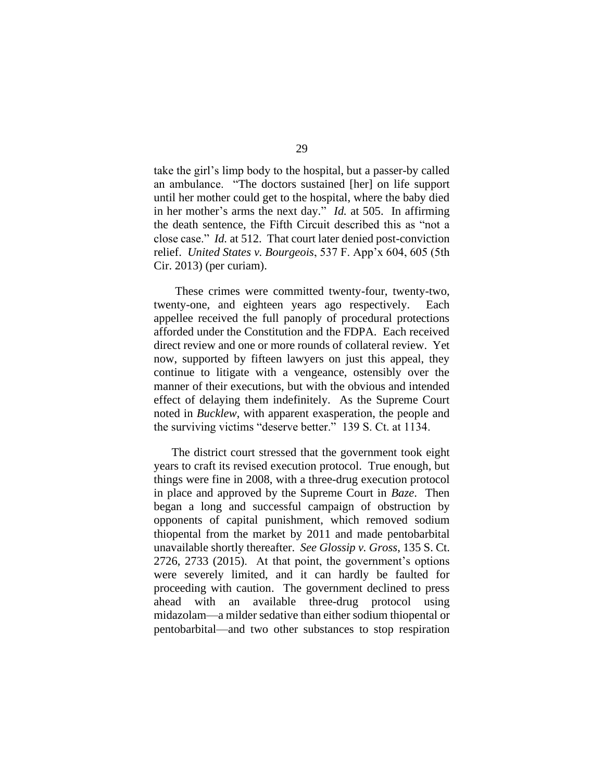take the girl's limp body to the hospital, but a passer-by called an ambulance. "The doctors sustained [her] on life support until her mother could get to the hospital, where the baby died in her mother's arms the next day." *Id.* at 505.In affirming the death sentence, the Fifth Circuit described this as "not a close case." *Id.* at 512. That court later denied post-conviction relief. *United States v. Bourgeois*, 537 F. App'x 604, 605 (5th Cir. 2013) (per curiam).

These crimes were committed twenty-four, twenty-two, twenty-one, and eighteen years ago respectively. Each appellee received the full panoply of procedural protections afforded under the Constitution and the FDPA. Each received direct review and one or more rounds of collateral review. Yet now, supported by fifteen lawyers on just this appeal, they continue to litigate with a vengeance, ostensibly over the manner of their executions, but with the obvious and intended effect of delaying them indefinitely. As the Supreme Court noted in *Bucklew*, with apparent exasperation, the people and the surviving victims "deserve better." 139 S. Ct. at 1134.

The district court stressed that the government took eight years to craft its revised execution protocol. True enough, but things were fine in 2008, with a three-drug execution protocol in place and approved by the Supreme Court in *Baze*. Then began a long and successful campaign of obstruction by opponents of capital punishment, which removed sodium thiopental from the market by 2011 and made pentobarbital unavailable shortly thereafter. *See Glossip v. Gross*, 135 S. Ct. 2726, 2733 (2015). At that point, the government's options were severely limited, and it can hardly be faulted for proceeding with caution. The government declined to press ahead with an available three-drug protocol using midazolam—a milder sedative than either sodium thiopental or pentobarbital—and two other substances to stop respiration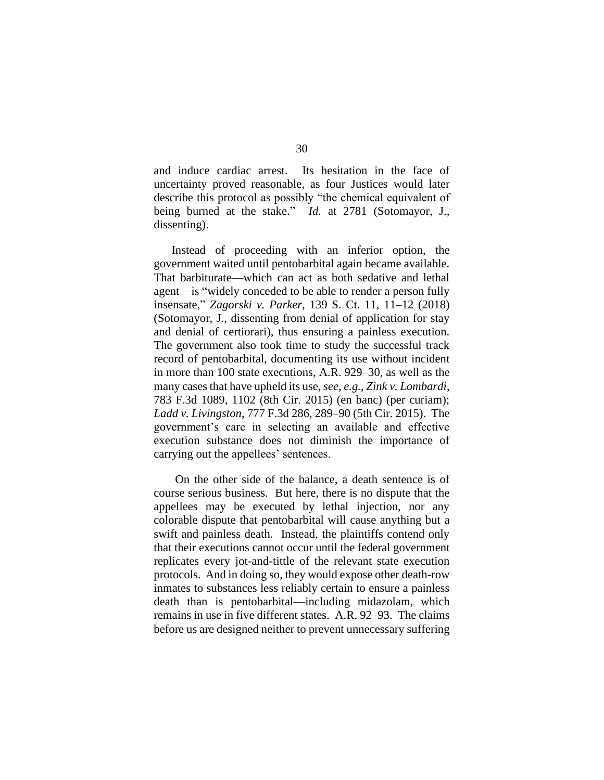and induce cardiac arrest. Its hesitation in the face of uncertainty proved reasonable, as four Justices would later describe this protocol as possibly "the chemical equivalent of being burned at the stake." *Id.* at 2781 (Sotomayor, J., dissenting).

Instead of proceeding with an inferior option, the government waited until pentobarbital again became available. That barbiturate—which can act as both sedative and lethal agent—is "widely conceded to be able to render a person fully insensate," *Zagorski v. Parker*, 139 S. Ct. 11, 11–12 (2018) (Sotomayor, J., dissenting from denial of application for stay and denial of certiorari), thus ensuring a painless execution. The government also took time to study the successful track record of pentobarbital, documenting its use without incident in more than 100 state executions, A.R. 929–30, as well as the many cases that have upheld its use,*see*, *e.g.*, *Zink v. Lombardi*, 783 F.3d 1089, 1102 (8th Cir. 2015) (en banc) (per curiam); *Ladd v. Livingston*, 777 F.3d 286, 289–90 (5th Cir. 2015). The government's care in selecting an available and effective execution substance does not diminish the importance of carrying out the appellees' sentences.

On the other side of the balance, a death sentence is of course serious business. But here, there is no dispute that the appellees may be executed by lethal injection, nor any colorable dispute that pentobarbital will cause anything but a swift and painless death. Instead, the plaintiffs contend only that their executions cannot occur until the federal government replicates every jot-and-tittle of the relevant state execution protocols. And in doing so, they would expose other death-row inmates to substances less reliably certain to ensure a painless death than is pentobarbital—including midazolam, which remains in use in five different states. A.R. 92–93. The claims before us are designed neither to prevent unnecessary suffering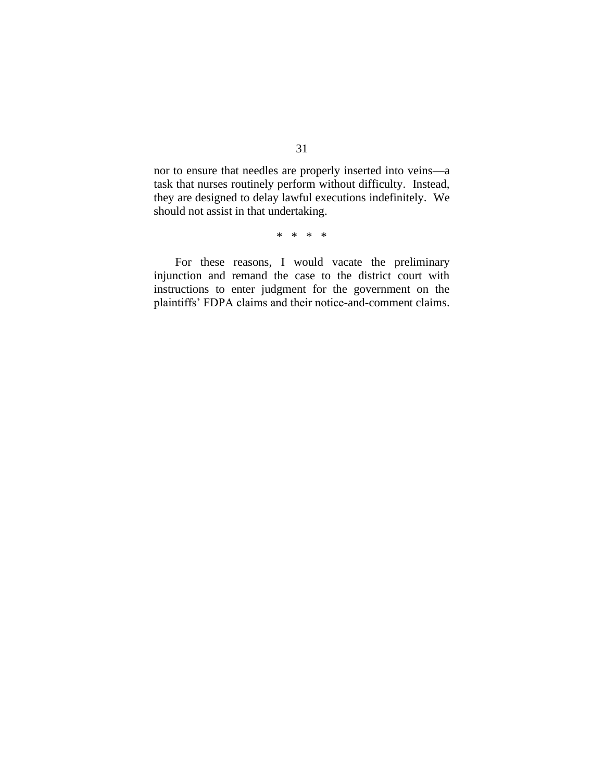nor to ensure that needles are properly inserted into veins—a task that nurses routinely perform without difficulty. Instead, they are designed to delay lawful executions indefinitely. We should not assist in that undertaking.

\* \* \* \*

For these reasons, I would vacate the preliminary injunction and remand the case to the district court with instructions to enter judgment for the government on the plaintiffs' FDPA claims and their notice-and-comment claims.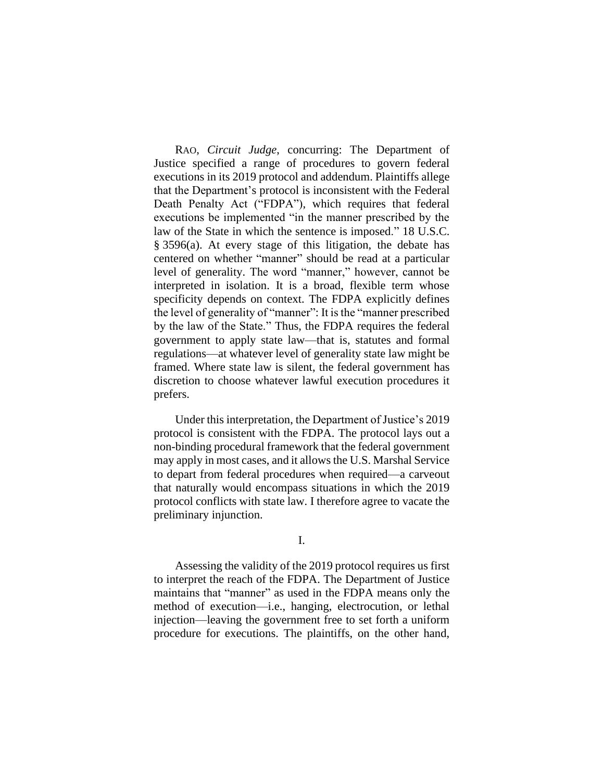RAO, *Circuit Judge*, concurring: The Department of Justice specified a range of procedures to govern federal executions in its 2019 protocol and addendum. Plaintiffs allege that the Department's protocol is inconsistent with the Federal Death Penalty Act ("FDPA"), which requires that federal executions be implemented "in the manner prescribed by the law of the State in which the sentence is imposed." 18 U.S.C. § 3596(a). At every stage of this litigation, the debate has centered on whether "manner" should be read at a particular level of generality. The word "manner," however, cannot be interpreted in isolation. It is a broad, flexible term whose specificity depends on context. The FDPA explicitly defines the level of generality of "manner": It is the "manner prescribed by the law of the State." Thus, the FDPA requires the federal government to apply state law—that is, statutes and formal regulations—at whatever level of generality state law might be framed. Where state law is silent, the federal government has discretion to choose whatever lawful execution procedures it prefers.

Under this interpretation, the Department of Justice's 2019 protocol is consistent with the FDPA. The protocol lays out a non-binding procedural framework that the federal government may apply in most cases, and it allows the U.S. Marshal Service to depart from federal procedures when required—a carveout that naturally would encompass situations in which the 2019 protocol conflicts with state law. I therefore agree to vacate the preliminary injunction.

### I.

Assessing the validity of the 2019 protocol requires us first to interpret the reach of the FDPA. The Department of Justice maintains that "manner" as used in the FDPA means only the method of execution—i.e., hanging, electrocution, or lethal injection—leaving the government free to set forth a uniform procedure for executions. The plaintiffs, on the other hand,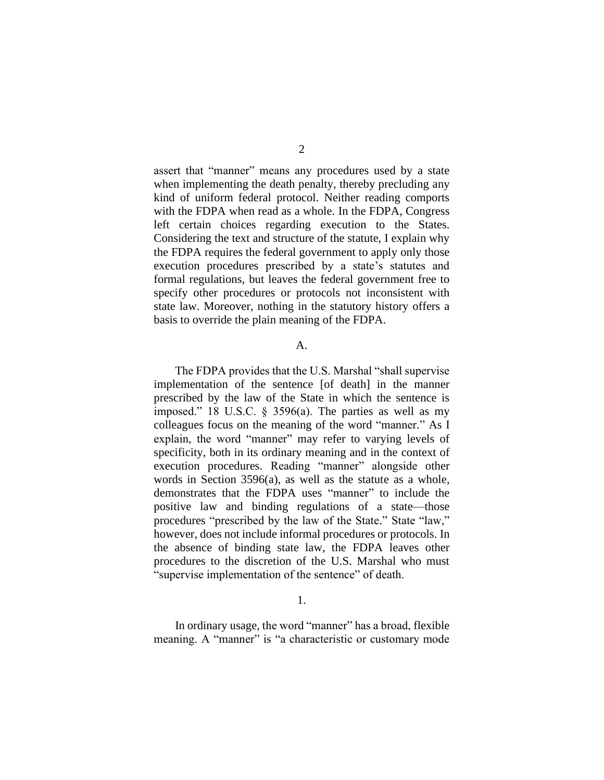assert that "manner" means any procedures used by a state when implementing the death penalty, thereby precluding any kind of uniform federal protocol. Neither reading comports with the FDPA when read as a whole. In the FDPA, Congress left certain choices regarding execution to the States. Considering the text and structure of the statute, I explain why the FDPA requires the federal government to apply only those execution procedures prescribed by a state's statutes and formal regulations, but leaves the federal government free to specify other procedures or protocols not inconsistent with state law. Moreover, nothing in the statutory history offers a basis to override the plain meaning of the FDPA.

#### A.

The FDPA provides that the U.S. Marshal "shall supervise implementation of the sentence [of death] in the manner prescribed by the law of the State in which the sentence is imposed." 18 U.S.C. § 3596(a). The parties as well as my colleagues focus on the meaning of the word "manner." As I explain, the word "manner" may refer to varying levels of specificity, both in its ordinary meaning and in the context of execution procedures. Reading "manner" alongside other words in Section 3596(a), as well as the statute as a whole, demonstrates that the FDPA uses "manner" to include the positive law and binding regulations of a state—those procedures "prescribed by the law of the State." State "law," however, does not include informal procedures or protocols. In the absence of binding state law, the FDPA leaves other procedures to the discretion of the U.S. Marshal who must "supervise implementation of the sentence" of death.

1.

In ordinary usage, the word "manner" has a broad, flexible meaning. A "manner" is "a characteristic or customary mode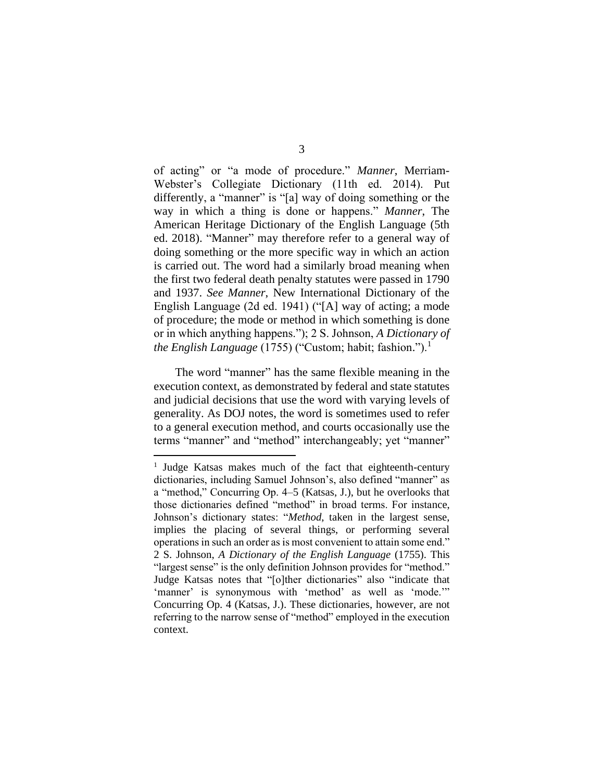of acting" or "a mode of procedure." *Manner*, Merriam-Webster's Collegiate Dictionary (11th ed. 2014). Put differently, a "manner" is "[a] way of doing something or the way in which a thing is done or happens." *Manner*, The American Heritage Dictionary of the English Language (5th ed. 2018). "Manner" may therefore refer to a general way of doing something or the more specific way in which an action is carried out. The word had a similarly broad meaning when the first two federal death penalty statutes were passed in 1790 and 1937. *See Manner*, New International Dictionary of the English Language (2d ed. 1941) ("[A] way of acting; a mode of procedure; the mode or method in which something is done or in which anything happens."); 2 S. Johnson, *A Dictionary of the English Language* (1755) ("Custom; habit; fashion.").<sup>1</sup>

The word "manner" has the same flexible meaning in the execution context, as demonstrated by federal and state statutes and judicial decisions that use the word with varying levels of generality. As DOJ notes, the word is sometimes used to refer to a general execution method, and courts occasionally use the terms "manner" and "method" interchangeably; yet "manner"

<sup>&</sup>lt;sup>1</sup> Judge Katsas makes much of the fact that eighteenth-century dictionaries, including Samuel Johnson's, also defined "manner" as a "method," Concurring Op. 4–5 (Katsas, J.), but he overlooks that those dictionaries defined "method" in broad terms. For instance, Johnson's dictionary states: "*Method*, taken in the largest sense, implies the placing of several things, or performing several operations in such an order as is most convenient to attain some end." 2 S. Johnson, *A Dictionary of the English Language* (1755). This "largest sense" is the only definition Johnson provides for "method." Judge Katsas notes that "[o]ther dictionaries" also "indicate that 'manner' is synonymous with 'method' as well as 'mode." Concurring Op. 4 (Katsas, J.). These dictionaries, however, are not referring to the narrow sense of "method" employed in the execution context.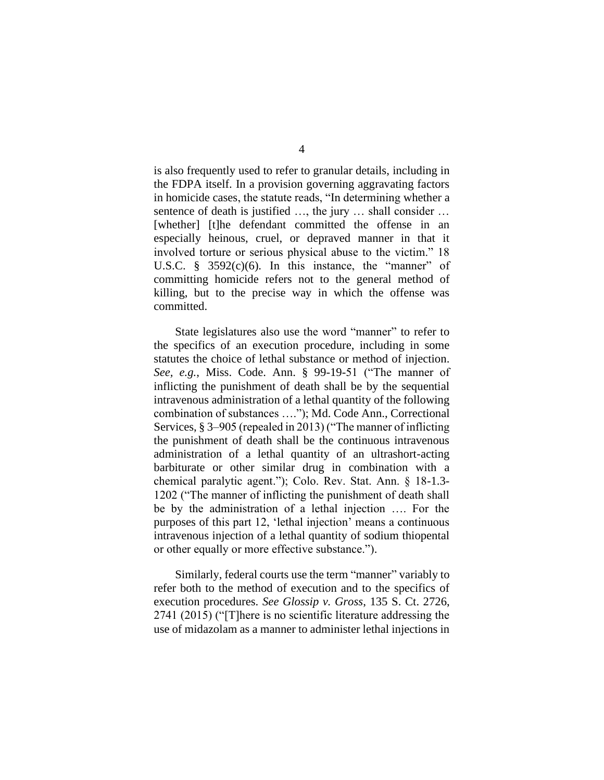is also frequently used to refer to granular details, including in the FDPA itself. In a provision governing aggravating factors in homicide cases, the statute reads, "In determining whether a sentence of death is justified ..., the jury ... shall consider ... [whether] [t]he defendant committed the offense in an especially heinous, cruel, or depraved manner in that it involved torture or serious physical abuse to the victim." 18 U.S.C.  $\frac{8}{5}$  3592(c)(6). In this instance, the "manner" of committing homicide refers not to the general method of killing, but to the precise way in which the offense was committed.

State legislatures also use the word "manner" to refer to the specifics of an execution procedure, including in some statutes the choice of lethal substance or method of injection. *See, e.g.*, Miss. Code. Ann. § 99-19-51 ("The manner of inflicting the punishment of death shall be by the sequential intravenous administration of a lethal quantity of the following combination of substances …."); Md. Code Ann., Correctional Services, § 3–905 (repealed in 2013) ("The manner of inflicting the punishment of death shall be the continuous intravenous administration of a lethal quantity of an ultrashort-acting barbiturate or other similar drug in combination with a chemical paralytic agent."); Colo. Rev. Stat. Ann. § 18-1.3- 1202 ("The manner of inflicting the punishment of death shall be by the administration of a lethal injection …. For the purposes of this part 12, 'lethal injection' means a continuous intravenous injection of a lethal quantity of sodium thiopental or other equally or more effective substance.").

Similarly, federal courts use the term "manner" variably to refer both to the method of execution and to the specifics of execution procedures. *See Glossip v. Gross*, 135 S. Ct. 2726, 2741 (2015) ("[T]here is no scientific literature addressing the use of midazolam as a manner to administer lethal injections in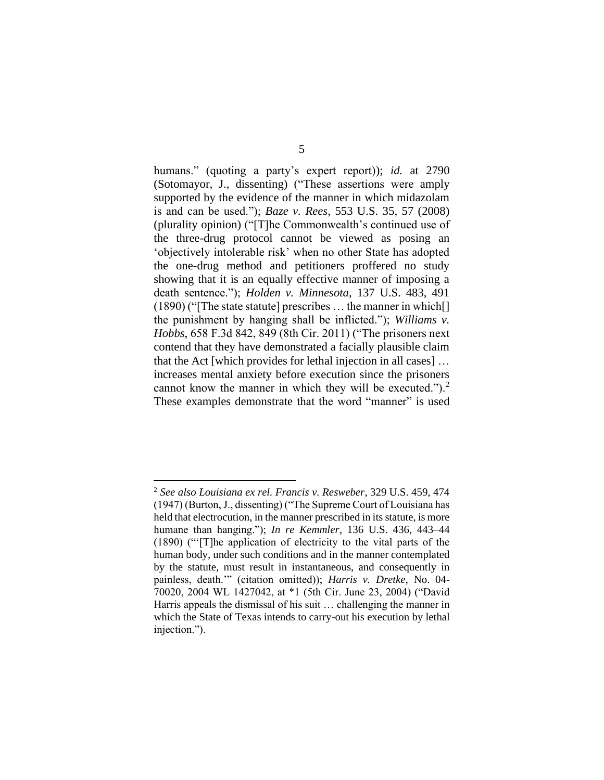humans." (quoting a party's expert report)); *id.* at 2790 (Sotomayor, J., dissenting) ("These assertions were amply supported by the evidence of the manner in which midazolam is and can be used."); *Baze v. Rees*, 553 U.S. 35, 57 (2008) (plurality opinion) ("[T]he Commonwealth's continued use of the three-drug protocol cannot be viewed as posing an 'objectively intolerable risk' when no other State has adopted the one-drug method and petitioners proffered no study showing that it is an equally effective manner of imposing a death sentence."); *Holden v. Minnesota*, 137 U.S. 483, 491 (1890) ("[The state statute] prescribes … the manner in which[] the punishment by hanging shall be inflicted."); *Williams v. Hobbs*, 658 F.3d 842, 849 (8th Cir. 2011) ("The prisoners next contend that they have demonstrated a facially plausible claim that the Act [which provides for lethal injection in all cases] … increases mental anxiety before execution since the prisoners cannot know the manner in which they will be executed.").<sup>2</sup> These examples demonstrate that the word "manner" is used

<sup>2</sup> *See also Louisiana ex rel. Francis v. Resweber*, 329 U.S. 459, 474 (1947) (Burton, J., dissenting) ("The Supreme Court of Louisiana has held that electrocution, in the manner prescribed in its statute, is more humane than hanging."); *In re Kemmler*, 136 U.S. 436, 443–44 (1890) ("'[T]he application of electricity to the vital parts of the human body, under such conditions and in the manner contemplated by the statute, must result in instantaneous, and consequently in painless, death.'" (citation omitted)); *Harris v. Dretke*, No. 04- 70020, 2004 WL 1427042, at \*1 (5th Cir. June 23, 2004) ("David Harris appeals the dismissal of his suit … challenging the manner in which the State of Texas intends to carry-out his execution by lethal injection.").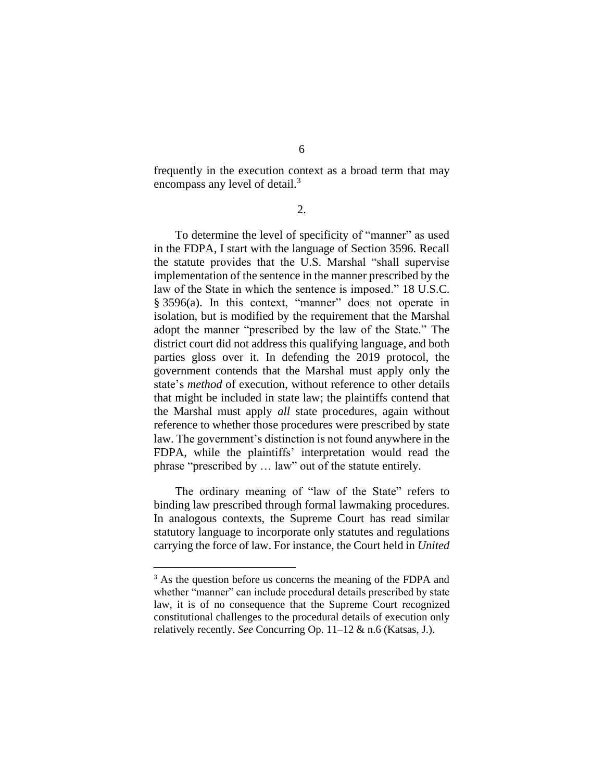frequently in the execution context as a broad term that may encompass any level of detail.<sup>3</sup>

2.

To determine the level of specificity of "manner" as used in the FDPA, I start with the language of Section 3596. Recall the statute provides that the U.S. Marshal "shall supervise implementation of the sentence in the manner prescribed by the law of the State in which the sentence is imposed." 18 U.S.C. § 3596(a). In this context, "manner" does not operate in isolation, but is modified by the requirement that the Marshal adopt the manner "prescribed by the law of the State." The district court did not address this qualifying language, and both parties gloss over it. In defending the 2019 protocol, the government contends that the Marshal must apply only the state's *method* of execution, without reference to other details that might be included in state law; the plaintiffs contend that the Marshal must apply *all* state procedures, again without reference to whether those procedures were prescribed by state law. The government's distinction is not found anywhere in the FDPA, while the plaintiffs' interpretation would read the phrase "prescribed by … law" out of the statute entirely.

The ordinary meaning of "law of the State" refers to binding law prescribed through formal lawmaking procedures. In analogous contexts, the Supreme Court has read similar statutory language to incorporate only statutes and regulations carrying the force of law. For instance, the Court held in *United* 

<sup>&</sup>lt;sup>3</sup> As the question before us concerns the meaning of the FDPA and whether "manner" can include procedural details prescribed by state law, it is of no consequence that the Supreme Court recognized constitutional challenges to the procedural details of execution only relatively recently. *See* Concurring Op. 11–12 & n.6 (Katsas, J.).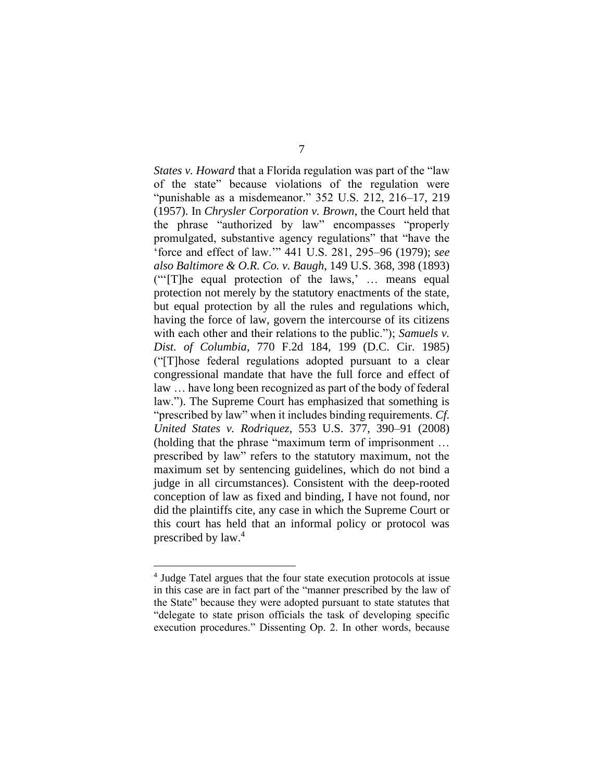*States v. Howard* that a Florida regulation was part of the "law of the state" because violations of the regulation were "punishable as a misdemeanor." 352 U.S. 212, 216–17, 219 (1957). In *Chrysler Corporation v. Brown*, the Court held that the phrase "authorized by law" encompasses "properly promulgated, substantive agency regulations" that "have the 'force and effect of law.'" 441 U.S. 281, 295–96 (1979); *see also Baltimore & O.R. Co. v. Baugh*, 149 U.S. 368, 398 (1893) ("'[T]he equal protection of the laws,' … means equal protection not merely by the statutory enactments of the state, but equal protection by all the rules and regulations which, having the force of law, govern the intercourse of its citizens with each other and their relations to the public."); *Samuels v. Dist. of Columbia*, 770 F.2d 184, 199 (D.C. Cir. 1985) ("[T]hose federal regulations adopted pursuant to a clear congressional mandate that have the full force and effect of law … have long been recognized as part of the body of federal law."). The Supreme Court has emphasized that something is "prescribed by law" when it includes binding requirements. *Cf. United States v. Rodriquez*, 553 U.S. 377, 390–91 (2008) (holding that the phrase "maximum term of imprisonment … prescribed by law" refers to the statutory maximum, not the maximum set by sentencing guidelines, which do not bind a judge in all circumstances). Consistent with the deep-rooted conception of law as fixed and binding, I have not found, nor did the plaintiffs cite, any case in which the Supreme Court or this court has held that an informal policy or protocol was prescribed by law. 4

<sup>4</sup> Judge Tatel argues that the four state execution protocols at issue in this case are in fact part of the "manner prescribed by the law of the State" because they were adopted pursuant to state statutes that "delegate to state prison officials the task of developing specific execution procedures." Dissenting Op. 2. In other words, because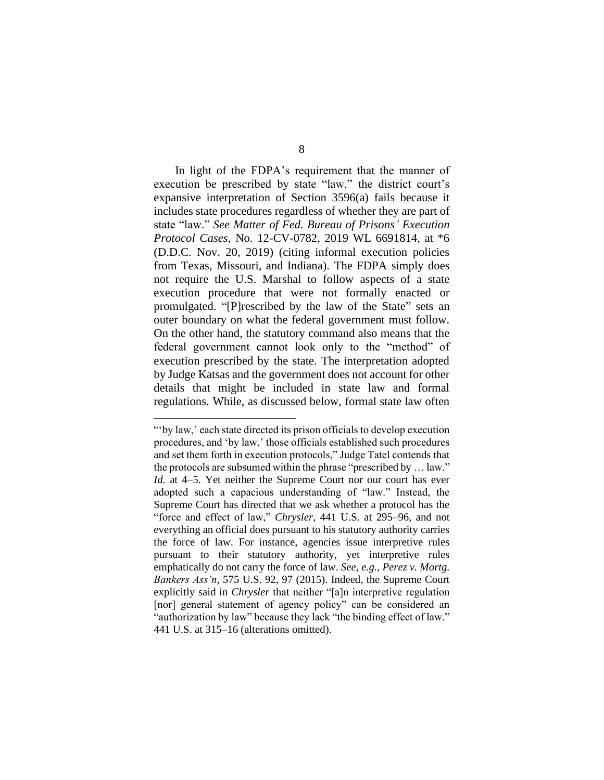In light of the FDPA's requirement that the manner of execution be prescribed by state "law," the district court's expansive interpretation of Section 3596(a) fails because it includes state procedures regardless of whether they are part of state "law." *See Matter of Fed. Bureau of Prisons' Execution Protocol Cases*, No. 12-CV-0782, 2019 WL 6691814, at \*6 (D.D.C. Nov. 20, 2019) (citing informal execution policies from Texas, Missouri, and Indiana). The FDPA simply does not require the U.S. Marshal to follow aspects of a state execution procedure that were not formally enacted or promulgated. "[P]rescribed by the law of the State" sets an outer boundary on what the federal government must follow. On the other hand, the statutory command also means that the federal government cannot look only to the "method" of execution prescribed by the state. The interpretation adopted by Judge Katsas and the government does not account for other details that might be included in state law and formal regulations. While, as discussed below, formal state law often

<sup>&</sup>quot;'by law,' each state directed its prison officials to develop execution procedures, and 'by law,' those officials established such procedures and set them forth in execution protocols," Judge Tatel contends that the protocols are subsumed within the phrase "prescribed by … law." *Id.* at 4–5. Yet neither the Supreme Court nor our court has ever adopted such a capacious understanding of "law." Instead, the Supreme Court has directed that we ask whether a protocol has the "force and effect of law," *Chrysler*, 441 U.S. at 295–96, and not everything an official does pursuant to his statutory authority carries the force of law. For instance, agencies issue interpretive rules pursuant to their statutory authority, yet interpretive rules emphatically do not carry the force of law. *See, e.g.*, *Perez v. Mortg. Bankers Ass'n*, 575 U.S. 92, 97 (2015). Indeed, the Supreme Court explicitly said in *Chrysler* that neither "[a]n interpretive regulation [nor] general statement of agency policy" can be considered an "authorization by law" because they lack "the binding effect of law." 441 U.S. at 315–16 (alterations omitted).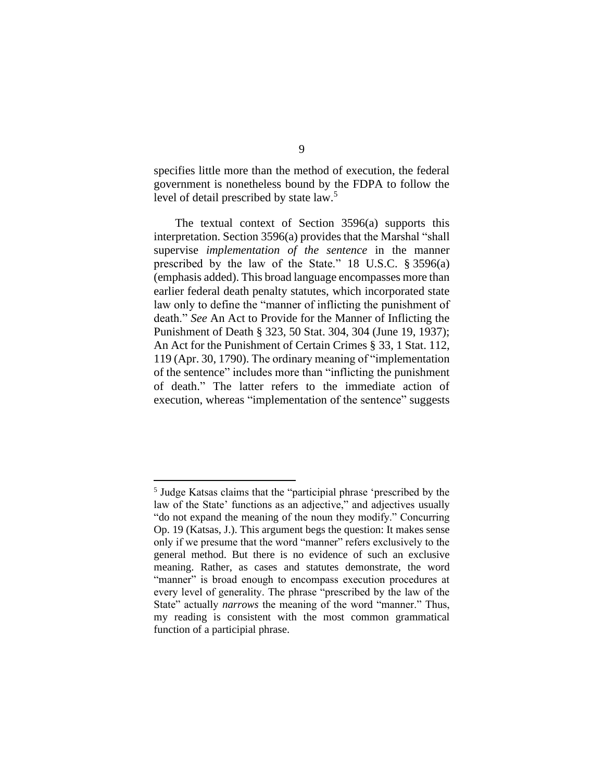specifies little more than the method of execution, the federal government is nonetheless bound by the FDPA to follow the level of detail prescribed by state law.<sup>5</sup>

The textual context of Section 3596(a) supports this interpretation. Section 3596(a) provides that the Marshal "shall supervise *implementation of the sentence* in the manner prescribed by the law of the State." 18 U.S.C. § 3596(a) (emphasis added). This broad language encompasses more than earlier federal death penalty statutes, which incorporated state law only to define the "manner of inflicting the punishment of death." *See* An Act to Provide for the Manner of Inflicting the Punishment of Death § 323, 50 Stat. 304, 304 (June 19, 1937); An Act for the Punishment of Certain Crimes § 33, 1 Stat. 112, 119 (Apr. 30, 1790). The ordinary meaning of "implementation of the sentence" includes more than "inflicting the punishment of death." The latter refers to the immediate action of execution, whereas "implementation of the sentence" suggests

<sup>5</sup> Judge Katsas claims that the "participial phrase 'prescribed by the law of the State' functions as an adjective," and adjectives usually "do not expand the meaning of the noun they modify." Concurring Op. 19 (Katsas, J.). This argument begs the question: It makes sense only if we presume that the word "manner" refers exclusively to the general method. But there is no evidence of such an exclusive meaning. Rather, as cases and statutes demonstrate, the word "manner" is broad enough to encompass execution procedures at every level of generality. The phrase "prescribed by the law of the State" actually *narrows* the meaning of the word "manner." Thus, my reading is consistent with the most common grammatical function of a participial phrase.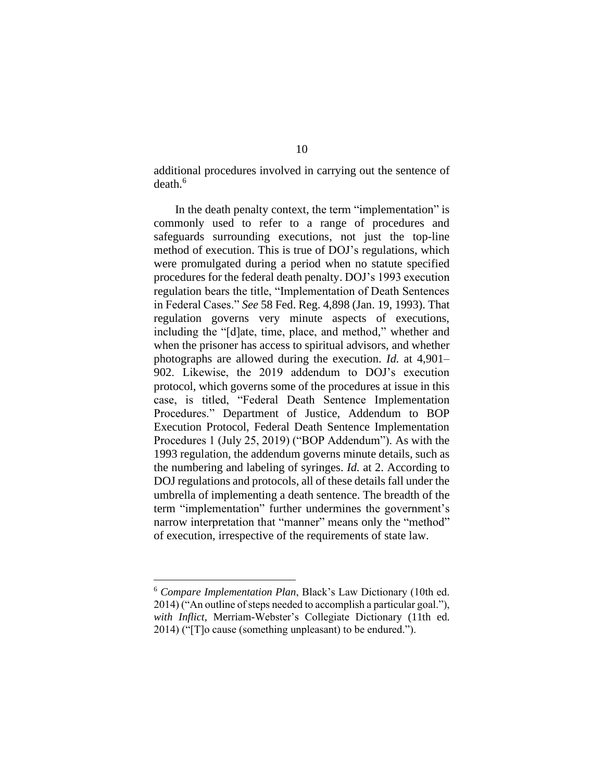additional procedures involved in carrying out the sentence of death.<sup>6</sup>

In the death penalty context, the term "implementation" is commonly used to refer to a range of procedures and safeguards surrounding executions, not just the top-line method of execution. This is true of DOJ's regulations, which were promulgated during a period when no statute specified procedures for the federal death penalty. DOJ's 1993 execution regulation bears the title, "Implementation of Death Sentences in Federal Cases." *See* 58 Fed. Reg. 4,898 (Jan. 19, 1993). That regulation governs very minute aspects of executions, including the "[d]ate, time, place, and method," whether and when the prisoner has access to spiritual advisors, and whether photographs are allowed during the execution. *Id.* at 4,901– 902. Likewise, the 2019 addendum to DOJ's execution protocol, which governs some of the procedures at issue in this case, is titled, "Federal Death Sentence Implementation Procedures." Department of Justice, Addendum to BOP Execution Protocol, Federal Death Sentence Implementation Procedures 1 (July 25, 2019) ("BOP Addendum"). As with the 1993 regulation, the addendum governs minute details, such as the numbering and labeling of syringes. *Id.* at 2. According to DOJ regulations and protocols, all of these details fall under the umbrella of implementing a death sentence. The breadth of the term "implementation" further undermines the government's narrow interpretation that "manner" means only the "method" of execution, irrespective of the requirements of state law.

<sup>6</sup> *Compare Implementation Plan*, Black's Law Dictionary (10th ed. 2014) ("An outline of steps needed to accomplish a particular goal."), *with Inflict*, Merriam-Webster's Collegiate Dictionary (11th ed. 2014) ("[T]o cause (something unpleasant) to be endured.").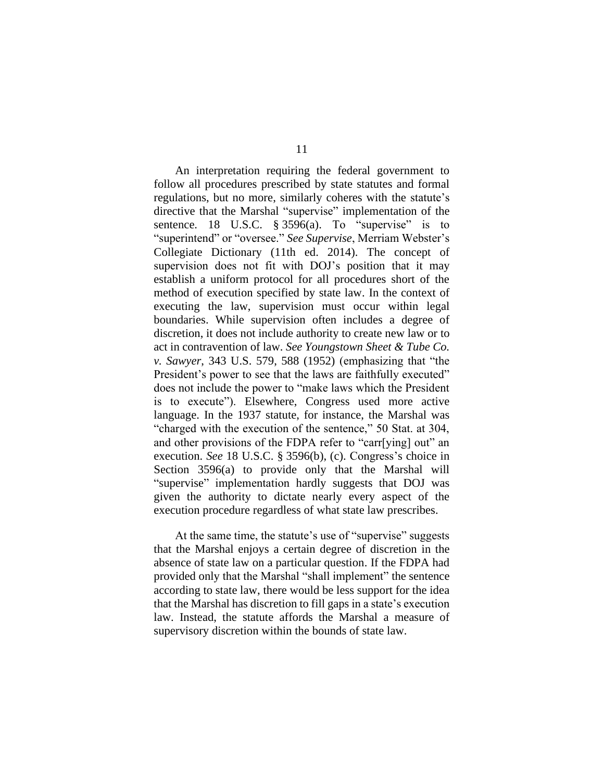An interpretation requiring the federal government to follow all procedures prescribed by state statutes and formal regulations, but no more, similarly coheres with the statute's directive that the Marshal "supervise" implementation of the sentence. 18 U.S.C.  $\S 3596(a)$ . To "supervise" is to "superintend" or "oversee." *See Supervise*, Merriam Webster's Collegiate Dictionary (11th ed. 2014). The concept of supervision does not fit with DOJ's position that it may establish a uniform protocol for all procedures short of the method of execution specified by state law. In the context of executing the law, supervision must occur within legal boundaries. While supervision often includes a degree of discretion, it does not include authority to create new law or to act in contravention of law. *See Youngstown Sheet & Tube Co. v. Sawyer*, 343 U.S. 579, 588 (1952) (emphasizing that "the President's power to see that the laws are faithfully executed" does not include the power to "make laws which the President is to execute"). Elsewhere, Congress used more active language. In the 1937 statute, for instance, the Marshal was "charged with the execution of the sentence," 50 Stat. at 304, and other provisions of the FDPA refer to "carr[ying] out" an execution. *See* 18 U.S.C. § 3596(b), (c). Congress's choice in Section 3596(a) to provide only that the Marshal will "supervise" implementation hardly suggests that DOJ was given the authority to dictate nearly every aspect of the execution procedure regardless of what state law prescribes.

At the same time, the statute's use of "supervise" suggests that the Marshal enjoys a certain degree of discretion in the absence of state law on a particular question. If the FDPA had provided only that the Marshal "shall implement" the sentence according to state law, there would be less support for the idea that the Marshal has discretion to fill gaps in a state's execution law. Instead, the statute affords the Marshal a measure of supervisory discretion within the bounds of state law.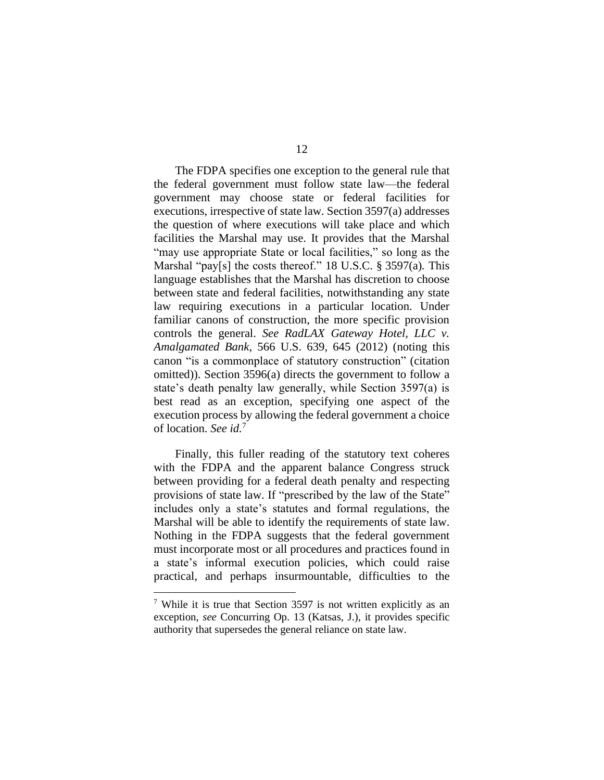The FDPA specifies one exception to the general rule that the federal government must follow state law—the federal government may choose state or federal facilities for executions, irrespective of state law. Section 3597(a) addresses the question of where executions will take place and which facilities the Marshal may use. It provides that the Marshal "may use appropriate State or local facilities," so long as the Marshal "pay[s] the costs thereof." 18 U.S.C. § 3597(a)*.* This language establishes that the Marshal has discretion to choose between state and federal facilities, notwithstanding any state law requiring executions in a particular location. Under familiar canons of construction, the more specific provision controls the general. *See RadLAX Gateway Hotel, LLC v. Amalgamated Bank*, 566 U.S. 639, 645 (2012) (noting this canon "is a commonplace of statutory construction" (citation omitted)). Section 3596(a) directs the government to follow a state's death penalty law generally, while Section 3597(a) is best read as an exception, specifying one aspect of the execution process by allowing the federal government a choice of location. *See id.*<sup>7</sup>

Finally, this fuller reading of the statutory text coheres with the FDPA and the apparent balance Congress struck between providing for a federal death penalty and respecting provisions of state law. If "prescribed by the law of the State" includes only a state's statutes and formal regulations, the Marshal will be able to identify the requirements of state law. Nothing in the FDPA suggests that the federal government must incorporate most or all procedures and practices found in a state's informal execution policies, which could raise practical, and perhaps insurmountable, difficulties to the

<sup>7</sup> While it is true that Section 3597 is not written explicitly as an exception, *see* Concurring Op. 13 (Katsas, J.), it provides specific authority that supersedes the general reliance on state law.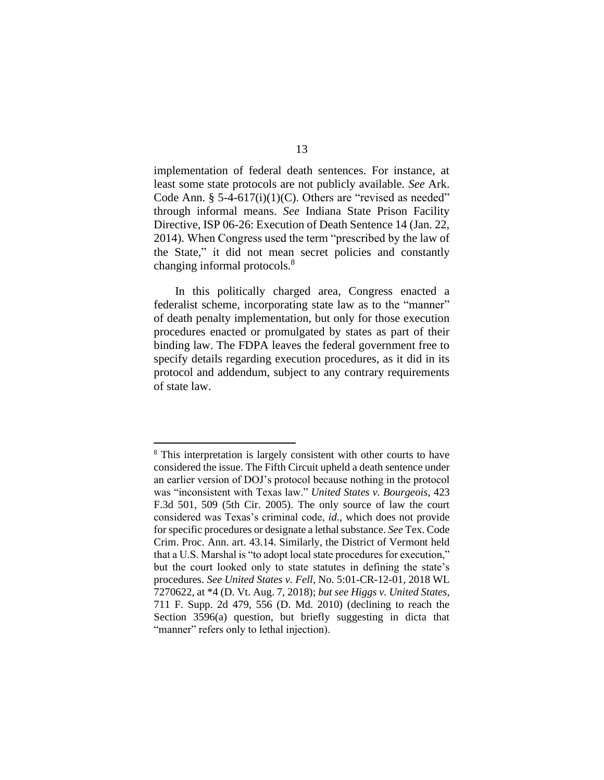implementation of federal death sentences. For instance, at least some state protocols are not publicly available. *See* Ark. Code Ann.  $\S$  5-4-617(i)(1)(C). Others are "revised as needed" through informal means. *See* Indiana State Prison Facility Directive, ISP 06-26: Execution of Death Sentence 14 (Jan. 22, 2014). When Congress used the term "prescribed by the law of the State," it did not mean secret policies and constantly changing informal protocols.<sup>8</sup>

In this politically charged area, Congress enacted a federalist scheme, incorporating state law as to the "manner" of death penalty implementation, but only for those execution procedures enacted or promulgated by states as part of their binding law. The FDPA leaves the federal government free to specify details regarding execution procedures, as it did in its protocol and addendum, subject to any contrary requirements of state law.

<sup>&</sup>lt;sup>8</sup> This interpretation is largely consistent with other courts to have considered the issue. The Fifth Circuit upheld a death sentence under an earlier version of DOJ's protocol because nothing in the protocol was "inconsistent with Texas law." *United States v. Bourgeois*, 423 F.3d 501, 509 (5th Cir. 2005). The only source of law the court considered was Texas's criminal code, *id.*, which does not provide for specific procedures or designate a lethal substance. *See* Tex. Code Crim. Proc. Ann. art. 43.14. Similarly, the District of Vermont held that a U.S. Marshal is "to adopt local state procedures for execution," but the court looked only to state statutes in defining the state's procedures. *See United States v. Fell*, No. 5:01-CR-12-01, 2018 WL 7270622, at \*4 (D. Vt. Aug. 7, 2018); *but see Higgs v. United States*, 711 F. Supp. 2d 479, 556 (D. Md. 2010) (declining to reach the Section 3596(a) question, but briefly suggesting in dicta that "manner" refers only to lethal injection).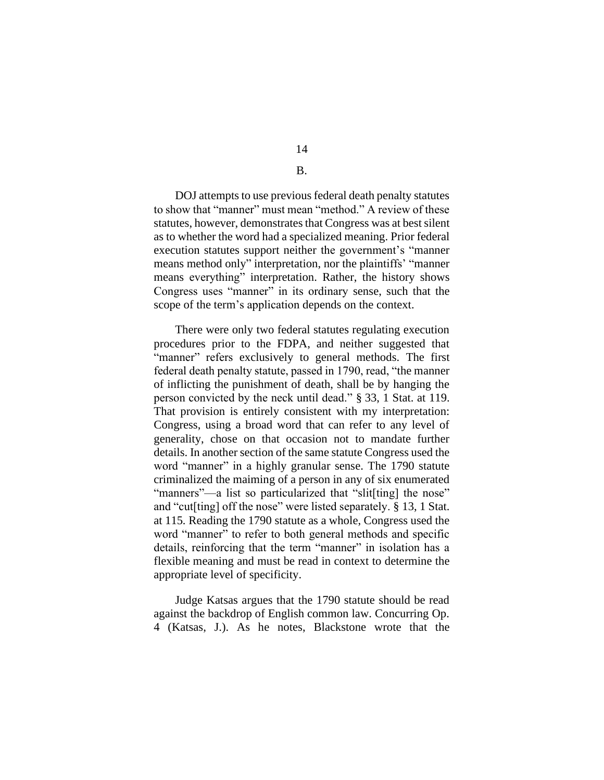# 14

## B.

DOJ attempts to use previous federal death penalty statutes to show that "manner" must mean "method." A review of these statutes, however, demonstrates that Congress was at best silent as to whether the word had a specialized meaning. Prior federal execution statutes support neither the government's "manner means method only" interpretation, nor the plaintiffs' "manner means everything" interpretation. Rather, the history shows Congress uses "manner" in its ordinary sense, such that the scope of the term's application depends on the context.

There were only two federal statutes regulating execution procedures prior to the FDPA, and neither suggested that "manner" refers exclusively to general methods. The first federal death penalty statute, passed in 1790, read, "the manner of inflicting the punishment of death, shall be by hanging the person convicted by the neck until dead." § 33, 1 Stat. at 119. That provision is entirely consistent with my interpretation: Congress, using a broad word that can refer to any level of generality, chose on that occasion not to mandate further details. In another section of the same statute Congress used the word "manner" in a highly granular sense. The 1790 statute criminalized the maiming of a person in any of six enumerated "manners"—a list so particularized that "slit[ting] the nose" and "cut[ting] off the nose" were listed separately. § 13, 1 Stat. at 115*.* Reading the 1790 statute as a whole, Congress used the word "manner" to refer to both general methods and specific details, reinforcing that the term "manner" in isolation has a flexible meaning and must be read in context to determine the appropriate level of specificity.

Judge Katsas argues that the 1790 statute should be read against the backdrop of English common law. Concurring Op. 4 (Katsas, J.). As he notes, Blackstone wrote that the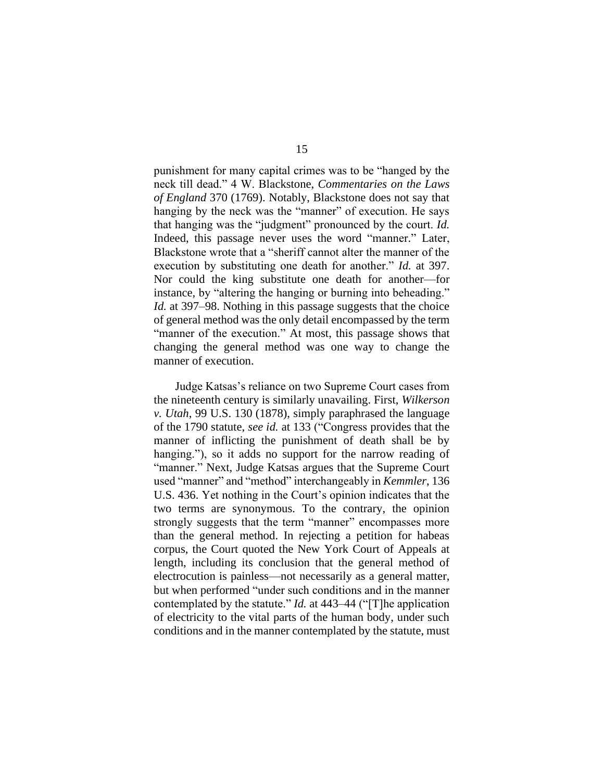punishment for many capital crimes was to be "hanged by the neck till dead." 4 W. Blackstone, *Commentaries on the Laws of England* 370 (1769). Notably, Blackstone does not say that hanging by the neck was the "manner" of execution. He says that hanging was the "judgment" pronounced by the court. *Id.*  Indeed, this passage never uses the word "manner." Later, Blackstone wrote that a "sheriff cannot alter the manner of the execution by substituting one death for another." *Id.* at 397. Nor could the king substitute one death for another—for instance, by "altering the hanging or burning into beheading." *Id.* at 397–98. Nothing in this passage suggests that the choice of general method was the only detail encompassed by the term "manner of the execution." At most, this passage shows that changing the general method was one way to change the manner of execution.

Judge Katsas's reliance on two Supreme Court cases from the nineteenth century is similarly unavailing. First, *Wilkerson v. Utah*, 99 U.S. 130 (1878), simply paraphrased the language of the 1790 statute, *see id.* at 133 ("Congress provides that the manner of inflicting the punishment of death shall be by hanging."), so it adds no support for the narrow reading of "manner." Next, Judge Katsas argues that the Supreme Court used "manner" and "method" interchangeably in *Kemmler*, 136 U.S. 436. Yet nothing in the Court's opinion indicates that the two terms are synonymous. To the contrary, the opinion strongly suggests that the term "manner" encompasses more than the general method. In rejecting a petition for habeas corpus, the Court quoted the New York Court of Appeals at length, including its conclusion that the general method of electrocution is painless—not necessarily as a general matter, but when performed "under such conditions and in the manner contemplated by the statute." *Id.* at 443–44 ("[T]he application of electricity to the vital parts of the human body, under such conditions and in the manner contemplated by the statute, must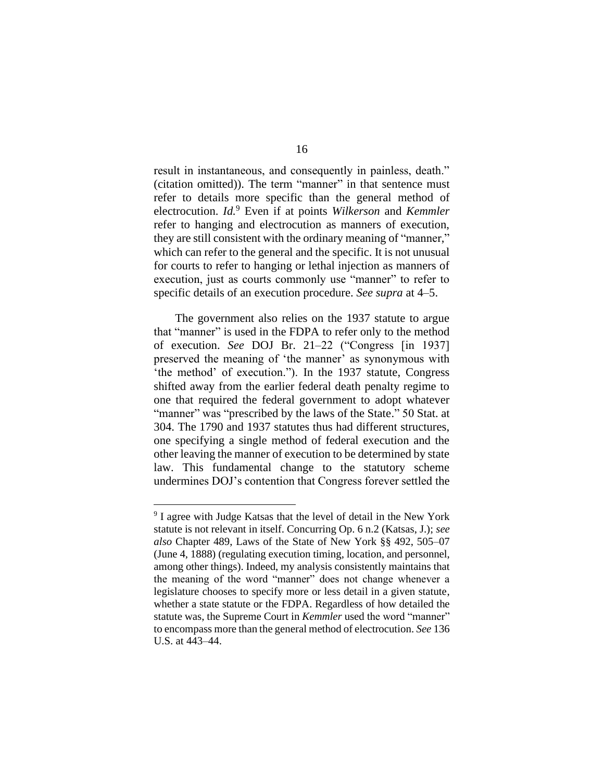result in instantaneous, and consequently in painless, death." (citation omitted)). The term "manner" in that sentence must refer to details more specific than the general method of electrocution. *Id.*<sup>9</sup> Even if at points *Wilkerson* and *Kemmler* refer to hanging and electrocution as manners of execution, they are still consistent with the ordinary meaning of "manner," which can refer to the general and the specific. It is not unusual for courts to refer to hanging or lethal injection as manners of execution, just as courts commonly use "manner" to refer to specific details of an execution procedure. *See supra* at 4–5.

The government also relies on the 1937 statute to argue that "manner" is used in the FDPA to refer only to the method of execution. *See* DOJ Br. 21–22 ("Congress [in 1937] preserved the meaning of 'the manner' as synonymous with 'the method' of execution."). In the 1937 statute, Congress shifted away from the earlier federal death penalty regime to one that required the federal government to adopt whatever "manner" was "prescribed by the laws of the State." 50 Stat. at 304. The 1790 and 1937 statutes thus had different structures, one specifying a single method of federal execution and the other leaving the manner of execution to be determined by state law. This fundamental change to the statutory scheme undermines DOJ's contention that Congress forever settled the

<sup>&</sup>lt;sup>9</sup> I agree with Judge Katsas that the level of detail in the New York statute is not relevant in itself. Concurring Op. 6 n.2 (Katsas, J.); *see also* Chapter 489, Laws of the State of New York §§ 492, 505–07 (June 4, 1888) (regulating execution timing, location, and personnel, among other things). Indeed, my analysis consistently maintains that the meaning of the word "manner" does not change whenever a legislature chooses to specify more or less detail in a given statute, whether a state statute or the FDPA. Regardless of how detailed the statute was, the Supreme Court in *Kemmler* used the word "manner" to encompass more than the general method of electrocution. *See* 136 U.S. at 443–44.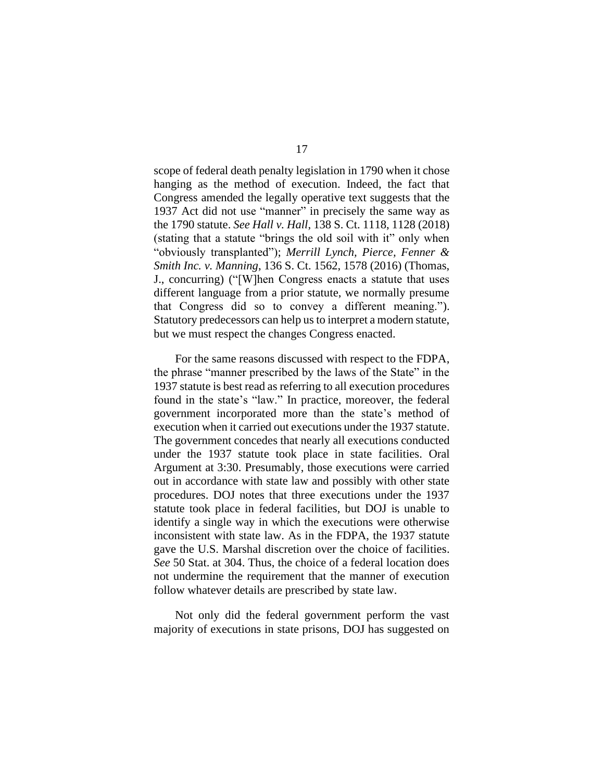scope of federal death penalty legislation in 1790 when it chose hanging as the method of execution. Indeed, the fact that Congress amended the legally operative text suggests that the 1937 Act did not use "manner" in precisely the same way as the 1790 statute. *See Hall v. Hall*, 138 S. Ct. 1118, 1128 (2018) (stating that a statute "brings the old soil with it" only when "obviously transplanted"); *Merrill Lynch, Pierce, Fenner & Smith Inc. v. Manning*, 136 S. Ct. 1562, 1578 (2016) (Thomas, J., concurring) ("[W]hen Congress enacts a statute that uses different language from a prior statute, we normally presume that Congress did so to convey a different meaning."). Statutory predecessors can help us to interpret a modern statute, but we must respect the changes Congress enacted.

For the same reasons discussed with respect to the FDPA, the phrase "manner prescribed by the laws of the State" in the 1937 statute is best read as referring to all execution procedures found in the state's "law." In practice, moreover, the federal government incorporated more than the state's method of execution when it carried out executions under the 1937 statute. The government concedes that nearly all executions conducted under the 1937 statute took place in state facilities. Oral Argument at 3:30. Presumably, those executions were carried out in accordance with state law and possibly with other state procedures. DOJ notes that three executions under the 1937 statute took place in federal facilities, but DOJ is unable to identify a single way in which the executions were otherwise inconsistent with state law. As in the FDPA, the 1937 statute gave the U.S. Marshal discretion over the choice of facilities. *See* 50 Stat. at 304. Thus, the choice of a federal location does not undermine the requirement that the manner of execution follow whatever details are prescribed by state law.

Not only did the federal government perform the vast majority of executions in state prisons, DOJ has suggested on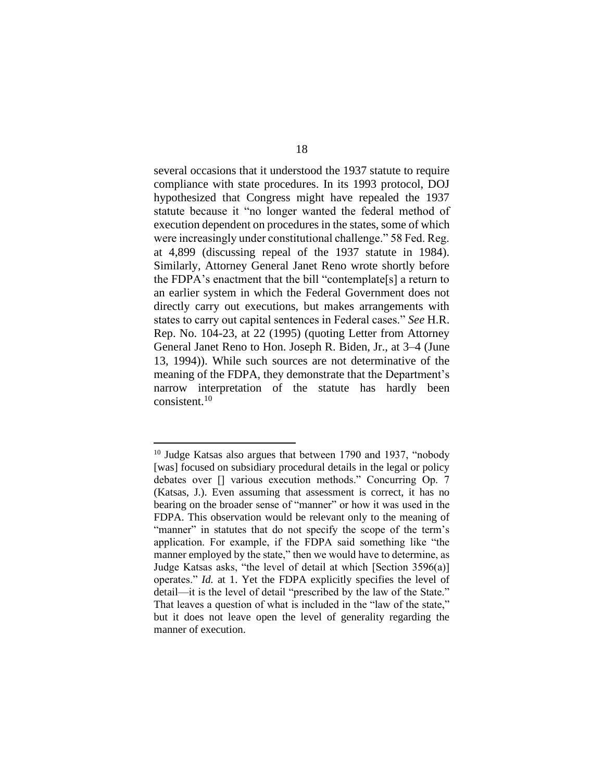several occasions that it understood the 1937 statute to require compliance with state procedures. In its 1993 protocol, DOJ hypothesized that Congress might have repealed the 1937 statute because it "no longer wanted the federal method of execution dependent on procedures in the states, some of which were increasingly under constitutional challenge." 58 Fed. Reg. at 4,899 (discussing repeal of the 1937 statute in 1984). Similarly, Attorney General Janet Reno wrote shortly before the FDPA's enactment that the bill "contemplate[s] a return to an earlier system in which the Federal Government does not directly carry out executions, but makes arrangements with states to carry out capital sentences in Federal cases." *See* H.R. Rep. No. 104-23, at 22 (1995) (quoting Letter from Attorney General Janet Reno to Hon. Joseph R. Biden, Jr., at 3–4 (June 13, 1994)). While such sources are not determinative of the meaning of the FDPA, they demonstrate that the Department's narrow interpretation of the statute has hardly been consistent.<sup>10</sup>

<sup>&</sup>lt;sup>10</sup> Judge Katsas also argues that between 1790 and 1937, "nobody [was] focused on subsidiary procedural details in the legal or policy debates over [] various execution methods." Concurring Op. 7 (Katsas, J.). Even assuming that assessment is correct, it has no bearing on the broader sense of "manner" or how it was used in the FDPA. This observation would be relevant only to the meaning of "manner" in statutes that do not specify the scope of the term's application. For example, if the FDPA said something like "the manner employed by the state," then we would have to determine, as Judge Katsas asks, "the level of detail at which [Section 3596(a)] operates." *Id.* at 1. Yet the FDPA explicitly specifies the level of detail—it is the level of detail "prescribed by the law of the State." That leaves a question of what is included in the "law of the state," but it does not leave open the level of generality regarding the manner of execution.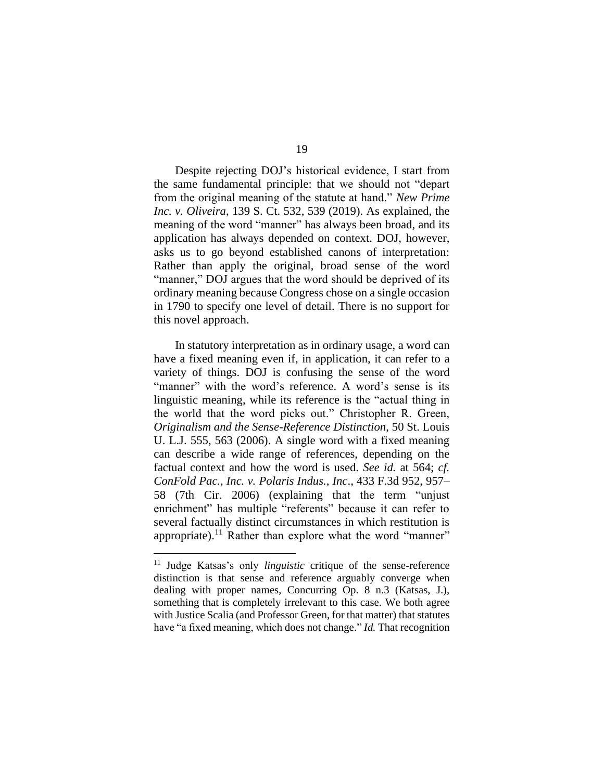Despite rejecting DOJ's historical evidence, I start from the same fundamental principle: that we should not "depart from the original meaning of the statute at hand." *New Prime Inc. v. Oliveira*, 139 S. Ct. 532, 539 (2019). As explained, the meaning of the word "manner" has always been broad, and its application has always depended on context. DOJ, however, asks us to go beyond established canons of interpretation: Rather than apply the original, broad sense of the word "manner," DOJ argues that the word should be deprived of its ordinary meaning because Congress chose on a single occasion in 1790 to specify one level of detail. There is no support for this novel approach.

In statutory interpretation as in ordinary usage, a word can have a fixed meaning even if, in application, it can refer to a variety of things. DOJ is confusing the sense of the word "manner" with the word's reference. A word's sense is its linguistic meaning, while its reference is the "actual thing in the world that the word picks out." Christopher R. Green, *Originalism and the Sense-Reference Distinction*, 50 St. Louis U. L.J. 555, 563 (2006). A single word with a fixed meaning can describe a wide range of references, depending on the factual context and how the word is used. *See id.* at 564; *cf. ConFold Pac., Inc. v. Polaris Indus., Inc*., 433 F.3d 952, 957– 58 (7th Cir. 2006) (explaining that the term "unjust enrichment" has multiple "referents" because it can refer to several factually distinct circumstances in which restitution is appropriate).<sup>11</sup> Rather than explore what the word "manner"

<sup>11</sup> Judge Katsas's only *linguistic* critique of the sense-reference distinction is that sense and reference arguably converge when dealing with proper names, Concurring Op. 8 n.3 (Katsas, J.), something that is completely irrelevant to this case. We both agree with Justice Scalia (and Professor Green, for that matter) that statutes have "a fixed meaning, which does not change." *Id.* That recognition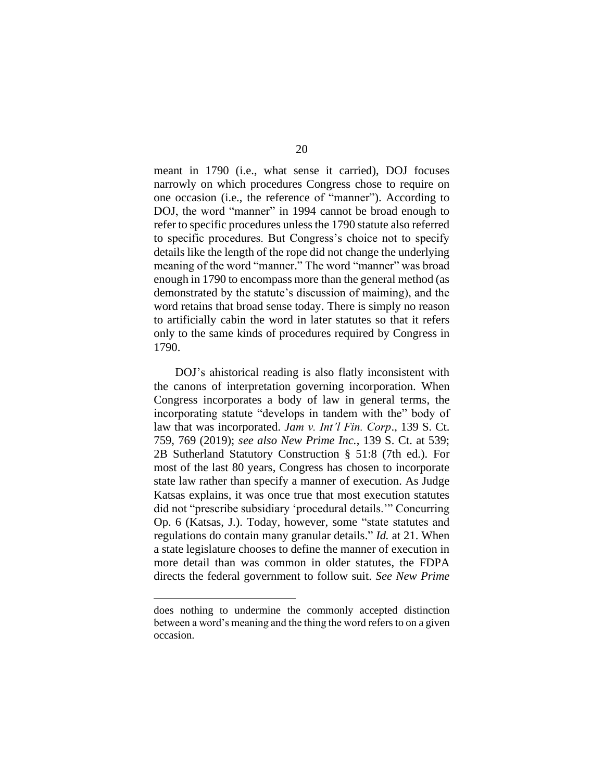meant in 1790 (i.e., what sense it carried), DOJ focuses narrowly on which procedures Congress chose to require on one occasion (i.e., the reference of "manner"). According to DOJ, the word "manner" in 1994 cannot be broad enough to refer to specific procedures unless the 1790 statute also referred to specific procedures. But Congress's choice not to specify details like the length of the rope did not change the underlying meaning of the word "manner." The word "manner" was broad enough in 1790 to encompass more than the general method (as demonstrated by the statute's discussion of maiming), and the word retains that broad sense today. There is simply no reason to artificially cabin the word in later statutes so that it refers only to the same kinds of procedures required by Congress in 1790.

DOJ's ahistorical reading is also flatly inconsistent with the canons of interpretation governing incorporation. When Congress incorporates a body of law in general terms, the incorporating statute "develops in tandem with the" body of law that was incorporated. *Jam v. Int'l Fin. Corp*., 139 S. Ct. 759, 769 (2019); *see also New Prime Inc.*, 139 S. Ct. at 539; 2B Sutherland Statutory Construction § 51:8 (7th ed.). For most of the last 80 years, Congress has chosen to incorporate state law rather than specify a manner of execution. As Judge Katsas explains, it was once true that most execution statutes did not "prescribe subsidiary 'procedural details.'" Concurring Op. 6 (Katsas, J.). Today, however, some "state statutes and regulations do contain many granular details." *Id.* at 21. When a state legislature chooses to define the manner of execution in more detail than was common in older statutes, the FDPA directs the federal government to follow suit. *See New Prime*

does nothing to undermine the commonly accepted distinction between a word's meaning and the thing the word refers to on a given occasion.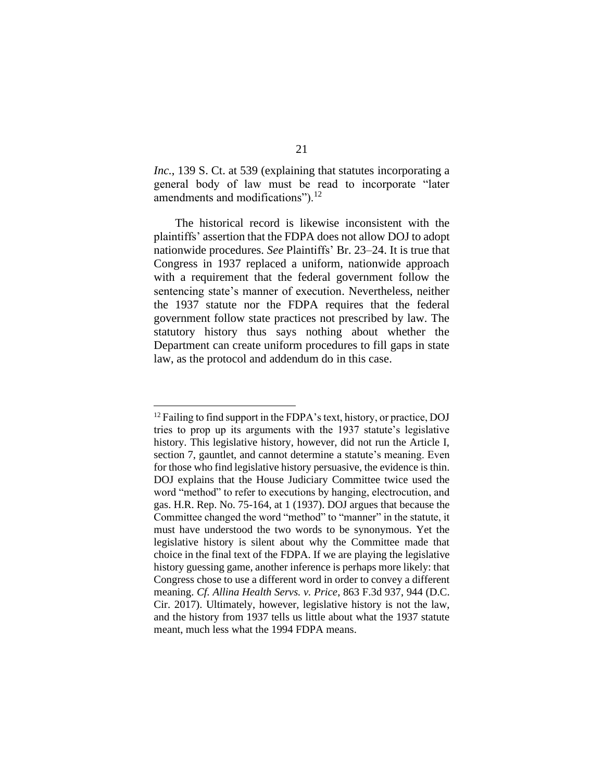*Inc.*, 139 S. Ct. at 539 (explaining that statutes incorporating a general body of law must be read to incorporate "later amendments and modifications").<sup>12</sup>

The historical record is likewise inconsistent with the plaintiffs' assertion that the FDPA does not allow DOJ to adopt nationwide procedures. *See* Plaintiffs' Br. 23–24. It is true that Congress in 1937 replaced a uniform, nationwide approach with a requirement that the federal government follow the sentencing state's manner of execution. Nevertheless, neither the 1937 statute nor the FDPA requires that the federal government follow state practices not prescribed by law. The statutory history thus says nothing about whether the Department can create uniform procedures to fill gaps in state law, as the protocol and addendum do in this case.

<sup>&</sup>lt;sup>12</sup> Failing to find support in the FDPA's text, history, or practice, DOJ tries to prop up its arguments with the 1937 statute's legislative history. This legislative history, however, did not run the Article I, section 7, gauntlet, and cannot determine a statute's meaning. Even for those who find legislative history persuasive, the evidence is thin. DOJ explains that the House Judiciary Committee twice used the word "method" to refer to executions by hanging, electrocution, and gas. H.R. Rep. No. 75-164, at 1 (1937). DOJ argues that because the Committee changed the word "method" to "manner" in the statute, it must have understood the two words to be synonymous. Yet the legislative history is silent about why the Committee made that choice in the final text of the FDPA. If we are playing the legislative history guessing game, another inference is perhaps more likely: that Congress chose to use a different word in order to convey a different meaning. *Cf. Allina Health Servs. v. Price*, 863 F.3d 937, 944 (D.C. Cir. 2017). Ultimately, however, legislative history is not the law, and the history from 1937 tells us little about what the 1937 statute meant, much less what the 1994 FDPA means.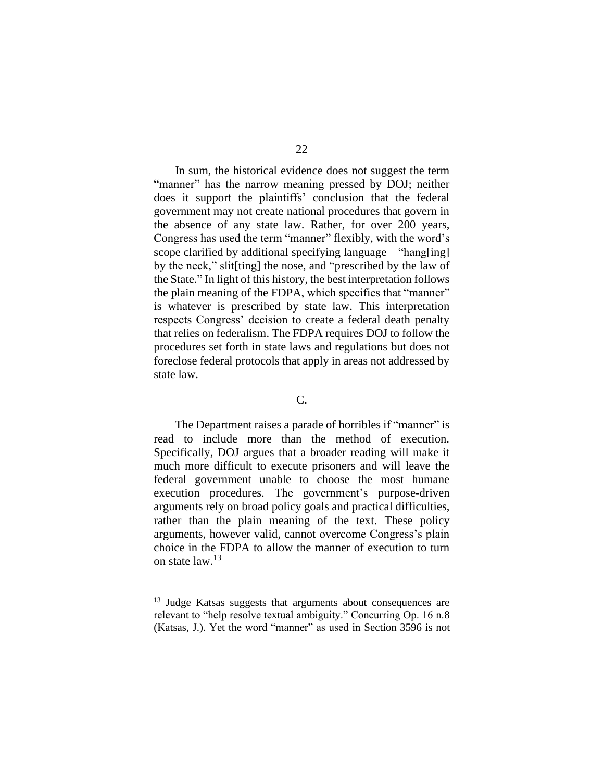In sum, the historical evidence does not suggest the term "manner" has the narrow meaning pressed by DOJ; neither does it support the plaintiffs' conclusion that the federal government may not create national procedures that govern in the absence of any state law. Rather, for over 200 years, Congress has used the term "manner" flexibly, with the word's scope clarified by additional specifying language—"hang[ing] by the neck," slit[ting] the nose, and "prescribed by the law of the State." In light of this history, the best interpretation follows the plain meaning of the FDPA, which specifies that "manner" is whatever is prescribed by state law. This interpretation respects Congress' decision to create a federal death penalty that relies on federalism. The FDPA requires DOJ to follow the procedures set forth in state laws and regulations but does not foreclose federal protocols that apply in areas not addressed by state law.

## C.

The Department raises a parade of horribles if "manner" is read to include more than the method of execution. Specifically, DOJ argues that a broader reading will make it much more difficult to execute prisoners and will leave the federal government unable to choose the most humane execution procedures. The government's purpose-driven arguments rely on broad policy goals and practical difficulties, rather than the plain meaning of the text. These policy arguments, however valid, cannot overcome Congress's plain choice in the FDPA to allow the manner of execution to turn on state law.<sup>13</sup>

<sup>&</sup>lt;sup>13</sup> Judge Katsas suggests that arguments about consequences are relevant to "help resolve textual ambiguity." Concurring Op. 16 n.8 (Katsas, J.). Yet the word "manner" as used in Section 3596 is not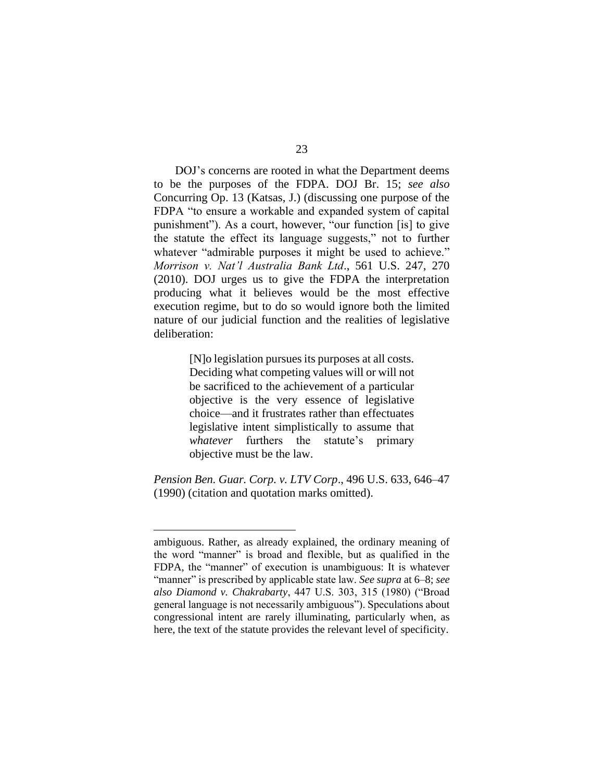DOJ's concerns are rooted in what the Department deems to be the purposes of the FDPA. DOJ Br. 15; *see also* Concurring Op. 13 (Katsas, J.) (discussing one purpose of the FDPA "to ensure a workable and expanded system of capital punishment"). As a court, however, "our function [is] to give the statute the effect its language suggests," not to further whatever "admirable purposes it might be used to achieve." *Morrison v. Nat'l Australia Bank Ltd*., 561 U.S. 247, 270 (2010). DOJ urges us to give the FDPA the interpretation producing what it believes would be the most effective execution regime, but to do so would ignore both the limited nature of our judicial function and the realities of legislative deliberation:

> [N]o legislation pursues its purposes at all costs. Deciding what competing values will or will not be sacrificed to the achievement of a particular objective is the very essence of legislative choice—and it frustrates rather than effectuates legislative intent simplistically to assume that *whatever* furthers the statute's primary objective must be the law.

*Pension Ben. Guar. Corp. v. LTV Corp*., 496 U.S. 633, 646–47 (1990) (citation and quotation marks omitted).

ambiguous. Rather, as already explained, the ordinary meaning of the word "manner" is broad and flexible, but as qualified in the FDPA, the "manner" of execution is unambiguous: It is whatever "manner" is prescribed by applicable state law. *See supra* at 6–8; *see also Diamond v. Chakrabarty*, 447 U.S. 303, 315 (1980) ("Broad general language is not necessarily ambiguous"). Speculations about congressional intent are rarely illuminating, particularly when, as here, the text of the statute provides the relevant level of specificity.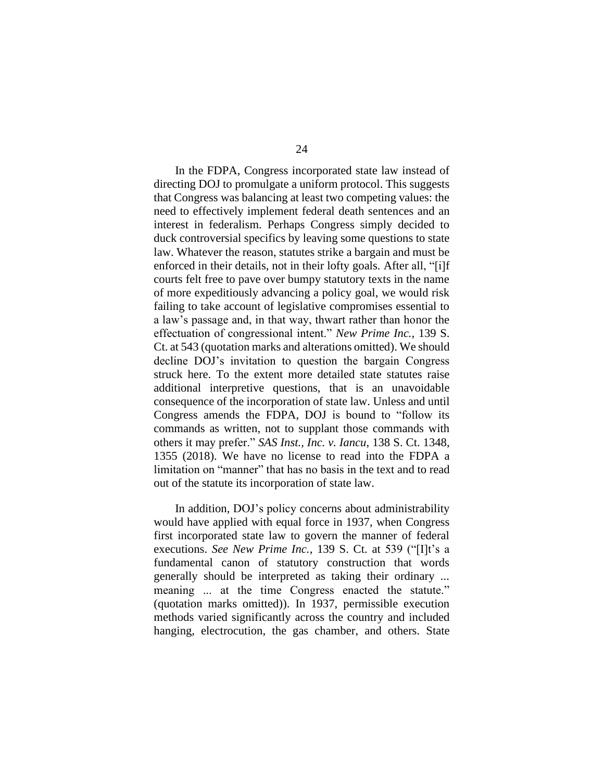In the FDPA, Congress incorporated state law instead of directing DOJ to promulgate a uniform protocol. This suggests that Congress was balancing at least two competing values: the need to effectively implement federal death sentences and an interest in federalism. Perhaps Congress simply decided to duck controversial specifics by leaving some questions to state law. Whatever the reason, statutes strike a bargain and must be enforced in their details, not in their lofty goals. After all, "[i]f courts felt free to pave over bumpy statutory texts in the name of more expeditiously advancing a policy goal, we would risk failing to take account of legislative compromises essential to a law's passage and, in that way, thwart rather than honor the effectuation of congressional intent." *New Prime Inc.*, 139 S. Ct. at 543 (quotation marks and alterations omitted). We should decline DOJ's invitation to question the bargain Congress struck here. To the extent more detailed state statutes raise additional interpretive questions, that is an unavoidable consequence of the incorporation of state law. Unless and until Congress amends the FDPA, DOJ is bound to "follow its commands as written, not to supplant those commands with others it may prefer." *SAS Inst., Inc. v. Iancu*, 138 S. Ct. 1348, 1355 (2018). We have no license to read into the FDPA a limitation on "manner" that has no basis in the text and to read out of the statute its incorporation of state law.

In addition, DOJ's policy concerns about administrability would have applied with equal force in 1937, when Congress first incorporated state law to govern the manner of federal executions. *See New Prime Inc.*, 139 S. Ct. at 539 ("[I]t's a fundamental canon of statutory construction that words generally should be interpreted as taking their ordinary ... meaning ... at the time Congress enacted the statute." (quotation marks omitted)). In 1937, permissible execution methods varied significantly across the country and included hanging, electrocution, the gas chamber, and others. State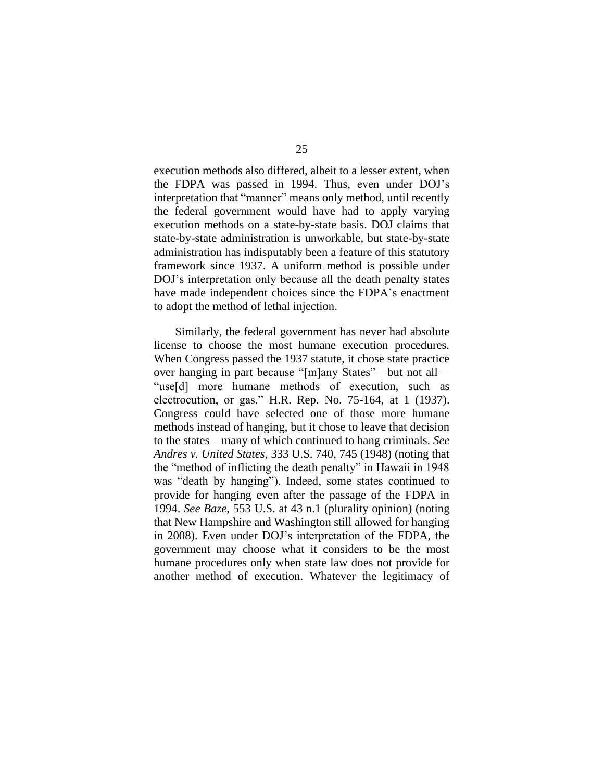execution methods also differed, albeit to a lesser extent, when the FDPA was passed in 1994. Thus, even under DOJ's interpretation that "manner" means only method, until recently the federal government would have had to apply varying execution methods on a state-by-state basis. DOJ claims that state-by-state administration is unworkable, but state-by-state administration has indisputably been a feature of this statutory framework since 1937. A uniform method is possible under DOJ's interpretation only because all the death penalty states have made independent choices since the FDPA's enactment to adopt the method of lethal injection.

Similarly, the federal government has never had absolute license to choose the most humane execution procedures. When Congress passed the 1937 statute, it chose state practice over hanging in part because "[m]any States"—but not all— "use[d] more humane methods of execution, such as electrocution, or gas." H.R. Rep. No. 75-164, at 1 (1937). Congress could have selected one of those more humane methods instead of hanging, but it chose to leave that decision to the states—many of which continued to hang criminals. *See Andres v. United States*, 333 U.S. 740, 745 (1948) (noting that the "method of inflicting the death penalty" in Hawaii in 1948 was "death by hanging"). Indeed, some states continued to provide for hanging even after the passage of the FDPA in 1994. *See Baze*, 553 U.S. at 43 n.1 (plurality opinion) (noting that New Hampshire and Washington still allowed for hanging in 2008). Even under DOJ's interpretation of the FDPA, the government may choose what it considers to be the most humane procedures only when state law does not provide for another method of execution. Whatever the legitimacy of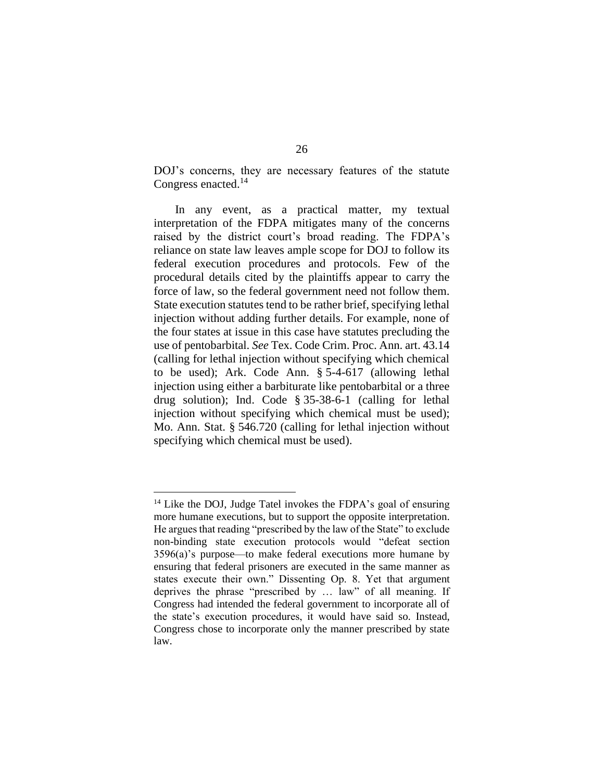DOJ's concerns, they are necessary features of the statute Congress enacted. 14

In any event, as a practical matter, my textual interpretation of the FDPA mitigates many of the concerns raised by the district court's broad reading. The FDPA's reliance on state law leaves ample scope for DOJ to follow its federal execution procedures and protocols. Few of the procedural details cited by the plaintiffs appear to carry the force of law, so the federal government need not follow them. State execution statutes tend to be rather brief, specifying lethal injection without adding further details. For example, none of the four states at issue in this case have statutes precluding the use of pentobarbital. *See* Tex. Code Crim. Proc. Ann. art. 43.14 (calling for lethal injection without specifying which chemical to be used); Ark. Code Ann. § 5-4-617 (allowing lethal injection using either a barbiturate like pentobarbital or a three drug solution); Ind. Code § 35-38-6-1 (calling for lethal injection without specifying which chemical must be used); Mo. Ann. Stat. § 546.720 (calling for lethal injection without specifying which chemical must be used).

<sup>&</sup>lt;sup>14</sup> Like the DOJ, Judge Tatel invokes the FDPA's goal of ensuring more humane executions, but to support the opposite interpretation. He argues that reading "prescribed by the law of the State" to exclude non-binding state execution protocols would "defeat section 3596(a)'s purpose—to make federal executions more humane by ensuring that federal prisoners are executed in the same manner as states execute their own." Dissenting Op. 8. Yet that argument deprives the phrase "prescribed by … law" of all meaning. If Congress had intended the federal government to incorporate all of the state's execution procedures, it would have said so. Instead, Congress chose to incorporate only the manner prescribed by state law.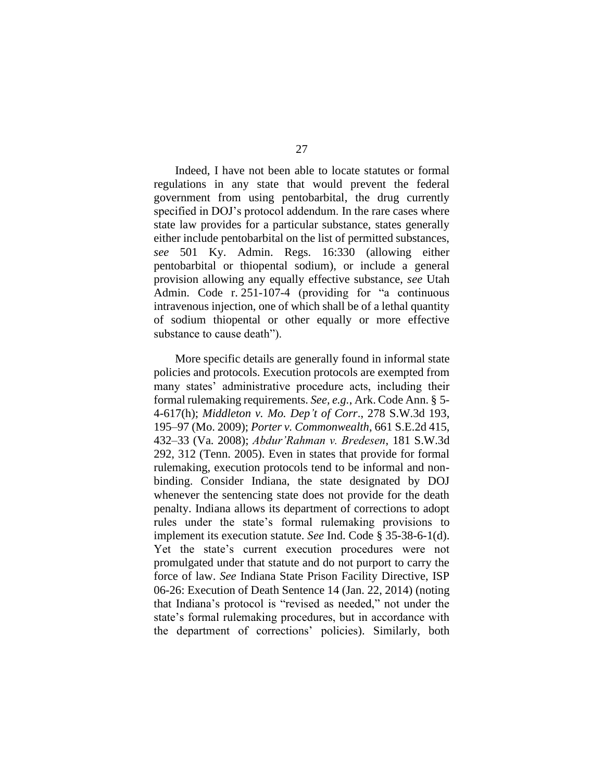Indeed, I have not been able to locate statutes or formal regulations in any state that would prevent the federal government from using pentobarbital, the drug currently specified in DOJ's protocol addendum. In the rare cases where state law provides for a particular substance, states generally either include pentobarbital on the list of permitted substances, *see* 501 Ky. Admin. Regs. 16:330 (allowing either pentobarbital or thiopental sodium), or include a general provision allowing any equally effective substance, *see* Utah Admin. Code r. 251-107-4 (providing for "a continuous intravenous injection, one of which shall be of a lethal quantity of sodium thiopental or other equally or more effective substance to cause death").

More specific details are generally found in informal state policies and protocols. Execution protocols are exempted from many states' administrative procedure acts, including their formal rulemaking requirements. *See, e.g.*, Ark. Code Ann. § 5- 4-617(h); *Middleton v. Mo. Dep't of Corr*., 278 S.W.3d 193, 195–97 (Mo. 2009); *Porter v. Commonwealth*, 661 S.E.2d 415, 432–33 (Va. 2008); *Abdur'Rahman v. Bredesen*, 181 S.W.3d 292, 312 (Tenn. 2005). Even in states that provide for formal rulemaking, execution protocols tend to be informal and nonbinding. Consider Indiana, the state designated by DOJ whenever the sentencing state does not provide for the death penalty. Indiana allows its department of corrections to adopt rules under the state's formal rulemaking provisions to implement its execution statute. *See* Ind. Code § 35-38-6-1(d). Yet the state's current execution procedures were not promulgated under that statute and do not purport to carry the force of law. *See* Indiana State Prison Facility Directive, ISP 06-26: Execution of Death Sentence 14 (Jan. 22, 2014) (noting that Indiana's protocol is "revised as needed," not under the state's formal rulemaking procedures, but in accordance with the department of corrections' policies). Similarly, both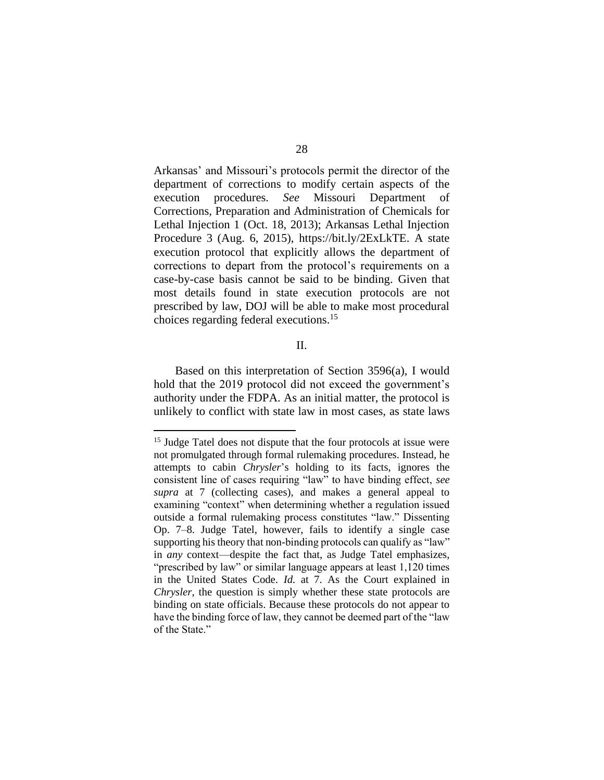Arkansas' and Missouri's protocols permit the director of the department of corrections to modify certain aspects of the execution procedures. *See* Missouri Department of Corrections, Preparation and Administration of Chemicals for Lethal Injection 1 (Oct. 18, 2013); Arkansas Lethal Injection Procedure 3 (Aug. 6, 2015), https://bit.ly/2ExLkTE. A state execution protocol that explicitly allows the department of corrections to depart from the protocol's requirements on a case-by-case basis cannot be said to be binding. Given that most details found in state execution protocols are not prescribed by law, DOJ will be able to make most procedural choices regarding federal executions. 15

#### II.

Based on this interpretation of Section 3596(a), I would hold that the 2019 protocol did not exceed the government's authority under the FDPA. As an initial matter, the protocol is unlikely to conflict with state law in most cases, as state laws

<sup>&</sup>lt;sup>15</sup> Judge Tatel does not dispute that the four protocols at issue were not promulgated through formal rulemaking procedures. Instead, he attempts to cabin *Chrysler*'s holding to its facts, ignores the consistent line of cases requiring "law" to have binding effect, *see supra* at 7 (collecting cases), and makes a general appeal to examining "context" when determining whether a regulation issued outside a formal rulemaking process constitutes "law." Dissenting Op. 7–8. Judge Tatel, however, fails to identify a single case supporting his theory that non-binding protocols can qualify as "law" in *any* context—despite the fact that, as Judge Tatel emphasizes, "prescribed by law" or similar language appears at least 1,120 times in the United States Code. *Id.* at 7. As the Court explained in *Chrysler*, the question is simply whether these state protocols are binding on state officials. Because these protocols do not appear to have the binding force of law, they cannot be deemed part of the "law of the State."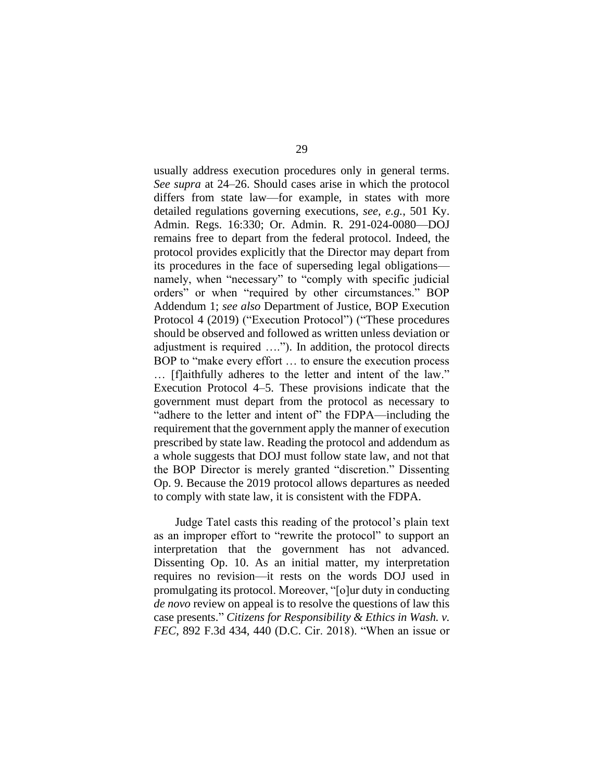usually address execution procedures only in general terms. *See supra* at 24–26. Should cases arise in which the protocol differs from state law—for example, in states with more detailed regulations governing executions, *see, e.g.*, 501 Ky. Admin. Regs. 16:330; Or. Admin. R. 291-024-0080—DOJ remains free to depart from the federal protocol. Indeed, the protocol provides explicitly that the Director may depart from its procedures in the face of superseding legal obligations namely, when "necessary" to "comply with specific judicial orders" or when "required by other circumstances." BOP Addendum 1; *see also* Department of Justice, BOP Execution Protocol 4 (2019) ("Execution Protocol") ("These procedures should be observed and followed as written unless deviation or adjustment is required …."). In addition, the protocol directs BOP to "make every effort … to ensure the execution process … [f]aithfully adheres to the letter and intent of the law." Execution Protocol 4–5. These provisions indicate that the government must depart from the protocol as necessary to "adhere to the letter and intent of" the FDPA—including the requirement that the government apply the manner of execution prescribed by state law. Reading the protocol and addendum as a whole suggests that DOJ must follow state law, and not that the BOP Director is merely granted "discretion." Dissenting Op. 9. Because the 2019 protocol allows departures as needed to comply with state law, it is consistent with the FDPA.

Judge Tatel casts this reading of the protocol's plain text as an improper effort to "rewrite the protocol" to support an interpretation that the government has not advanced. Dissenting Op. 10. As an initial matter, my interpretation requires no revision—it rests on the words DOJ used in promulgating its protocol. Moreover, "[o]ur duty in conducting *de novo* review on appeal is to resolve the questions of law this case presents." *Citizens for Responsibility & Ethics in Wash. v. FEC*, 892 F.3d 434, 440 (D.C. Cir. 2018). "When an issue or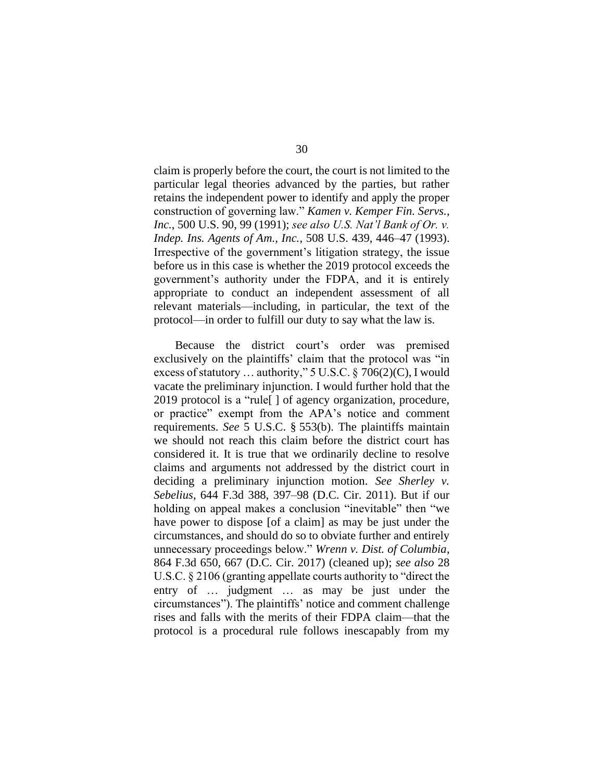claim is properly before the court, the court is not limited to the particular legal theories advanced by the parties, but rather retains the independent power to identify and apply the proper construction of governing law." *Kamen v. Kemper Fin. Servs., Inc.*, 500 U.S. 90, 99 (1991); *see also U.S. Nat'l Bank of Or. v. Indep. Ins. Agents of Am., Inc.*, 508 U.S. 439, 446–47 (1993). Irrespective of the government's litigation strategy, the issue before us in this case is whether the 2019 protocol exceeds the government's authority under the FDPA, and it is entirely appropriate to conduct an independent assessment of all relevant materials—including, in particular, the text of the protocol—in order to fulfill our duty to say what the law is.

Because the district court's order was premised exclusively on the plaintiffs' claim that the protocol was "in excess of statutory … authority," 5 U.S.C. § 706(2)(C), I would vacate the preliminary injunction. I would further hold that the 2019 protocol is a "rule[ ] of agency organization, procedure, or practice" exempt from the APA's notice and comment requirements. *See* 5 U.S.C. § 553(b). The plaintiffs maintain we should not reach this claim before the district court has considered it. It is true that we ordinarily decline to resolve claims and arguments not addressed by the district court in deciding a preliminary injunction motion. *See Sherley v. Sebelius*, 644 F.3d 388, 397–98 (D.C. Cir. 2011). But if our holding on appeal makes a conclusion "inevitable" then "we have power to dispose [of a claim] as may be just under the circumstances, and should do so to obviate further and entirely unnecessary proceedings below." *Wrenn v. Dist. of Columbia*, 864 F.3d 650, 667 (D.C. Cir. 2017) (cleaned up); *see also* 28 U.S.C. § 2106 (granting appellate courts authority to "direct the entry of … judgment … as may be just under the circumstances"). The plaintiffs' notice and comment challenge rises and falls with the merits of their FDPA claim—that the protocol is a procedural rule follows inescapably from my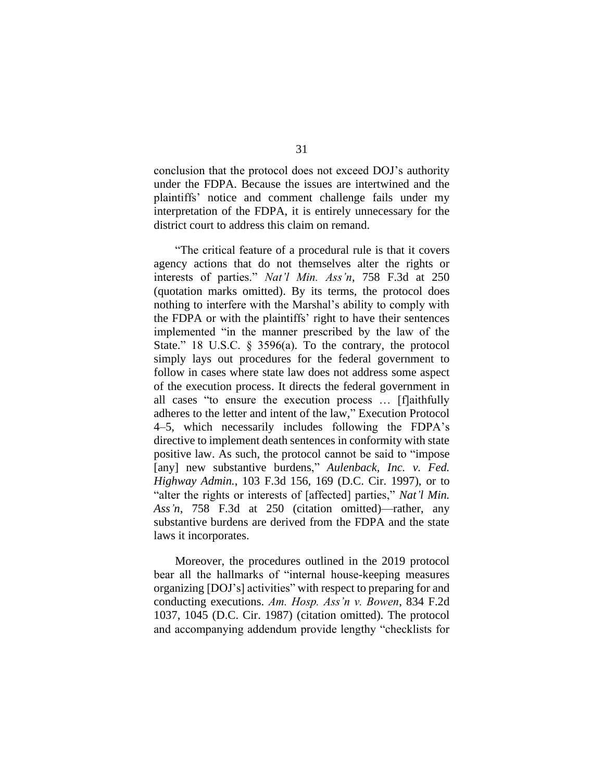conclusion that the protocol does not exceed DOJ's authority under the FDPA. Because the issues are intertwined and the plaintiffs' notice and comment challenge fails under my interpretation of the FDPA, it is entirely unnecessary for the district court to address this claim on remand.

"The critical feature of a procedural rule is that it covers agency actions that do not themselves alter the rights or interests of parties." *Nat'l Min. Ass'n*, 758 F.3d at 250 (quotation marks omitted). By its terms, the protocol does nothing to interfere with the Marshal's ability to comply with the FDPA or with the plaintiffs' right to have their sentences implemented "in the manner prescribed by the law of the State." 18 U.S.C. § 3596(a). To the contrary, the protocol simply lays out procedures for the federal government to follow in cases where state law does not address some aspect of the execution process. It directs the federal government in all cases "to ensure the execution process … [f]aithfully adheres to the letter and intent of the law," Execution Protocol 4–5, which necessarily includes following the FDPA's directive to implement death sentences in conformity with state positive law. As such, the protocol cannot be said to "impose [any] new substantive burdens," *Aulenback, Inc. v. Fed. Highway Admin.*, 103 F.3d 156, 169 (D.C. Cir. 1997), or to "alter the rights or interests of [affected] parties," *Nat'l Min. Ass'n*, 758 F.3d at 250 (citation omitted)—rather, any substantive burdens are derived from the FDPA and the state laws it incorporates.

Moreover, the procedures outlined in the 2019 protocol bear all the hallmarks of "internal house-keeping measures organizing [DOJ's] activities" with respect to preparing for and conducting executions. *Am. Hosp. Ass'n v. Bowen*, 834 F.2d 1037, 1045 (D.C. Cir. 1987) (citation omitted). The protocol and accompanying addendum provide lengthy "checklists for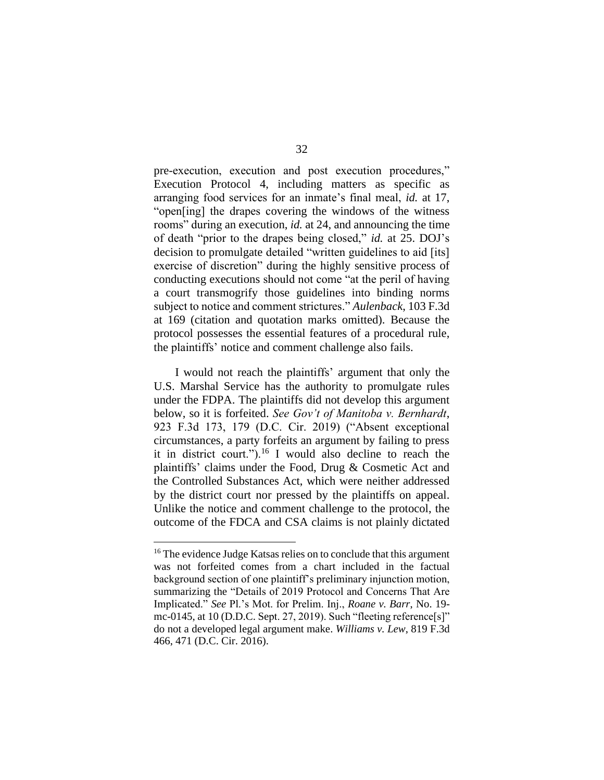pre-execution, execution and post execution procedures," Execution Protocol 4, including matters as specific as arranging food services for an inmate's final meal, *id.* at 17, "open[ing] the drapes covering the windows of the witness rooms" during an execution, *id.* at 24, and announcing the time of death "prior to the drapes being closed," *id.* at 25. DOJ's decision to promulgate detailed "written guidelines to aid [its] exercise of discretion" during the highly sensitive process of conducting executions should not come "at the peril of having a court transmogrify those guidelines into binding norms subject to notice and comment strictures." *Aulenback*, 103 F.3d at 169 (citation and quotation marks omitted). Because the protocol possesses the essential features of a procedural rule, the plaintiffs' notice and comment challenge also fails.

I would not reach the plaintiffs' argument that only the U.S. Marshal Service has the authority to promulgate rules under the FDPA. The plaintiffs did not develop this argument below, so it is forfeited. *See Gov't of Manitoba v. Bernhardt*, 923 F.3d 173, 179 (D.C. Cir. 2019) ("Absent exceptional circumstances, a party forfeits an argument by failing to press it in district court.").<sup>16</sup> I would also decline to reach the plaintiffs' claims under the Food, Drug & Cosmetic Act and the Controlled Substances Act, which were neither addressed by the district court nor pressed by the plaintiffs on appeal. Unlike the notice and comment challenge to the protocol, the outcome of the FDCA and CSA claims is not plainly dictated

<sup>&</sup>lt;sup>16</sup> The evidence Judge Katsas relies on to conclude that this argument was not forfeited comes from a chart included in the factual background section of one plaintiff's preliminary injunction motion, summarizing the "Details of 2019 Protocol and Concerns That Are Implicated." *See* Pl.'s Mot. for Prelim. Inj., *Roane v. Barr*, No. 19 mc-0145, at 10 (D.D.C. Sept. 27, 2019). Such "fleeting reference[s]" do not a developed legal argument make. *Williams v. Lew*, 819 F.3d 466, 471 (D.C. Cir. 2016).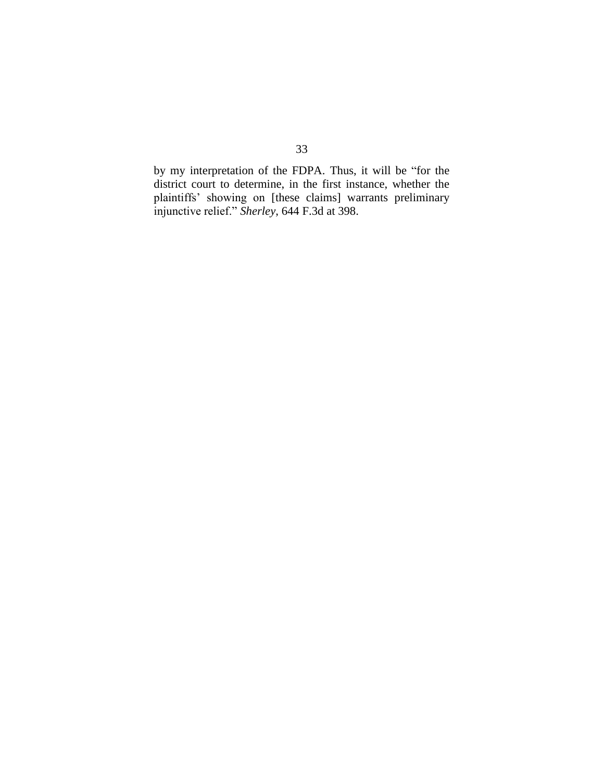by my interpretation of the FDPA. Thus, it will be "for the district court to determine, in the first instance, whether the plaintiffs' showing on [these claims] warrants preliminary injunctive relief." *Sherley*, 644 F.3d at 398.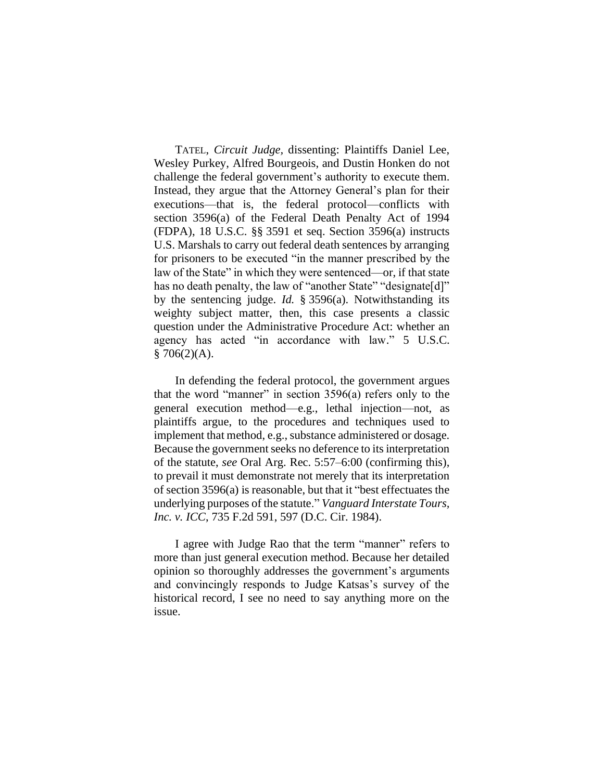TATEL, *Circuit Judge,* dissenting: Plaintiffs Daniel Lee, Wesley Purkey, Alfred Bourgeois, and Dustin Honken do not challenge the federal government's authority to execute them. Instead, they argue that the Attorney General's plan for their executions—that is, the federal protocol—conflicts with section 3596(a) of the Federal Death Penalty Act of 1994 (FDPA), 18 U.S.C. §§ 3591 et seq. Section 3596(a) instructs U.S. Marshals to carry out federal death sentences by arranging for prisoners to be executed "in the manner prescribed by the law of the State" in which they were sentenced—or, if that state has no death penalty, the law of "another State" "designate[d]" by the sentencing judge. *Id.* § 3596(a). Notwithstanding its weighty subject matter, then, this case presents a classic question under the Administrative Procedure Act: whether an agency has acted "in accordance with law." 5 U.S.C.  $$706(2)(A).$ 

In defending the federal protocol, the government argues that the word "manner" in section 3596(a) refers only to the general execution method—e.g., lethal injection—not, as plaintiffs argue, to the procedures and techniques used to implement that method, e.g., substance administered or dosage. Because the government seeks no deference to its interpretation of the statute, *see* Oral Arg. Rec. 5:57–6:00 (confirming this), to prevail it must demonstrate not merely that its interpretation of section 3596(a) is reasonable, but that it "best effectuates the underlying purposes of the statute." *Vanguard Interstate Tours, Inc. v. ICC*, 735 F.2d 591, 597 (D.C. Cir. 1984).

I agree with Judge Rao that the term "manner" refers to more than just general execution method. Because her detailed opinion so thoroughly addresses the government's arguments and convincingly responds to Judge Katsas's survey of the historical record, I see no need to say anything more on the issue.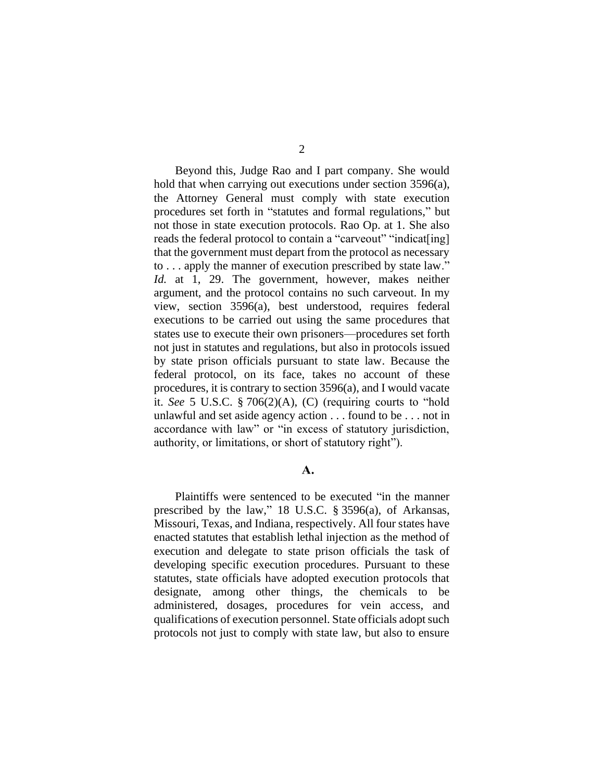Beyond this, Judge Rao and I part company. She would hold that when carrying out executions under section 3596(a), the Attorney General must comply with state execution procedures set forth in "statutes and formal regulations," but not those in state execution protocols. Rao Op. at 1. She also reads the federal protocol to contain a "carveout" "indicat[ing] that the government must depart from the protocol as necessary to . . . apply the manner of execution prescribed by state law." *Id.* at 1, 29. The government, however, makes neither argument, and the protocol contains no such carveout. In my view, section 3596(a), best understood, requires federal executions to be carried out using the same procedures that states use to execute their own prisoners—procedures set forth not just in statutes and regulations, but also in protocols issued by state prison officials pursuant to state law. Because the federal protocol, on its face, takes no account of these procedures, it is contrary to section 3596(a), and I would vacate it. *See* 5 U.S.C. § 706(2)(A), (C) (requiring courts to "hold unlawful and set aside agency action . . . found to be . . . not in accordance with law" or "in excess of statutory jurisdiction, authority, or limitations, or short of statutory right").

## $\mathbf{A}$ .

Plaintiffs were sentenced to be executed "in the manner prescribed by the law," 18 U.S.C. § 3596(a), of Arkansas, Missouri, Texas, and Indiana, respectively. All four states have enacted statutes that establish lethal injection as the method of execution and delegate to state prison officials the task of developing specific execution procedures. Pursuant to these statutes, state officials have adopted execution protocols that designate, among other things, the chemicals to be administered, dosages, procedures for vein access, and qualifications of execution personnel. State officials adopt such protocols not just to comply with state law, but also to ensure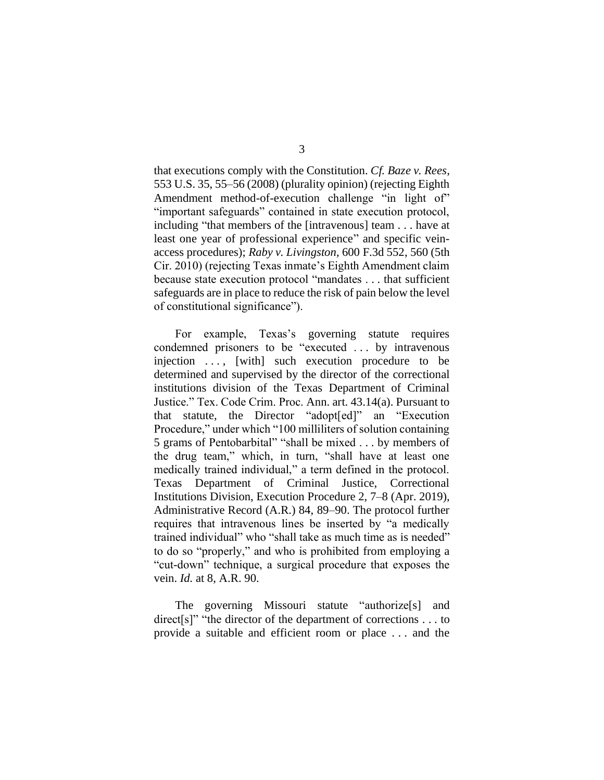that executions comply with the Constitution. *Cf. Baze v. Rees*, 553 U.S. 35, 55–56 (2008) (plurality opinion) (rejecting Eighth Amendment method-of-execution challenge "in light of" "important safeguards" contained in state execution protocol, including "that members of the [intravenous] team . . . have at least one year of professional experience" and specific veinaccess procedures); *Raby v. Livingston*, 600 F.3d 552, 560 (5th Cir. 2010) (rejecting Texas inmate's Eighth Amendment claim because state execution protocol "mandates . . . that sufficient safeguards are in place to reduce the risk of pain below the level of constitutional significance").

For example, Texas's governing statute requires condemned prisoners to be "executed . . . by intravenous injection ..., [with] such execution procedure to be determined and supervised by the director of the correctional institutions division of the Texas Department of Criminal Justice." Tex. Code Crim. Proc. Ann. art. 43.14(a). Pursuant to that statute, the Director "adopt[ed]" an "Execution Procedure," under which "100 milliliters of solution containing 5 grams of Pentobarbital" "shall be mixed . . . by members of the drug team," which, in turn, "shall have at least one medically trained individual," a term defined in the protocol. Texas Department of Criminal Justice, Correctional Institutions Division, Execution Procedure 2, 7–8 (Apr. 2019), Administrative Record (A.R.) 84, 89–90. The protocol further requires that intravenous lines be inserted by "a medically trained individual" who "shall take as much time as is needed" to do so "properly," and who is prohibited from employing a "cut-down" technique, a surgical procedure that exposes the vein. *Id.* at 8, A.R. 90.

The governing Missouri statute "authorize[s] and direct<sup>[s]"</sup> "the director of the department of corrections . . . to provide a suitable and efficient room or place . . . and the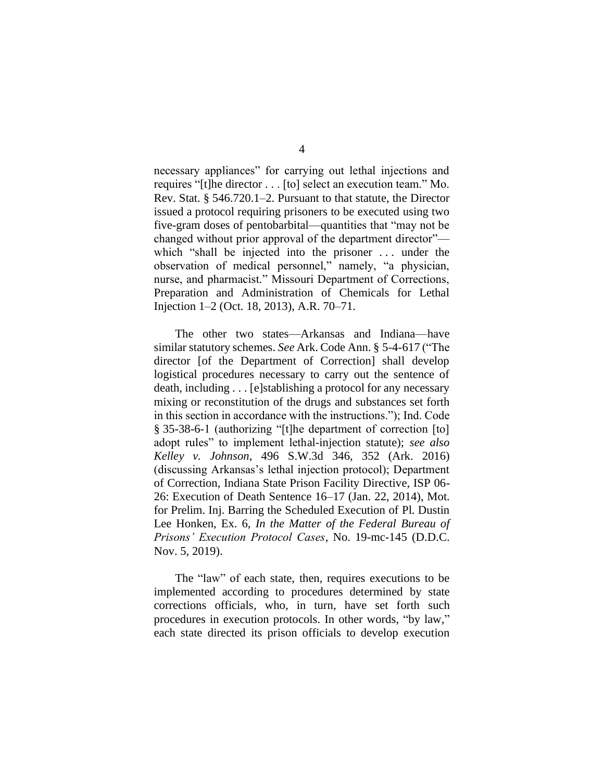necessary appliances" for carrying out lethal injections and requires "[t]he director . . . [to] select an execution team." Mo. Rev. Stat. § 546.720.1–2. Pursuant to that statute, the Director issued a protocol requiring prisoners to be executed using two five-gram doses of pentobarbital—quantities that "may not be changed without prior approval of the department director" which "shall be injected into the prisoner ... under the observation of medical personnel," namely, "a physician, nurse, and pharmacist." Missouri Department of Corrections, Preparation and Administration of Chemicals for Lethal Injection 1–2 (Oct. 18, 2013), A.R. 70–71.

The other two states—Arkansas and Indiana—have similar statutory schemes. *See* Ark. Code Ann. § 5-4-617 ("The director [of the Department of Correction] shall develop logistical procedures necessary to carry out the sentence of death, including . . . [e]stablishing a protocol for any necessary mixing or reconstitution of the drugs and substances set forth in this section in accordance with the instructions."); Ind. Code § 35-38-6-1 (authorizing "[t]he department of correction [to] adopt rules" to implement lethal-injection statute); *see also Kelley v. Johnson*, 496 S.W.3d 346, 352 (Ark. 2016) (discussing Arkansas's lethal injection protocol); Department of Correction, Indiana State Prison Facility Directive, ISP 06- 26: Execution of Death Sentence 16–17 (Jan. 22, 2014), Mot. for Prelim. Inj. Barring the Scheduled Execution of Pl. Dustin Lee Honken, Ex. 6, *In the Matter of the Federal Bureau of Prisons' Execution Protocol Cases*, No. 19-mc-145 (D.D.C. Nov. 5, 2019).

The "law" of each state, then, requires executions to be implemented according to procedures determined by state corrections officials, who, in turn, have set forth such procedures in execution protocols. In other words, "by law," each state directed its prison officials to develop execution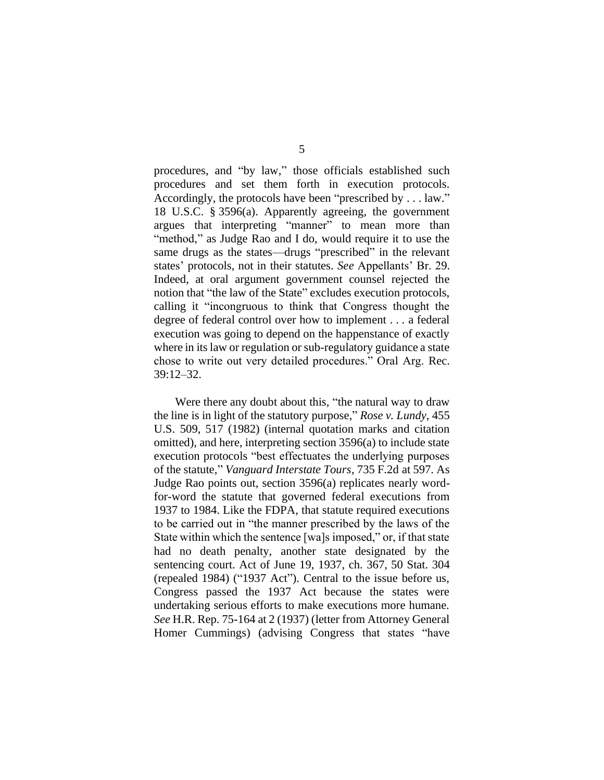procedures, and "by law," those officials established such procedures and set them forth in execution protocols. Accordingly, the protocols have been "prescribed by . . . law." 18 U.S.C. § 3596(a). Apparently agreeing, the government argues that interpreting "manner" to mean more than "method," as Judge Rao and I do, would require it to use the same drugs as the states—drugs "prescribed" in the relevant states' protocols, not in their statutes. *See* Appellants' Br. 29. Indeed, at oral argument government counsel rejected the notion that "the law of the State" excludes execution protocols, calling it "incongruous to think that Congress thought the degree of federal control over how to implement . . . a federal execution was going to depend on the happenstance of exactly where in its law or regulation or sub-regulatory guidance a state chose to write out very detailed procedures." Oral Arg. Rec. 39:12–32.

Were there any doubt about this, "the natural way to draw the line is in light of the statutory purpose," *Rose v. Lundy*, 455 U.S. 509, 517 (1982) (internal quotation marks and citation omitted), and here, interpreting section 3596(a) to include state execution protocols "best effectuates the underlying purposes of the statute," *Vanguard Interstate Tours*, 735 F.2d at 597. As Judge Rao points out, section 3596(a) replicates nearly wordfor-word the statute that governed federal executions from 1937 to 1984. Like the FDPA, that statute required executions to be carried out in "the manner prescribed by the laws of the State within which the sentence [wa]s imposed," or, if that state had no death penalty, another state designated by the sentencing court. Act of June 19, 1937, ch. 367, 50 Stat. 304 (repealed 1984) ("1937 Act"). Central to the issue before us, Congress passed the 1937 Act because the states were undertaking serious efforts to make executions more humane. *See* H.R. Rep. 75-164 at 2 (1937) (letter from Attorney General Homer Cummings) (advising Congress that states "have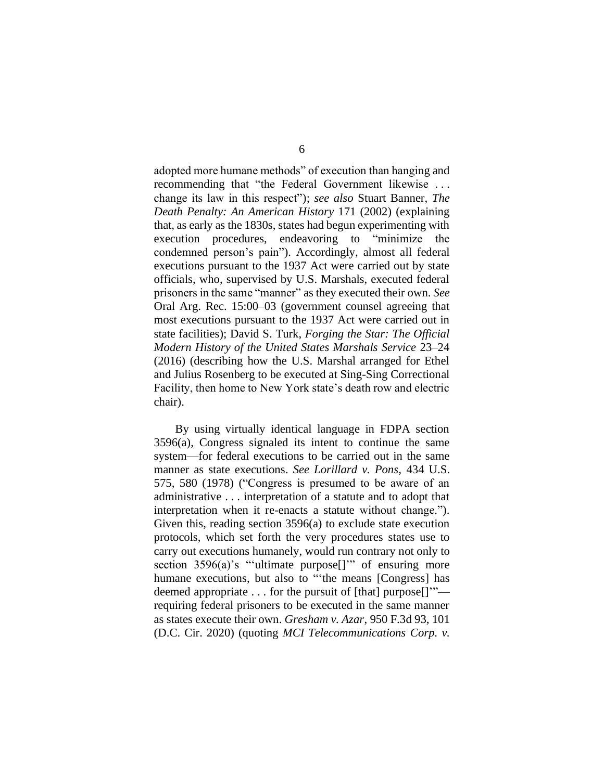adopted more humane methods" of execution than hanging and recommending that "the Federal Government likewise . . . change its law in this respect"); *see also* Stuart Banner, *The Death Penalty: An American History* 171 (2002) (explaining that, as early as the 1830s, states had begun experimenting with execution procedures, endeavoring to "minimize the condemned person's pain"). Accordingly, almost all federal executions pursuant to the 1937 Act were carried out by state officials, who, supervised by U.S. Marshals, executed federal prisoners in the same "manner" as they executed their own. *See* Oral Arg. Rec. 15:00–03 (government counsel agreeing that most executions pursuant to the 1937 Act were carried out in state facilities); David S. Turk, *Forging the Star: The Official Modern History of the United States Marshals Service* 23–24 (2016) (describing how the U.S. Marshal arranged for Ethel and Julius Rosenberg to be executed at Sing-Sing Correctional Facility, then home to New York state's death row and electric chair).

By using virtually identical language in FDPA section 3596(a), Congress signaled its intent to continue the same system—for federal executions to be carried out in the same manner as state executions. *See Lorillard v. Pons*, 434 U.S. 575, 580 (1978) ("Congress is presumed to be aware of an administrative . . . interpretation of a statute and to adopt that interpretation when it re-enacts a statute without change."). Given this, reading section 3596(a) to exclude state execution protocols, which set forth the very procedures states use to carry out executions humanely, would run contrary not only to section 3596(a)'s "'ultimate purpose<sup>[]'"</sup> of ensuring more humane executions, but also to "the means [Congress] has deemed appropriate . . . for the pursuit of [that] purpose[]'" requiring federal prisoners to be executed in the same manner as states execute their own. *Gresham v. Azar*, 950 F.3d 93, 101 (D.C. Cir. 2020) (quoting *MCI Telecommunications Corp. v.*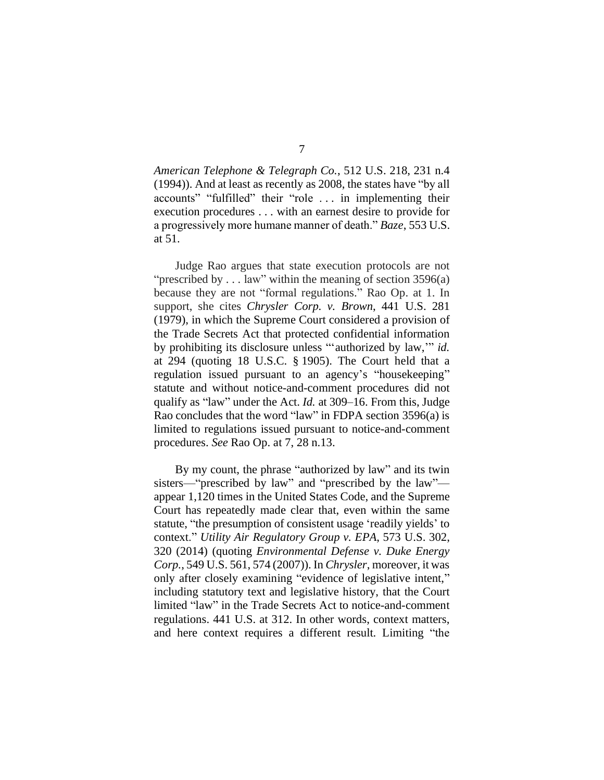*American Telephone & Telegraph Co.*, 512 U.S. 218, 231 n.4 (1994)). And at least as recently as 2008, the states have "by all accounts" "fulfilled" their "role . . . in implementing their execution procedures . . . with an earnest desire to provide for a progressively more humane manner of death." *Baze*, 553 U.S. at 51.

Judge Rao argues that state execution protocols are not "prescribed by  $\dots$  law" within the meaning of section 3596(a) because they are not "formal regulations." Rao Op. at 1. In support, she cites *Chrysler Corp. v. Brown*, 441 U.S. 281 (1979), in which the Supreme Court considered a provision of the Trade Secrets Act that protected confidential information by prohibiting its disclosure unless "'authorized by law,'" *id.* at 294 (quoting 18 U.S.C. § 1905). The Court held that a regulation issued pursuant to an agency's "housekeeping" statute and without notice-and-comment procedures did not qualify as "law" under the Act. *Id.* at 309–16. From this, Judge Rao concludes that the word "law" in FDPA section 3596(a) is limited to regulations issued pursuant to notice-and-comment procedures. *See* Rao Op. at 7, 28 n.13.

By my count, the phrase "authorized by law" and its twin sisters—"prescribed by law" and "prescribed by the law" appear 1,120 times in the United States Code, and the Supreme Court has repeatedly made clear that, even within the same statute, "the presumption of consistent usage 'readily yields' to context." *Utility Air Regulatory Group v. EPA*, 573 U.S. 302, 320 (2014) (quoting *Environmental Defense v. Duke Energy Corp.*, 549 U.S. 561, 574 (2007)). In *Chrysler*, moreover, it was only after closely examining "evidence of legislative intent," including statutory text and legislative history, that the Court limited "law" in the Trade Secrets Act to notice-and-comment regulations. 441 U.S. at 312. In other words, context matters, and here context requires a different result. Limiting "the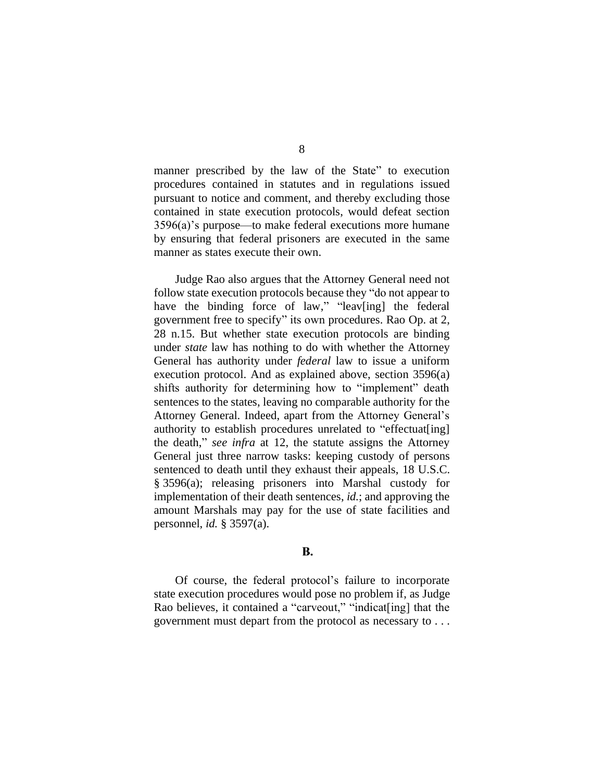manner prescribed by the law of the State" to execution procedures contained in statutes and in regulations issued pursuant to notice and comment, and thereby excluding those contained in state execution protocols, would defeat section 3596(a)'s purpose—to make federal executions more humane by ensuring that federal prisoners are executed in the same manner as states execute their own.

Judge Rao also argues that the Attorney General need not follow state execution protocols because they "do not appear to have the binding force of law," "leav[ing] the federal government free to specify" its own procedures. Rao Op. at 2, 28 n.15. But whether state execution protocols are binding under *state* law has nothing to do with whether the Attorney General has authority under *federal* law to issue a uniform execution protocol. And as explained above, section 3596(a) shifts authority for determining how to "implement" death sentences to the states, leaving no comparable authority for the Attorney General. Indeed, apart from the Attorney General's authority to establish procedures unrelated to "effectuat[ing] the death," *see infra* at 12, the statute assigns the Attorney General just three narrow tasks: keeping custody of persons sentenced to death until they exhaust their appeals, 18 U.S.C. § 3596(a); releasing prisoners into Marshal custody for implementation of their death sentences, *id.*; and approving the amount Marshals may pay for the use of state facilities and personnel, *id.* § 3597(a).

## **B.**

Of course, the federal protocol's failure to incorporate state execution procedures would pose no problem if, as Judge Rao believes, it contained a "carveout," "indicat[ing] that the government must depart from the protocol as necessary to . . .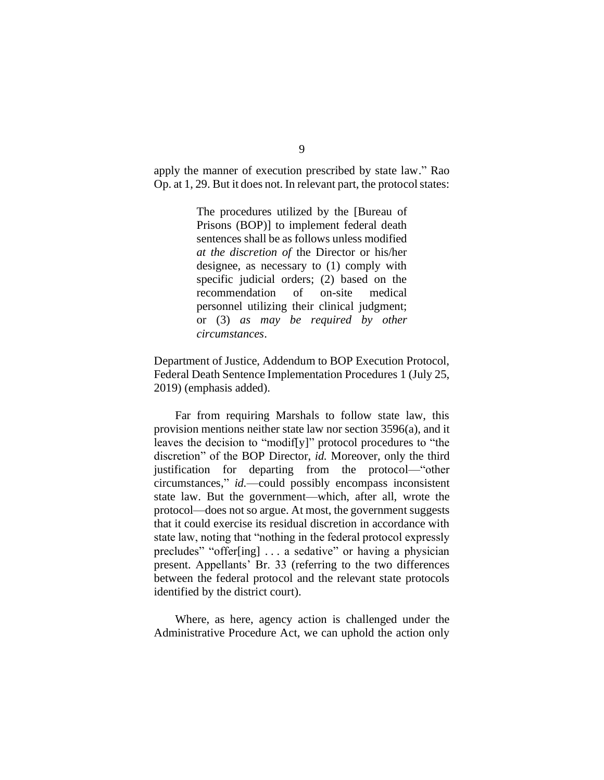apply the manner of execution prescribed by state law." Rao Op. at 1, 29. But it does not. In relevant part, the protocol states:

> The procedures utilized by the [Bureau of Prisons (BOP)] to implement federal death sentences shall be as follows unless modified *at the discretion of* the Director or his/her designee, as necessary to (1) comply with specific judicial orders; (2) based on the recommendation of on-site medical personnel utilizing their clinical judgment; or (3) *as may be required by other circumstances*.

Department of Justice, Addendum to BOP Execution Protocol, Federal Death Sentence Implementation Procedures 1 (July 25, 2019) (emphasis added).

Far from requiring Marshals to follow state law, this provision mentions neither state law nor section 3596(a), and it leaves the decision to "modif[y]" protocol procedures to "the discretion" of the BOP Director, *id.* Moreover, only the third justification for departing from the protocol—"other circumstances," *id.*—could possibly encompass inconsistent state law. But the government—which, after all, wrote the protocol—does not so argue. At most, the government suggests that it could exercise its residual discretion in accordance with state law, noting that "nothing in the federal protocol expressly precludes" "offer[ing] . . . a sedative" or having a physician present. Appellants' Br. 33 (referring to the two differences between the federal protocol and the relevant state protocols identified by the district court).

Where, as here, agency action is challenged under the Administrative Procedure Act, we can uphold the action only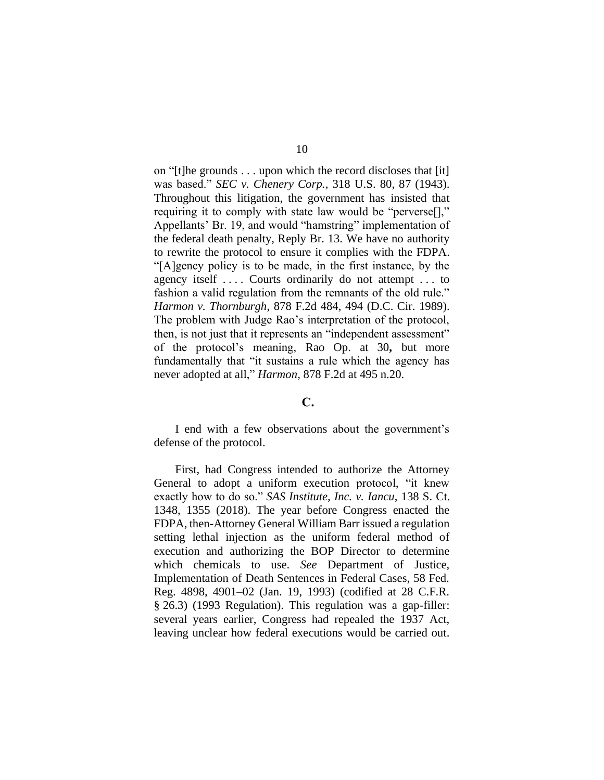on "[t]he grounds . . . upon which the record discloses that [it] was based." *SEC v. Chenery Corp.*, 318 U.S. 80, 87 (1943). Throughout this litigation, the government has insisted that requiring it to comply with state law would be "perverse[]," Appellants' Br. 19, and would "hamstring" implementation of the federal death penalty, Reply Br. 13. We have no authority to rewrite the protocol to ensure it complies with the FDPA. "[A]gency policy is to be made, in the first instance, by the agency itself .... Courts ordinarily do not attempt ... to fashion a valid regulation from the remnants of the old rule." *Harmon v. Thornburgh*, 878 F.2d 484, 494 (D.C. Cir. 1989). The problem with Judge Rao's interpretation of the protocol, then, is not just that it represents an "independent assessment" of the protocol's meaning, Rao Op. at 30**,** but more fundamentally that "it sustains a rule which the agency has never adopted at all," *Harmon*, 878 F.2d at 495 n.20.

## C.

I end with a few observations about the government's defense of the protocol.

First, had Congress intended to authorize the Attorney General to adopt a uniform execution protocol, "it knew exactly how to do so." *SAS Institute, Inc. v. Iancu*, 138 S. Ct. 1348, 1355 (2018). The year before Congress enacted the FDPA, then-Attorney General William Barr issued a regulation setting lethal injection as the uniform federal method of execution and authorizing the BOP Director to determine which chemicals to use. *See* Department of Justice, Implementation of Death Sentences in Federal Cases, 58 Fed. Reg. 4898, 4901–02 (Jan. 19, 1993) (codified at 28 C.F.R. § 26.3) (1993 Regulation). This regulation was a gap-filler: several years earlier, Congress had repealed the 1937 Act, leaving unclear how federal executions would be carried out.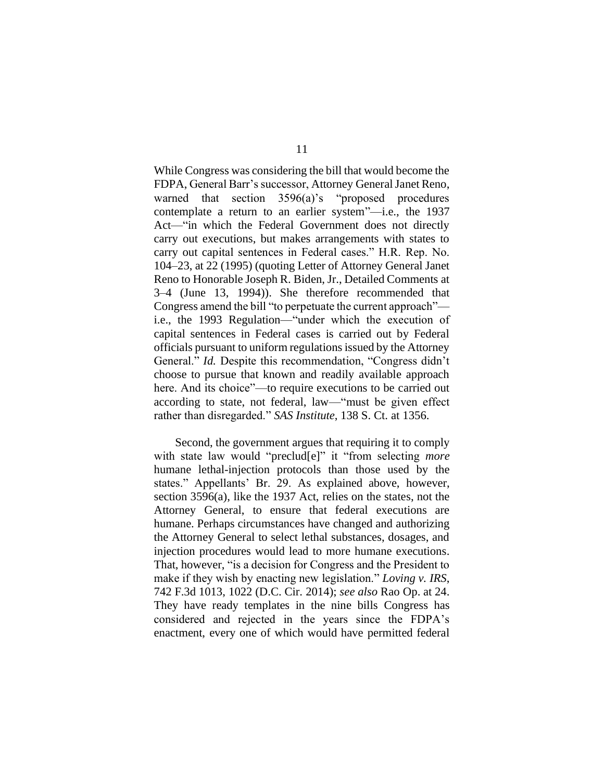While Congress was considering the bill that would become the FDPA, General Barr's successor, Attorney General Janet Reno, warned that section 3596(a)'s "proposed procedures contemplate a return to an earlier system"—i.e., the 1937 Act—"in which the Federal Government does not directly carry out executions, but makes arrangements with states to carry out capital sentences in Federal cases." H.R. Rep. No. 104–23, at 22 (1995) (quoting Letter of Attorney General Janet Reno to Honorable Joseph R. Biden, Jr., Detailed Comments at 3–4 (June 13, 1994)). She therefore recommended that Congress amend the bill "to perpetuate the current approach" i.e., the 1993 Regulation—"under which the execution of capital sentences in Federal cases is carried out by Federal officials pursuant to uniform regulations issued by the Attorney General." *Id.* Despite this recommendation, "Congress didn't choose to pursue that known and readily available approach here. And its choice"—to require executions to be carried out according to state, not federal, law—"must be given effect rather than disregarded." *SAS Institute*, 138 S. Ct. at 1356.

Second, the government argues that requiring it to comply with state law would "preclud[e]" it "from selecting *more*  humane lethal-injection protocols than those used by the states." Appellants' Br. 29. As explained above, however, section 3596(a), like the 1937 Act, relies on the states, not the Attorney General, to ensure that federal executions are humane. Perhaps circumstances have changed and authorizing the Attorney General to select lethal substances, dosages, and injection procedures would lead to more humane executions. That, however, "is a decision for Congress and the President to make if they wish by enacting new legislation." *Loving v. IRS*, 742 F.3d 1013, 1022 (D.C. Cir. 2014); *see also* Rao Op. at 24. They have ready templates in the nine bills Congress has considered and rejected in the years since the FDPA's enactment, every one of which would have permitted federal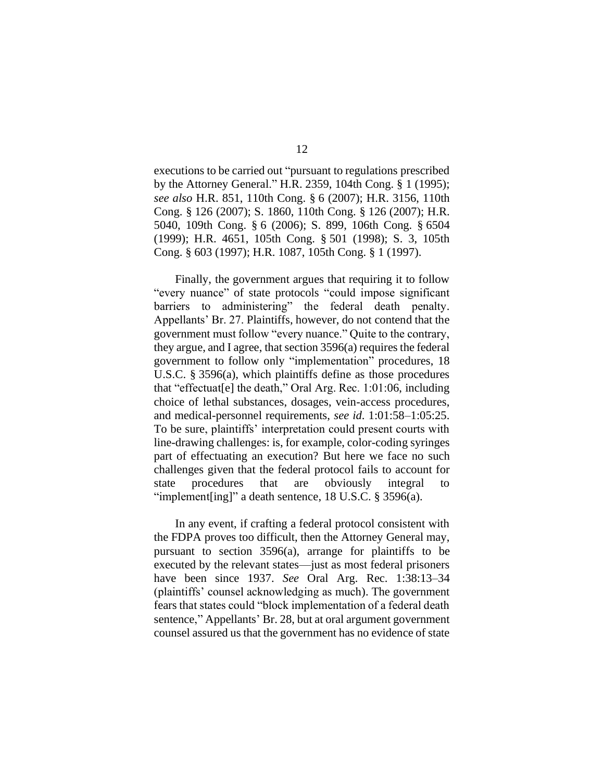executions to be carried out "pursuant to regulations prescribed by the Attorney General." H.R. 2359, 104th Cong. § 1 (1995); *see also* H.R. 851, 110th Cong. § 6 (2007); H.R. 3156, 110th Cong. § 126 (2007); S. 1860, 110th Cong. § 126 (2007); H.R. 5040, 109th Cong. § 6 (2006); S. 899, 106th Cong. § 6504 (1999); H.R. 4651, 105th Cong. § 501 (1998); S. 3, 105th Cong. § 603 (1997); H.R. 1087, 105th Cong. § 1 (1997).

Finally, the government argues that requiring it to follow "every nuance" of state protocols "could impose significant barriers to administering" the federal death penalty. Appellants' Br. 27. Plaintiffs, however, do not contend that the government must follow "every nuance." Quite to the contrary, they argue, and I agree, that section 3596(a) requires the federal government to follow only "implementation" procedures, 18 U.S.C. § 3596(a), which plaintiffs define as those procedures that "effectuat[e] the death," Oral Arg. Rec. 1:01:06, including choice of lethal substances, dosages, vein-access procedures, and medical-personnel requirements, *see id*. 1:01:58–1:05:25. To be sure, plaintiffs' interpretation could present courts with line-drawing challenges: is, for example, color-coding syringes part of effectuating an execution? But here we face no such challenges given that the federal protocol fails to account for state procedures that are obviously integral to "implement[ing]" a death sentence, 18 U.S.C. § 3596(a).

In any event, if crafting a federal protocol consistent with the FDPA proves too difficult, then the Attorney General may, pursuant to section 3596(a), arrange for plaintiffs to be executed by the relevant states—just as most federal prisoners have been since 1937. *See* Oral Arg. Rec. 1:38:13–34 (plaintiffs' counsel acknowledging as much). The government fears that states could "block implementation of a federal death sentence," Appellants' Br. 28, but at oral argument government counsel assured us that the government has no evidence of state